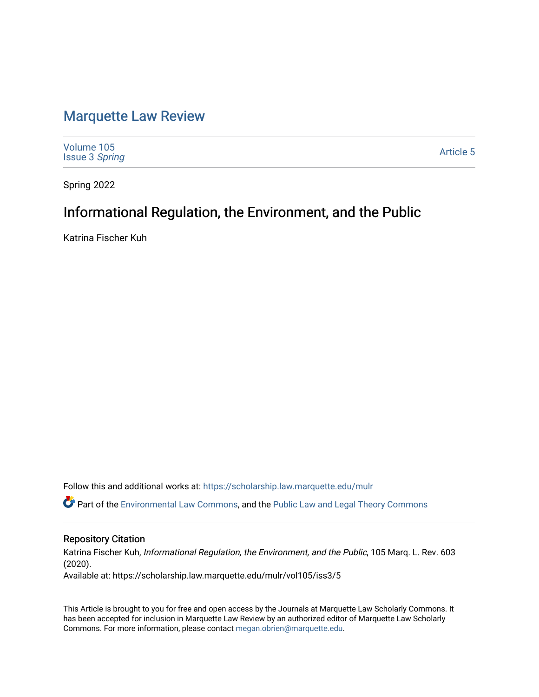# [Marquette Law Review](https://scholarship.law.marquette.edu/mulr)

| Volume 105<br><b>Issue 3 Spring</b> | Article 5 |
|-------------------------------------|-----------|
|-------------------------------------|-----------|

Spring 2022

# Informational Regulation, the Environment, and the Public

Katrina Fischer Kuh

Follow this and additional works at: [https://scholarship.law.marquette.edu/mulr](https://scholarship.law.marquette.edu/mulr?utm_source=scholarship.law.marquette.edu%2Fmulr%2Fvol105%2Fiss3%2F5&utm_medium=PDF&utm_campaign=PDFCoverPages) 

Part of the [Environmental Law Commons](https://network.bepress.com/hgg/discipline/599?utm_source=scholarship.law.marquette.edu%2Fmulr%2Fvol105%2Fiss3%2F5&utm_medium=PDF&utm_campaign=PDFCoverPages), and the [Public Law and Legal Theory Commons](https://network.bepress.com/hgg/discipline/871?utm_source=scholarship.law.marquette.edu%2Fmulr%2Fvol105%2Fiss3%2F5&utm_medium=PDF&utm_campaign=PDFCoverPages)

# Repository Citation

Katrina Fischer Kuh, Informational Regulation, the Environment, and the Public, 105 Marq. L. Rev. 603 (2020). Available at: https://scholarship.law.marquette.edu/mulr/vol105/iss3/5

This Article is brought to you for free and open access by the Journals at Marquette Law Scholarly Commons. It has been accepted for inclusion in Marquette Law Review by an authorized editor of Marquette Law Scholarly Commons. For more information, please contact [megan.obrien@marquette.edu](mailto:megan.obrien@marquette.edu).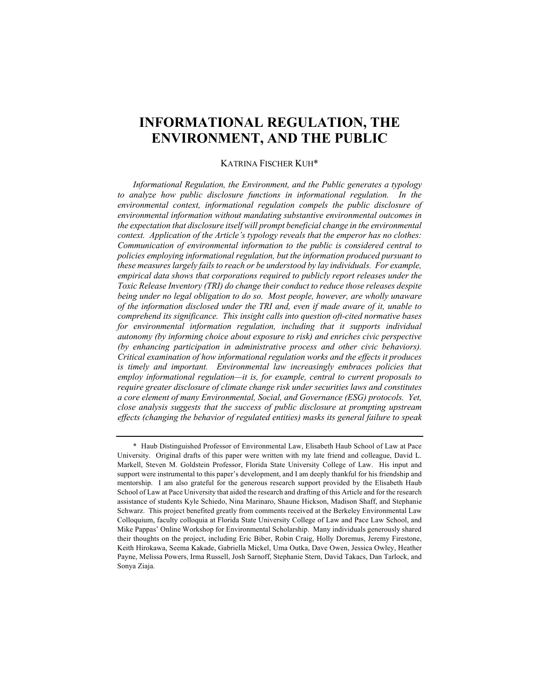# **INFORMATIONAL REGULATION, THE ENVIRONMENT, AND THE PUBLIC**

## KATRINA FISCHER KUH\*

*Informational Regulation, the Environment, and the Public generates a typology to analyze how public disclosure functions in informational regulation. In the environmental context, informational regulation compels the public disclosure of environmental information without mandating substantive environmental outcomes in the expectation that disclosure itself will prompt beneficial change in the environmental context. Application of the Article's typology reveals that the emperor has no clothes: Communication of environmental information to the public is considered central to policies employing informational regulation, but the information produced pursuant to these measures largely fails to reach or be understood by lay individuals. For example, empirical data shows that corporations required to publicly report releases under the Toxic Release Inventory (TRI) do change their conduct to reduce those releases despite being under no legal obligation to do so. Most people, however, are wholly unaware of the information disclosed under the TRI and, even if made aware of it, unable to comprehend its significance. This insight calls into question oft-cited normative bases for environmental information regulation, including that it supports individual autonomy (by informing choice about exposure to risk) and enriches civic perspective (by enhancing participation in administrative process and other civic behaviors). Critical examination of how informational regulation works and the effects it produces is timely and important. Environmental law increasingly embraces policies that employ informational regulation—it is, for example, central to current proposals to require greater disclosure of climate change risk under securities laws and constitutes a core element of many Environmental, Social, and Governance (ESG) protocols. Yet, close analysis suggests that the success of public disclosure at prompting upstream effects (changing the behavior of regulated entities) masks its general failure to speak* 

<sup>\*</sup> Haub Distinguished Professor of Environmental Law, Elisabeth Haub School of Law at Pace University. Original drafts of this paper were written with my late friend and colleague, David L. Markell, Steven M. Goldstein Professor, Florida State University College of Law. His input and support were instrumental to this paper's development, and I am deeply thankful for his friendship and mentorship. I am also grateful for the generous research support provided by the Elisabeth Haub School of Law at Pace University that aided the research and drafting of this Article and for the research assistance of students Kyle Schiedo, Nina Marinaro, Shaune Hickson, Madison Shaff, and Stephanie Schwarz. This project benefited greatly from comments received at the Berkeley Environmental Law Colloquium, faculty colloquia at Florida State University College of Law and Pace Law School, and Mike Pappas' Online Workshop for Environmental Scholarship. Many individuals generously shared their thoughts on the project, including Eric Biber, Robin Craig, Holly Doremus, Jeremy Firestone, Keith Hirokawa, Seema Kakade, Gabriella Mickel, Uma Outka, Dave Owen, Jessica Owley, Heather Payne, Melissa Powers, Irma Russell, Josh Sarnoff, Stephanie Stern, David Takacs, Dan Tarlock, and Sonya Ziaja.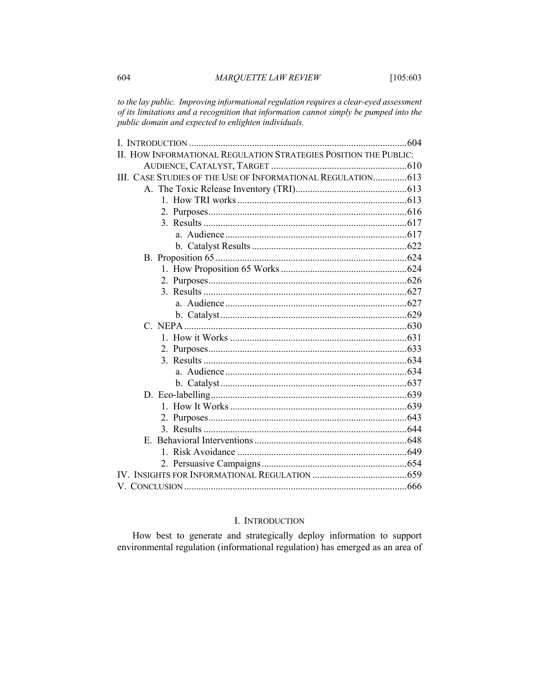*to the lay public. Improving informational regulation requires a clear-eyed assessment of its limitations and a recognition that information cannot simply be pumped into the public domain and expected to enlighten individuals.* 

| II. HOW INFORMATIONAL REGULATION STRATEGIES POSITION THE PUBLIC: |  |
|------------------------------------------------------------------|--|
|                                                                  |  |
| III. CASE STUDIES OF THE USE OF INFORMATIONAL REGULATION 613     |  |
|                                                                  |  |
|                                                                  |  |
|                                                                  |  |
|                                                                  |  |
|                                                                  |  |
|                                                                  |  |
|                                                                  |  |
|                                                                  |  |
|                                                                  |  |
|                                                                  |  |
|                                                                  |  |
|                                                                  |  |
|                                                                  |  |
|                                                                  |  |
|                                                                  |  |
|                                                                  |  |
|                                                                  |  |
|                                                                  |  |
|                                                                  |  |
|                                                                  |  |
|                                                                  |  |
|                                                                  |  |
|                                                                  |  |
|                                                                  |  |
|                                                                  |  |
|                                                                  |  |
|                                                                  |  |
|                                                                  |  |

# I. INTRODUCTION

How best to generate and strategically deploy information to support environmental regulation (informational regulation) has emerged as an area of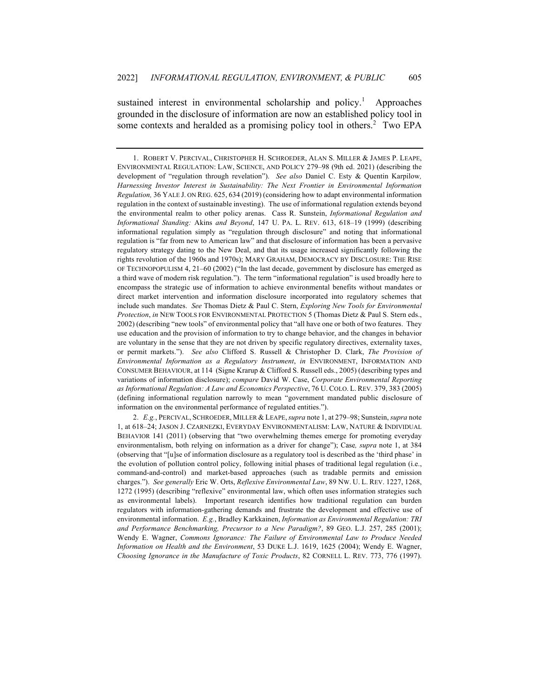sustained interest in environmental scholarship and policy.<sup>1</sup> Approaches grounded in the disclosure of information are now an established policy tool in some contexts and heralded as a promising policy tool in others.<sup>2</sup> Two EPA

2. *E.g.*, PERCIVAL, SCHROEDER, MILLER & LEAPE,*supra* note 1, at 279–98; Sunstein, *supra* note 1, at 618–24; JASON J. CZARNEZKI, EVERYDAY ENVIRONMENTALISM: LAW, NATURE & INDIVIDUAL BEHAVIOR 141 (2011) (observing that "two overwhelming themes emerge for promoting everyday environmentalism, both relying on information as a driver for change"); Case*, supra* note 1, at 384 (observing that "[u]se of information disclosure as a regulatory tool is described as the 'third phase' in the evolution of pollution control policy, following initial phases of traditional legal regulation (i.e., command-and-control) and market-based approaches (such as tradable permits and emission charges."). *See generally* Eric W. Orts, *Reflexive Environmental Law*, 89 NW. U. L. REV. 1227, 1268, 1272 (1995) (describing "reflexive" environmental law, which often uses information strategies such as environmental labels). Important research identifies how traditional regulation can burden regulators with information-gathering demands and frustrate the development and effective use of environmental information. *E.g.*, Bradley Karkkainen, *Information as Environmental Regulation: TRI and Performance Benchmarking, Precursor to a New Paradigm?*, 89 GEO. L.J. 257, 285 (2001); Wendy E. Wagner, *Commons Ignorance: The Failure of Environmental Law to Produce Needed Information on Health and the Environment*, 53 DUKE L.J. 1619, 1625 (2004); Wendy E. Wagner, *Choosing Ignorance in the Manufacture of Toxic Products*, 82 CORNELL L. REV. 773, 776 (1997).

<sup>1.</sup> ROBERT V. PERCIVAL, CHRISTOPHER H. SCHROEDER, ALAN S. MILLER & JAMES P. LEAPE, ENVIRONMENTAL REGULATION: LAW, SCIENCE, AND POLICY 279–98 (9th ed. 2021) (describing the development of "regulation through revelation"). *See also* Daniel C. Esty & Quentin Karpilow*, Harnessing Investor Interest in Sustainability: The Next Frontier in Environmental Information Regulation,* 36 YALE J. ON REG. 625, 634 (2019) (considering how to adapt environmental information regulation in the context of sustainable investing). The use of informational regulation extends beyond the environmental realm to other policy arenas. Cass R. Sunstein, *Informational Regulation and Informational Standing:* Akins *and Beyond*, 147 U. PA. L. REV. 613, 618–19 (1999) (describing informational regulation simply as "regulation through disclosure" and noting that informational regulation is "far from new to American law" and that disclosure of information has been a pervasive regulatory strategy dating to the New Deal, and that its usage increased significantly following the rights revolution of the 1960s and 1970s); MARY GRAHAM, DEMOCRACY BY DISCLOSURE: THE RISE OF TECHNOPOPULISM 4, 21–60 (2002) ("In the last decade, government by disclosure has emerged as a third wave of modern risk regulation."). The term "informational regulation" is used broadly here to encompass the strategic use of information to achieve environmental benefits without mandates or direct market intervention and information disclosure incorporated into regulatory schemes that include such mandates. *See* Thomas Dietz & Paul C. Stern, *Exploring New Tools for Environmental Protection*, *in* NEW TOOLS FOR ENVIRONMENTAL PROTECTION 5 (Thomas Dietz & Paul S. Stern eds., 2002) (describing "new tools" of environmental policy that "all have one or both of two features. They use education and the provision of information to try to change behavior, and the changes in behavior are voluntary in the sense that they are not driven by specific regulatory directives, externality taxes, or permit markets."). *See also* Clifford S. Russell & Christopher D. Clark, *The Provision of Environmental Information as a Regulatory Instrument*, *in* ENVIRONMENT, INFORMATION AND CONSUMER BEHAVIOUR, at 114 (Signe Krarup & Clifford S. Russell eds., 2005) (describing types and variations of information disclosure); *compare* David W. Case, *Corporate Environmental Reporting as Informational Regulation: A Law and Economics Perspective*, 76 U. COLO. L. REV. 379, 383 (2005) (defining informational regulation narrowly to mean "government mandated public disclosure of information on the environmental performance of regulated entities.").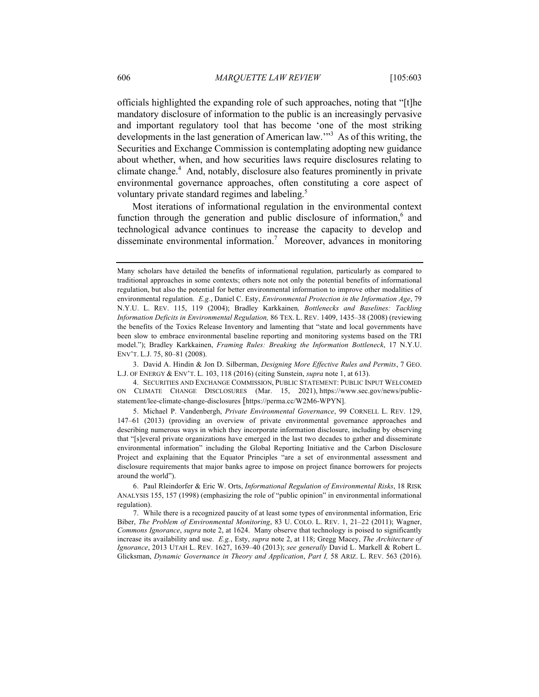officials highlighted the expanding role of such approaches, noting that "[t]he mandatory disclosure of information to the public is an increasingly pervasive and important regulatory tool that has become 'one of the most striking developments in the last generation of American law.'"<sup>3</sup> As of this writing, the Securities and Exchange Commission is contemplating adopting new guidance about whether, when, and how securities laws require disclosures relating to climate change.<sup>4</sup> And, notably, disclosure also features prominently in private environmental governance approaches, often constituting a core aspect of voluntary private standard regimes and labeling.<sup>5</sup>

Most iterations of informational regulation in the environmental context function through the generation and public disclosure of information,<sup>6</sup> and technological advance continues to increase the capacity to develop and disseminate environmental information.<sup>7</sup> Moreover, advances in monitoring

3. David A. Hindin & Jon D. Silberman, *Designing More Effective Rules and Permits*, 7 GEO. L.J. OF ENERGY & ENV'T. L. 103, 118 (2016) (citing Sunstein, *supra* note 1, at 613).

4. SECURITIES AND EXCHANGE COMMISSION, PUBLIC STATEMENT: PUBLIC INPUT WELCOMED ON CLIMATE CHANGE DISCLOSURES (Mar. 15, 2021), https://www.sec.gov/news/publicstatement/lee-climate-change-disclosures [https://perma.cc/W2M6-WPYN].

5. Michael P. Vandenbergh, *Private Environmental Governance*, 99 CORNELL L. REV. 129, 147–61 (2013) (providing an overview of private environmental governance approaches and describing numerous ways in which they incorporate information disclosure, including by observing that "[s]everal private organizations have emerged in the last two decades to gather and disseminate environmental information" including the Global Reporting Initiative and the Carbon Disclosure Project and explaining that the Equator Principles "are a set of environmental assessment and disclosure requirements that major banks agree to impose on project finance borrowers for projects around the world").

Many scholars have detailed the benefits of informational regulation, particularly as compared to traditional approaches in some contexts; others note not only the potential benefits of informational regulation, but also the potential for better environmental information to improve other modalities of environmental regulation. *E.g.*, Daniel C. Esty, *Environmental Protection in the Information Age*, 79 N.Y.U. L. REV. 115, 119 (2004); Bradley Karkkainen*, Bottlenecks and Baselines: Tackling Information Deficits in Environmental Regulation,* 86 TEX. L. REV. 1409, 1435–38 (2008) (reviewing the benefits of the Toxics Release Inventory and lamenting that "state and local governments have been slow to embrace environmental baseline reporting and monitoring systems based on the TRI model."); Bradley Karkkainen, *Framing Rules: Breaking the Information Bottleneck*, 17 N.Y.U. ENV'T. L.J. 75, 80–81 (2008).

<sup>6.</sup> Paul Rleindorfer & Eric W. Orts, *Informational Regulation of Environmental Risks*, 18 RISK ANALYSIS 155, 157 (1998) (emphasizing the role of "public opinion" in environmental informational regulation).

<sup>7.</sup> While there is a recognized paucity of at least some types of environmental information, Eric Biber, *The Problem of Environmental Monitoring*, 83 U. COLO. L. REV. 1, 21–22 (2011); Wagner, *Commons Ignorance*, *supra* note 2, at 1624. Many observe that technology is poised to significantly increase its availability and use. *E.g.*, Esty, *supra* note 2, at 118; Gregg Macey, *The Architecture of Ignorance*, 2013 UTAH L. REV. 1627, 1639–40 (2013); *see generally* David L. Markell & Robert L. Glicksman, *Dynamic Governance in Theory and Application*, *Part I,* 58 ARIZ. L. REV. 563 (2016).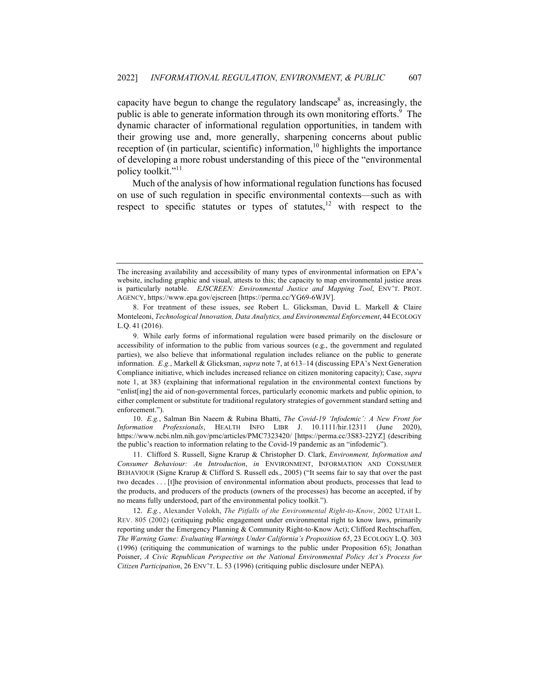capacity have begun to change the regulatory landscape<sup>8</sup> as, increasingly, the public is able to generate information through its own monitoring efforts.<sup>9</sup> The dynamic character of informational regulation opportunities, in tandem with their growing use and, more generally, sharpening concerns about public reception of (in particular, scientific) information,<sup>10</sup> highlights the importance of developing a more robust understanding of this piece of the "environmental policy toolkit."<sup>11</sup>

Much of the analysis of how informational regulation functions has focused on use of such regulation in specific environmental contexts—such as with respect to specific statutes or types of statutes,<sup>12</sup> with respect to the

The increasing availability and accessibility of many types of environmental information on EPA's website, including graphic and visual, attests to this; the capacity to map environmental justice areas is particularly notable. *EJSCREEN: Environmental Justice and Mapping Tool*, ENV'T. PROT. AGENCY, https://www.epa.gov/ejscreen [https://perma.cc/YG69-6WJV].

<sup>8.</sup> For treatment of these issues, see Robert L. Glicksman, David L. Markell & Claire Monteleoni, *Technological Innovation, Data Analytics, and Environmental Enforcement*, 44 ECOLOGY L.Q. 41 (2016).

<sup>9.</sup> While early forms of informational regulation were based primarily on the disclosure or accessibility of information to the public from various sources (e.g., the government and regulated parties), we also believe that informational regulation includes reliance on the public to generate information. *E.g.*, Markell & Glicksman, *supra* note 7, at 613–14 (discussing EPA's Next Generation Compliance initiative, which includes increased reliance on citizen monitoring capacity); Case, *supra*  note 1, at 383 (explaining that informational regulation in the environmental context functions by "enlist[ing] the aid of non-governmental forces, particularly economic markets and public opinion, to either complement or substitute for traditional regulatory strategies of government standard setting and enforcement.").

<sup>10.</sup> *E.g.*, Salman Bin Naeem & Rubina Bhatti, *The Covid‐19 'Infodemic': A New Front for Information Professionals*, HEALTH INFO LIBR J. 10.1111/hir.12311 (June 2020), https://www.ncbi.nlm.nih.gov/pmc/articles/PMC7323420/ [https://perma.cc/3S83-22YZ] (describing the public's reaction to information relating to the Covid-19 pandemic as an "infodemic").

<sup>11.</sup> Clifford S. Russell, Signe Krarup & Christopher D. Clark, *Environment, Information and Consumer Behaviour: An Introduction*, *in* ENVIRONMENT, INFORMATION AND CONSUMER BEHAVIOUR (Signe Krarup & Clifford S. Russell eds., 2005) ("It seems fair to say that over the past two decades . . . [t]he provision of environmental information about products, processes that lead to the products, and producers of the products (owners of the processes) has become an accepted, if by no means fully understood, part of the environmental policy toolkit.").

<sup>12.</sup> *E.g.*, Alexander Volokh, *The Pitfalls of the Environmental Right-to-Know*, 2002 UTAH L. REV. 805 (2002) (critiquing public engagement under environmental right to know laws, primarily reporting under the Emergency Planning & Community Right-to-Know Act); Clifford Rechtschaffen, *The Warning Game: Evaluating Warnings Under California's Proposition 65*, 23 ECOLOGY L.Q. 303 (1996) (critiquing the communication of warnings to the public under Proposition 65); Jonathan Poisner, *A Civic Republican Perspective on the National Environmental Policy Act's Process for Citizen Participation*, 26 ENV'T. L. 53 (1996) (critiquing public disclosure under NEPA).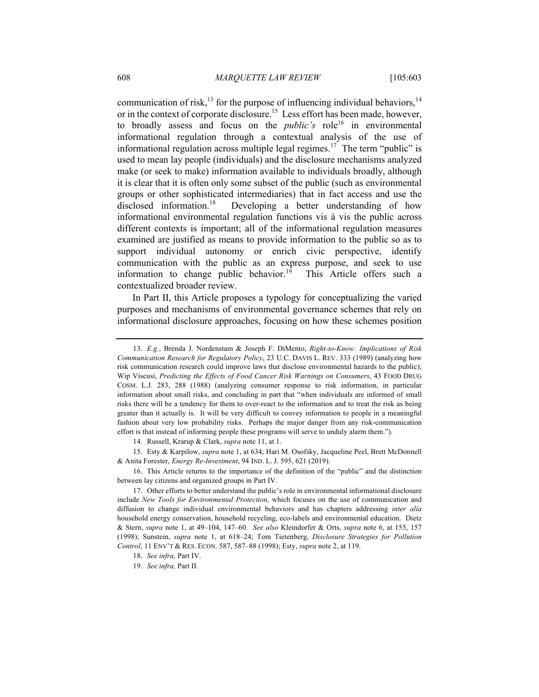communication of risk,<sup>13</sup> for the purpose of influencing individual behaviors.<sup>14</sup> or in the context of corporate disclosure.<sup>15</sup> Less effort has been made, however, to broadly assess and focus on the *public's* role<sup>16</sup> in environmental informational regulation through a contextual analysis of the use of informational regulation across multiple legal regimes.<sup>17</sup> The term "public" is used to mean lay people (individuals) and the disclosure mechanisms analyzed make (or seek to make) information available to individuals broadly, although it is clear that it is often only some subset of the public (such as environmental groups or other sophisticated intermediaries) that in fact access and use the disclosed information.<sup>18</sup> Developing a better understanding of how informational environmental regulation functions vis à vis the public across different contexts is important; all of the informational regulation measures examined are justified as means to provide information to the public so as to support individual autonomy or enrich civic perspective, identify communication with the public as an express purpose, and seek to use information to change public behavior.<sup>19</sup> This Article offers such a contextualized broader review.

In Part II, this Article proposes a typology for conceptualizing the varied purposes and mechanisms of environmental governance schemes that rely on informational disclosure approaches, focusing on how these schemes position

14. Russell, Krarup & Clark, *supra* note 11, at 1.

15. Esty & Karpilow, *supra* note 1, at 634; Hari M. Osofsky, Jacqueline Peel, Brett McDonnell & Anita Forester, *Energy Re-Investment*, 94 IND. L. J. 595, 621 (2019).

16. This Article returns to the importance of the definition of the "public" and the distinction between lay citizens and organized groups in Part IV.

19. *See infra,* Part II.

<sup>13.</sup> *E.g.*, Brenda J. Nordenstam & Joseph F. DiMento, *Right-to-Know: Implications of Risk Communication Research for Regulatory Policy*, 23 U.C. DAVIS L. REV. 333 (1989) (analyzing how risk communication research could improve laws that disclose environmental hazards to the public); Wip Viscusi, *Predicting the Effects of Food Cancer Risk Warnings on Consumers*, 43 FOOD DRUG COSM. L.J. 283, 288 (1988) (analyzing consumer response to risk information, in particular information about small risks, and concluding in part that "when individuals are informed of small risks there will be a tendency for them to over-react to the information and to treat the risk as being greater than it actually is. It will be very difficult to convey information to people in a meaningful fashion about very low probability risks. Perhaps the major danger from any risk-communication effort is that instead of informing people these programs will serve to unduly alarm them.").

<sup>17.</sup> Other efforts to better understand the public's role in environmental informational disclosure include *New Tools for Environmental Protection,* which focuses on the use of communication and diffusion to change individual environmental behaviors and has chapters addressing *inter alia* household energy conservation, household recycling, eco-labels and environmental education. Dietz & Stern, *supra* note 1, at 49–104, 147–60. *See also* Kleindorfer & Orts, *supra* note 6, at 155, 157 (1998); Sunstein, *supra* note 1, at 618–24; Tom Tietenberg, *Disclosure Strategies for Pollution Control*, 11 ENV'T & RES. ECON. 587, 587–88 (1998); Esty, *supra* note 2, at 119.

<sup>18.</sup> *See infra,* Part IV.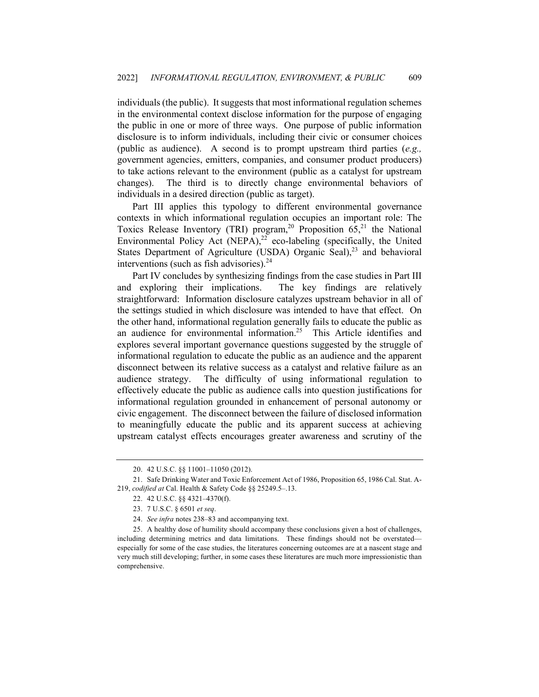individuals (the public). It suggests that most informational regulation schemes in the environmental context disclose information for the purpose of engaging the public in one or more of three ways. One purpose of public information disclosure is to inform individuals, including their civic or consumer choices (public as audience). A second is to prompt upstream third parties (*e.g.,* government agencies, emitters, companies, and consumer product producers) to take actions relevant to the environment (public as a catalyst for upstream changes). The third is to directly change environmental behaviors of individuals in a desired direction (public as target).

Part III applies this typology to different environmental governance contexts in which informational regulation occupies an important role: The Toxics Release Inventory (TRI) program,<sup>20</sup> Proposition  $65<sup>21</sup>$ , the National Environmental Policy Act (NEPA), $^{22}$  eco-labeling (specifically, the United States Department of Agriculture (USDA) Organic Seal), $^{23}$  and behavioral interventions (such as fish advisories). $24$ 

Part IV concludes by synthesizing findings from the case studies in Part III and exploring their implications. The key findings are relatively straightforward: Information disclosure catalyzes upstream behavior in all of the settings studied in which disclosure was intended to have that effect. On the other hand, informational regulation generally fails to educate the public as an audience for environmental information.<sup>25</sup> This Article identifies and explores several important governance questions suggested by the struggle of informational regulation to educate the public as an audience and the apparent disconnect between its relative success as a catalyst and relative failure as an audience strategy. The difficulty of using informational regulation to effectively educate the public as audience calls into question justifications for informational regulation grounded in enhancement of personal autonomy or civic engagement. The disconnect between the failure of disclosed information to meaningfully educate the public and its apparent success at achieving upstream catalyst effects encourages greater awareness and scrutiny of the

<sup>20.</sup> 42 U.S.C. §§ 11001–11050 (2012).

<sup>21.</sup> Safe Drinking Water and Toxic Enforcement Act of 1986, Proposition 65, 1986 Cal. Stat. A-219, *codified at* Cal. Health & Safety Code §§ 25249.5–.13.

<sup>22.</sup> 42 U.S.C. §§ 4321–4370(f).

<sup>23.</sup> 7 U.S.C. § 6501 *et seq*.

<sup>24.</sup> *See infra* notes 238–83 and accompanying text.

<sup>25.</sup> A healthy dose of humility should accompany these conclusions given a host of challenges, including determining metrics and data limitations. These findings should not be overstated especially for some of the case studies, the literatures concerning outcomes are at a nascent stage and very much still developing; further, in some cases these literatures are much more impressionistic than comprehensive.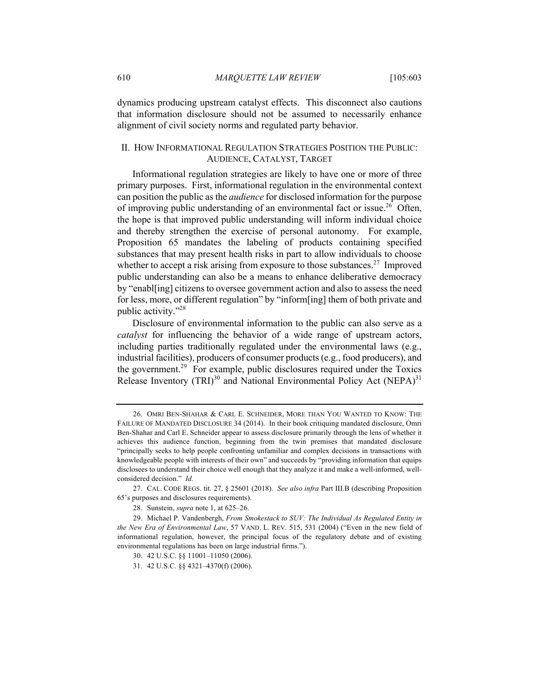dynamics producing upstream catalyst effects. This disconnect also cautions that information disclosure should not be assumed to necessarily enhance alignment of civil society norms and regulated party behavior.

# II. HOW INFORMATIONAL REGULATION STRATEGIES POSITION THE PUBLIC: AUDIENCE, CATALYST, TARGET

Informational regulation strategies are likely to have one or more of three primary purposes. First, informational regulation in the environmental context can position the public as the *audience* for disclosed information for the purpose of improving public understanding of an environmental fact or issue.<sup>26</sup> Often, the hope is that improved public understanding will inform individual choice and thereby strengthen the exercise of personal autonomy. For example, Proposition 65 mandates the labeling of products containing specified substances that may present health risks in part to allow individuals to choose whether to accept a risk arising from exposure to those substances.<sup>27</sup> Improved public understanding can also be a means to enhance deliberative democracy by "enabl[ing] citizens to oversee government action and also to assess the need for less, more, or different regulation" by "inform[ing] them of both private and public activity."28

Disclosure of environmental information to the public can also serve as a *catalyst* for influencing the behavior of a wide range of upstream actors, including parties traditionally regulated under the environmental laws (e.g., industrial facilities), producers of consumer products (e.g., food producers), and the government.<sup>29</sup> For example, public disclosures required under the Toxics Release Inventory (TRI)<sup>30</sup> and National Environmental Policy Act (NEPA)<sup>31</sup>

<sup>26.</sup> OMRI BEN-SHAHAR & CARL E. SCHNEIDER, MORE THAN YOU WANTED TO KNOW: THE FAILURE OF MANDATED DISCLOSURE 34 (2014). In their book critiquing mandated disclosure, Omri Ben-Shahar and Carl E. Schneider appear to assess disclosure primarily through the lens of whether it achieves this audience function, beginning from the twin premises that mandated disclosure "principally seeks to help people confronting unfamiliar and complex decisions in transactions with knowledgeable people with interests of their own" and succeeds by "providing information that equips disclosees to understand their choice well enough that they analyze it and make a well-informed, wellconsidered decision." *Id.*

<sup>27.</sup> CAL. CODE REGS. tit. 27, § 25601 (2018). *See also infra* Part III.B (describing Proposition 65's purposes and disclosures requirements).

<sup>28.</sup> Sunstein, *supra* note 1, at 625–26.

<sup>29.</sup> Michael P. Vandenbergh, *From Smokestack to SUV: The Individual As Regulated Entity in the New Era of Environmental Law*, 57 VAND. L. REV. 515, 531 (2004) ("Even in the new field of informational regulation, however, the principal focus of the regulatory debate and of existing environmental regulations has been on large industrial firms.").

<sup>30.</sup> 42 U.S.C. §§ 11001–11050 (2006).

<sup>31.</sup> 42 U.S.C. §§ 4321–4370(f) (2006).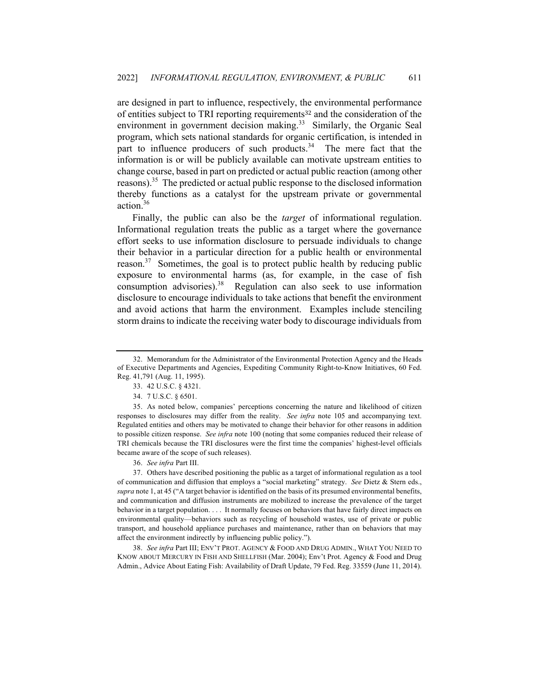are designed in part to influence, respectively, the environmental performance of entities subject to TRI reporting requirements<sup>32</sup> and the consideration of the environment in government decision making.<sup>33</sup> Similarly, the Organic Seal program, which sets national standards for organic certification, is intended in part to influence producers of such products.<sup>34</sup> The mere fact that the information is or will be publicly available can motivate upstream entities to change course, based in part on predicted or actual public reaction (among other reasons).<sup>35</sup> The predicted or actual public response to the disclosed information thereby functions as a catalyst for the upstream private or governmental action.36

Finally, the public can also be the *target* of informational regulation. Informational regulation treats the public as a target where the governance effort seeks to use information disclosure to persuade individuals to change their behavior in a particular direction for a public health or environmental reason. $37$  Sometimes, the goal is to protect public health by reducing public exposure to environmental harms (as, for example, in the case of fish consumption advisories).<sup>38</sup> Regulation can also seek to use information disclosure to encourage individuals to take actions that benefit the environment and avoid actions that harm the environment. Examples include stenciling storm drains to indicate the receiving water body to discourage individuals from

38. *See infra* Part III; ENV'T PROT. AGENCY & FOOD AND DRUG ADMIN., WHAT YOU NEED TO KNOW ABOUT MERCURY IN FISH AND SHELLFISH (Mar. 2004); Env't Prot. Agency & Food and Drug Admin., Advice About Eating Fish: Availability of Draft Update, 79 Fed. Reg. 33559 (June 11, 2014).

<sup>32.</sup> Memorandum for the Administrator of the Environmental Protection Agency and the Heads of Executive Departments and Agencies, Expediting Community Right-to-Know Initiatives, 60 Fed. Reg. 41,791 (Aug. 11, 1995).

<sup>33.</sup> 42 U.S.C. § 4321.

<sup>34.</sup> 7 U.S.C. § 6501.

<sup>35.</sup> As noted below, companies' perceptions concerning the nature and likelihood of citizen responses to disclosures may differ from the reality. *See infra* note 105 and accompanying text. Regulated entities and others may be motivated to change their behavior for other reasons in addition to possible citizen response. *See infra* note 100 (noting that some companies reduced their release of TRI chemicals because the TRI disclosures were the first time the companies' highest-level officials became aware of the scope of such releases).

<sup>36.</sup> *See infra* Part III.

<sup>37.</sup> Others have described positioning the public as a target of informational regulation as a tool of communication and diffusion that employs a "social marketing" strategy. *See* Dietz & Stern eds., *supra* note 1, at 45 ("A target behavior is identified on the basis of its presumed environmental benefits, and communication and diffusion instruments are mobilized to increase the prevalence of the target behavior in a target population. . . . It normally focuses on behaviors that have fairly direct impacts on environmental quality—behaviors such as recycling of household wastes, use of private or public transport, and household appliance purchases and maintenance, rather than on behaviors that may affect the environment indirectly by influencing public policy.").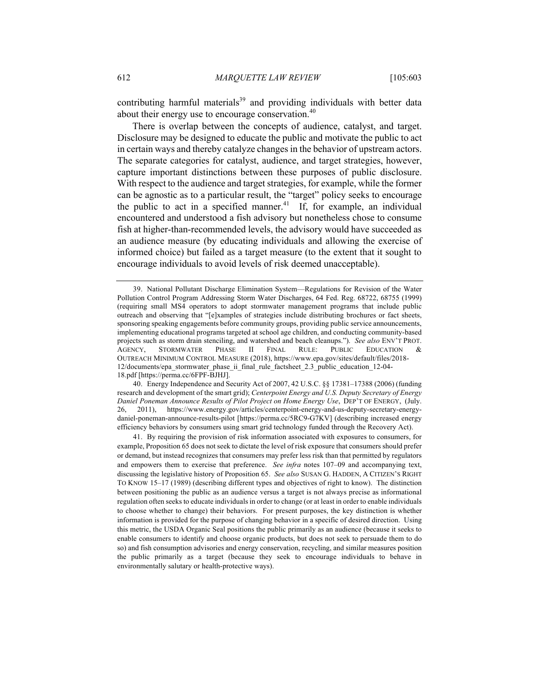contributing harmful materials<sup>39</sup> and providing individuals with better data about their energy use to encourage conservation.<sup>40</sup>

There is overlap between the concepts of audience, catalyst, and target. Disclosure may be designed to educate the public and motivate the public to act in certain ways and thereby catalyze changes in the behavior of upstream actors. The separate categories for catalyst, audience, and target strategies, however, capture important distinctions between these purposes of public disclosure. With respect to the audience and target strategies, for example, while the former can be agnostic as to a particular result, the "target" policy seeks to encourage the public to act in a specified manner.<sup>41</sup> If, for example, an individual encountered and understood a fish advisory but nonetheless chose to consume fish at higher-than-recommended levels, the advisory would have succeeded as an audience measure (by educating individuals and allowing the exercise of informed choice) but failed as a target measure (to the extent that it sought to encourage individuals to avoid levels of risk deemed unacceptable).

40. Energy Independence and Security Act of 2007, 42 U.S.C. §§ 17381–17388 (2006) (funding research and development of the smart grid); *Centerpoint Energy and U.S. Deputy Secretary of Energy Daniel Poneman Announce Results of Pilot Project on Home Energy Use*, DEP'T OF ENERGY, (July. 26, 2011), https://www.energy.gov/articles/centerpoint-energy-and-us-deputy-secretary-energydaniel-poneman-announce-results-pilot [https://perma.cc/5RC9-G7KV] (describing increased energy efficiency behaviors by consumers using smart grid technology funded through the Recovery Act).

41. By requiring the provision of risk information associated with exposures to consumers, for example, Proposition 65 does not seek to dictate the level of risk exposure that consumers should prefer or demand, but instead recognizes that consumers may prefer less risk than that permitted by regulators and empowers them to exercise that preference. *See infra* notes 107–09 and accompanying text, discussing the legislative history of Proposition 65. *See also* SUSAN G. HADDEN, A CITIZEN'S RIGHT TO KNOW 15–17 (1989) (describing different types and objectives of right to know). The distinction between positioning the public as an audience versus a target is not always precise as informational regulation often seeks to educate individuals in order to change (or at least in order to enable individuals to choose whether to change) their behaviors. For present purposes, the key distinction is whether information is provided for the purpose of changing behavior in a specific of desired direction. Using this metric, the USDA Organic Seal positions the public primarily as an audience (because it seeks to enable consumers to identify and choose organic products, but does not seek to persuade them to do so) and fish consumption advisories and energy conservation, recycling, and similar measures position the public primarily as a target (because they seek to encourage individuals to behave in environmentally salutary or health-protective ways).

<sup>39.</sup> National Pollutant Discharge Elimination System—Regulations for Revision of the Water Pollution Control Program Addressing Storm Water Discharges, 64 Fed. Reg. 68722, 68755 (1999) (requiring small MS4 operators to adopt stormwater management programs that include public outreach and observing that "[e]xamples of strategies include distributing brochures or fact sheets, sponsoring speaking engagements before community groups, providing public service announcements, implementing educational programs targeted at school age children, and conducting community-based projects such as storm drain stenciling, and watershed and beach cleanups."). *See also* ENV'T PROT. AGENCY, STORMWATER PHASE II FINAL RULE: PUBLIC EDUCATION & OUTREACH MINIMUM CONTROL MEASURE (2018), https://www.epa.gov/sites/default/files/2018- 12/documents/epa\_stormwater\_phase\_ii\_final\_rule\_factsheet\_2.3\_public\_education\_12-04- 18.pdf [https://perma.cc/6FPF-BJHJ].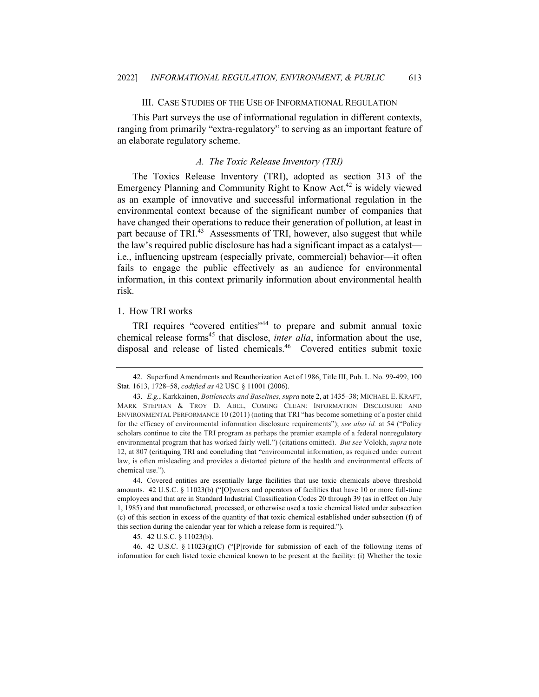## III. CASE STUDIES OF THE USE OF INFORMATIONAL REGULATION

This Part surveys the use of informational regulation in different contexts, ranging from primarily "extra-regulatory" to serving as an important feature of an elaborate regulatory scheme.

# *A. The Toxic Release Inventory (TRI)*

The Toxics Release Inventory (TRI), adopted as section 313 of the Emergency Planning and Community Right to Know Act, $42$  is widely viewed as an example of innovative and successful informational regulation in the environmental context because of the significant number of companies that have changed their operations to reduce their generation of pollution, at least in part because of TRI $^{43}$  Assessments of TRI, however, also suggest that while the law's required public disclosure has had a significant impact as a catalyst i.e., influencing upstream (especially private, commercial) behavior––it often fails to engage the public effectively as an audience for environmental information, in this context primarily information about environmental health risk.

## 1. How TRI works

TRI requires "covered entities"<sup>44</sup> to prepare and submit annual toxic chemical release forms<sup>45</sup> that disclose, *inter alia*, information about the use, disposal and release of listed chemicals.<sup>46</sup> Covered entities submit toxic

46. 42 U.S.C. § 11023(g)(C) ("[P]rovide for submission of each of the following items of information for each listed toxic chemical known to be present at the facility: (i) Whether the toxic

<sup>42.</sup> Superfund Amendments and Reauthorization Act of 1986, Title III, Pub. L. No. 99-499, 100 Stat. 1613, 1728–58, *codified as* 42 USC § 11001 (2006).

<sup>43.</sup> *E.g.*, Karkkainen, *Bottlenecks and Baselines*, *supra* note 2, at 1435–38; MICHAEL E. KRAFT, MARK STEPHAN & TROY D. ABEL, COMING CLEAN: INFORMATION DISCLOSURE AND ENVIRONMENTAL PERFORMANCE 10 (2011) (noting that TRI "has become something of a poster child for the efficacy of environmental information disclosure requirements"); *see also id.* at 54 ("Policy scholars continue to cite the TRI program as perhaps the premier example of a federal nonregulatory environmental program that has worked fairly well.") (citations omitted). *But see* Volokh, *supra* note 12, at 807 (critiquing TRI and concluding that "environmental information, as required under current law, is often misleading and provides a distorted picture of the health and environmental effects of chemical use.").

<sup>44.</sup> Covered entities are essentially large facilities that use toxic chemicals above threshold amounts. 42 U.S.C. § 11023(b) ("[O]wners and operators of facilities that have 10 or more full-time employees and that are in Standard Industrial Classification Codes 20 through 39 (as in effect on July 1, 1985) and that manufactured, processed, or otherwise used a toxic chemical listed under subsection (c) of this section in excess of the quantity of that toxic chemical established under subsection (f) of this section during the calendar year for which a release form is required.").

<sup>45.</sup> 42 U.S.C. § 11023(b).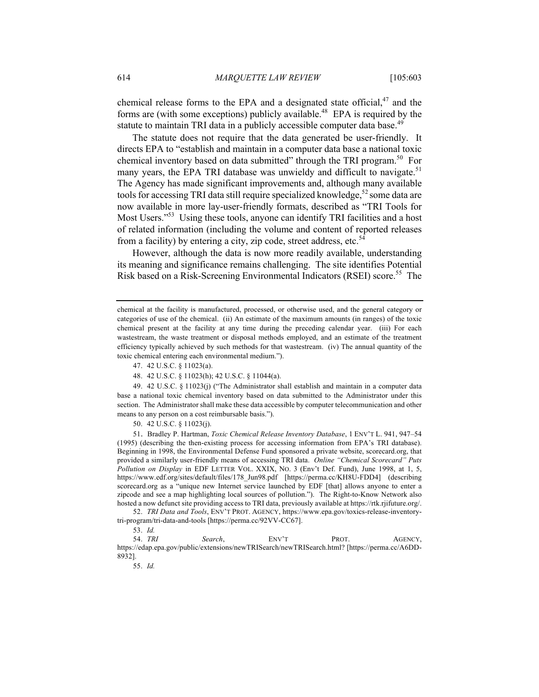chemical release forms to the EPA and a designated state official, $47$  and the forms are (with some exceptions) publicly available.<sup>48</sup> EPA is required by the statute to maintain TRI data in a publicly accessible computer data base.<sup>49</sup>

The statute does not require that the data generated be user-friendly. It directs EPA to "establish and maintain in a computer data base a national toxic chemical inventory based on data submitted" through the TRI program.<sup>50</sup> For many years, the EPA TRI database was unwieldy and difficult to navigate.<sup>51</sup> The Agency has made significant improvements and, although many available tools for accessing TRI data still require specialized knowledge,<sup>52</sup> some data are now available in more lay-user-friendly formats, described as "TRI Tools for Most Users."53 Using these tools, anyone can identify TRI facilities and a host of related information (including the volume and content of reported releases from a facility) by entering a city, zip code, street address, etc.<sup>54</sup>

However, although the data is now more readily available, understanding its meaning and significance remains challenging. The site identifies Potential Risk based on a Risk-Screening Environmental Indicators (RSEI) score.<sup>55</sup> The

49. 42 U.S.C. § 11023(j) ("The Administrator shall establish and maintain in a computer data base a national toxic chemical inventory based on data submitted to the Administrator under this section. The Administrator shall make these data accessible by computer telecommunication and other means to any person on a cost reimbursable basis.").

50. 42 U.S.C. § 11023(j).

51. Bradley P. Hartman, *Toxic Chemical Release Inventory Database*, 1 ENV'T L. 941, 947–54 (1995) (describing the then-existing process for accessing information from EPA's TRI database). Beginning in 1998, the Environmental Defense Fund sponsored a private website, scorecard.org, that provided a similarly user-friendly means of accessing TRI data. *Online "Chemical Scorecard" Puts Pollution on Display* in EDF LETTER VOL. XXIX, NO. 3 (Env't Def. Fund), June 1998, at 1, 5, https://www.edf.org/sites/default/files/178\_Jun98.pdf [https://perma.cc/KH8U-FDD4] (describing scorecard.org as a "unique new Internet service launched by EDF [that] allows anyone to enter a zipcode and see a map highlighting local sources of pollution."). The Right-to-Know Network also hosted a now defunct site providing access to TRI data, previously available at https://rtk.rjifuture.org/.

52. *TRI Data and Tools*, ENV'T PROT. AGENCY, https://www.epa.gov/toxics-release-inventorytri-program/tri-data-and-tools [https://perma.cc/92VV-CC67].

54. *TRI Search*, ENV'T PROT. AGENCY, https://edap.epa.gov/public/extensions/newTRISearch/newTRISearch.html? [https://perma.cc/A6DD-8932].

55. *Id.*

chemical at the facility is manufactured, processed, or otherwise used, and the general category or categories of use of the chemical. (ii) An estimate of the maximum amounts (in ranges) of the toxic chemical present at the facility at any time during the preceding calendar year. (iii) For each wastestream, the waste treatment or disposal methods employed, and an estimate of the treatment efficiency typically achieved by such methods for that wastestream. (iv) The annual quantity of the toxic chemical entering each environmental medium.").

<sup>47.</sup> 42 U.S.C. § 11023(a).

<sup>48.</sup> 42 U.S.C. § 11023(h); 42 U.S.C. § 11044(a).

<sup>53.</sup> *Id.*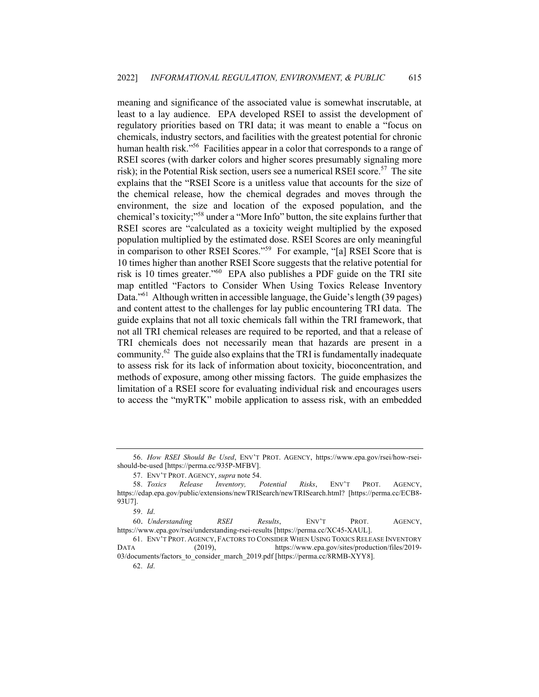meaning and significance of the associated value is somewhat inscrutable, at least to a lay audience. EPA developed RSEI to assist the development of regulatory priorities based on TRI data; it was meant to enable a "focus on chemicals, industry sectors, and facilities with the greatest potential for chronic human health risk."<sup>56</sup> Facilities appear in a color that corresponds to a range of RSEI scores (with darker colors and higher scores presumably signaling more risk); in the Potential Risk section, users see a numerical RSEI score.<sup>57</sup> The site explains that the "RSEI Score is a unitless value that accounts for the size of the chemical release, how the chemical degrades and moves through the environment, the size and location of the exposed population, and the chemical's toxicity;"58 under a "More Info" button, the site explains further that RSEI scores are "calculated as a toxicity weight multiplied by the exposed population multiplied by the estimated dose. RSEI Scores are only meaningful in comparison to other RSEI Scores."<sup>59</sup> For example, "[a] RSEI Score that is 10 times higher than another RSEI Score suggests that the relative potential for risk is 10 times greater."60 EPA also publishes a PDF guide on the TRI site map entitled "Factors to Consider When Using Toxics Release Inventory Data.<sup>"61</sup> Although written in accessible language, the Guide's length (39 pages) and content attest to the challenges for lay public encountering TRI data. The guide explains that not all toxic chemicals fall within the TRI framework, that not all TRI chemical releases are required to be reported, and that a release of TRI chemicals does not necessarily mean that hazards are present in a community.<sup>62</sup> The guide also explains that the TRI is fundamentally inadequate to assess risk for its lack of information about toxicity, bioconcentration, and methods of exposure, among other missing factors. The guide emphasizes the limitation of a RSEI score for evaluating individual risk and encourages users to access the "myRTK" mobile application to assess risk, with an embedded

<sup>56.</sup> *How RSEI Should Be Used*, ENV'T PROT. AGENCY, https://www.epa.gov/rsei/how-rseishould-be-used [https://perma.cc/935P-MFBV].

<sup>57.</sup> ENV'T PROT. AGENCY, *supra* note 54.

<sup>58.</sup> *Toxics Release Inventory, Potential Risks*, ENV'T PROT. AGENCY, https://edap.epa.gov/public/extensions/newTRISearch/newTRISearch.html? [https://perma.cc/ECB8- 93U7].

<sup>59.</sup> *Id*.

<sup>60.</sup> *Understanding RSEI Results*, ENV'T PROT. AGENCY, https://www.epa.gov/rsei/understanding-rsei-results [https://perma.cc/XC45-XAUL].

<sup>61.</sup> ENV'T PROT. AGENCY, FACTORS TO CONSIDER WHEN USING TOXICS RELEASE INVENTORY DATA (2019), https://www.epa.gov/sites/production/files/2019-03/documents/factors\_to\_consider\_march\_2019.pdf [https://perma.cc/8RMB-XYY8].

<sup>62.</sup> *Id*.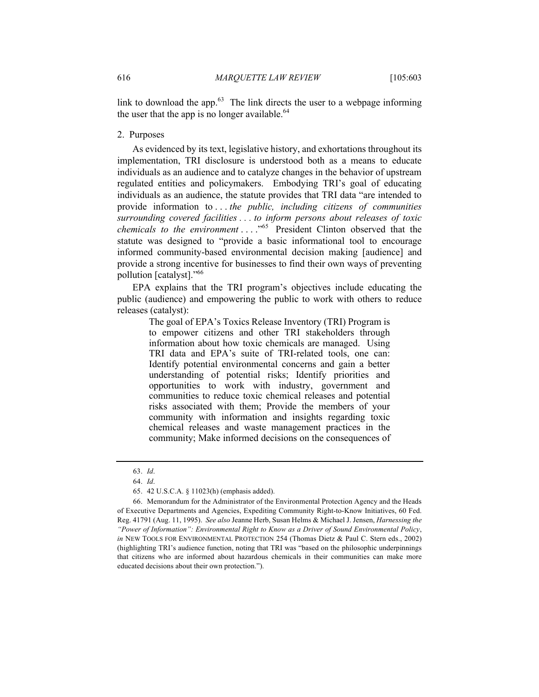link to download the app. $63$  The link directs the user to a webpage informing the user that the app is no longer available. $64$ 

## 2. Purposes

As evidenced by its text, legislative history, and exhortations throughout its implementation, TRI disclosure is understood both as a means to educate individuals as an audience and to catalyze changes in the behavior of upstream regulated entities and policymakers. Embodying TRI's goal of educating individuals as an audience, the statute provides that TRI data "are intended to provide information to . . . *the public, including citizens of communities surrounding covered facilities . . . to inform persons about releases of toxic chemicals to the environment* . . . ."<sup>65</sup> President Clinton observed that the statute was designed to "provide a basic informational tool to encourage informed community-based environmental decision making [audience] and provide a strong incentive for businesses to find their own ways of preventing pollution [catalyst]."66

EPA explains that the TRI program's objectives include educating the public (audience) and empowering the public to work with others to reduce releases (catalyst):

> The goal of EPA's Toxics Release Inventory (TRI) Program is to empower citizens and other TRI stakeholders through information about how toxic chemicals are managed. Using TRI data and EPA's suite of TRI-related tools, one can: Identify potential environmental concerns and gain a better understanding of potential risks; Identify priorities and opportunities to work with industry, government and communities to reduce toxic chemical releases and potential risks associated with them; Provide the members of your community with information and insights regarding toxic chemical releases and waste management practices in the community; Make informed decisions on the consequences of

<sup>63.</sup> *Id*.

<sup>64.</sup> *Id*.

<sup>65.</sup> 42 U.S.C.A. § 11023(h) (emphasis added).

<sup>66.</sup> Memorandum for the Administrator of the Environmental Protection Agency and the Heads of Executive Departments and Agencies, Expediting Community Right-to-Know Initiatives, 60 Fed. Reg. 41791 (Aug. 11, 1995). *See also* Jeanne Herb, Susan Helms & Michael J. Jensen, *Harnessing the "Power of Information": Environmental Right to Know as a Driver of Sound Environmental Policy*, *in* NEW TOOLS FOR ENVIRONMENTAL PROTECTION 254 (Thomas Dietz & Paul C. Stern eds., 2002) (highlighting TRI's audience function, noting that TRI was "based on the philosophic underpinnings that citizens who are informed about hazardous chemicals in their communities can make more educated decisions about their own protection.").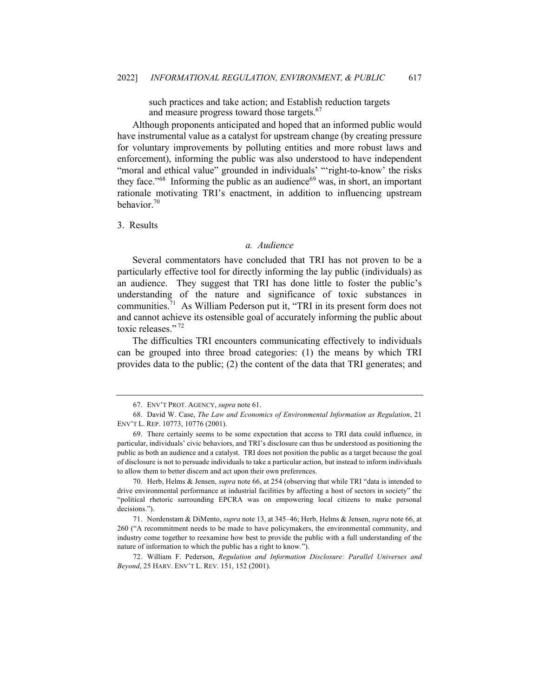such practices and take action; and Establish reduction targets and measure progress toward those targets.<sup>67</sup>

Although proponents anticipated and hoped that an informed public would have instrumental value as a catalyst for upstream change (by creating pressure for voluntary improvements by polluting entities and more robust laws and enforcement), informing the public was also understood to have independent "moral and ethical value" grounded in individuals' "'right-to-know' the risks they face.<sup> $168$ </sup> Informing the public as an audience<sup>69</sup> was, in short, an important rationale motivating TRI's enactment, in addition to influencing upstream behavior.<sup>70</sup>

3. Results

## *a. Audience*

Several commentators have concluded that TRI has not proven to be a particularly effective tool for directly informing the lay public (individuals) as an audience. They suggest that TRI has done little to foster the public's understanding of the nature and significance of toxic substances in communities.71 As William Pederson put it, "TRI in its present form does not and cannot achieve its ostensible goal of accurately informing the public about toxic releases."<sup>72</sup>

The difficulties TRI encounters communicating effectively to individuals can be grouped into three broad categories: (1) the means by which TRI provides data to the public; (2) the content of the data that TRI generates; and

<sup>67.</sup> ENV'T PROT. AGENCY, *supra* note 61.

<sup>68.</sup> David W. Case, *The Law and Economics of Environmental Information as Regulation*, 21 ENV'T L. REP. 10773, 10776 (2001).

<sup>69.</sup> There certainly seems to be some expectation that access to TRI data could influence, in particular, individuals' civic behaviors, and TRI's disclosure can thus be understood as positioning the public as both an audience and a catalyst. TRI does not position the public as a target because the goal of disclosure is not to persuade individuals to take a particular action, but instead to inform individuals to allow them to better discern and act upon their own preferences.

<sup>70.</sup> Herb, Helms & Jensen, *supra* note 66, at 254 (observing that while TRI "data is intended to drive environmental performance at industrial facilities by affecting a host of sectors in society" the "political rhetoric surrounding EPCRA was on empowering local citizens to make personal decisions.").

<sup>71.</sup> Nordenstam & DiMento, *supra* note 13, at 345–46; Herb, Helms & Jensen, *supra* note 66, at 260 ("A recommitment needs to be made to have policymakers, the environmental community, and industry come together to reexamine how best to provide the public with a full understanding of the nature of information to which the public has a right to know.").

<sup>72.</sup> William F. Pederson, *Regulation and Information Disclosure: Parallel Universes and Beyond*, 25 HARV. ENV'T L. REV. 151, 152 (2001).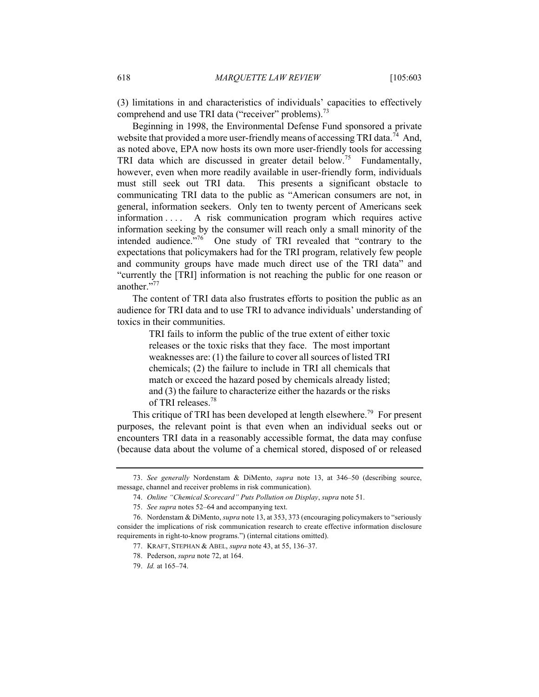(3) limitations in and characteristics of individuals' capacities to effectively comprehend and use TRI data ("receiver" problems).<sup>73</sup>

Beginning in 1998, the Environmental Defense Fund sponsored a private website that provided a more user-friendly means of accessing TRI data.<sup>74</sup> And, as noted above, EPA now hosts its own more user-friendly tools for accessing TRI data which are discussed in greater detail below.<sup>75</sup> Fundamentally, however, even when more readily available in user-friendly form, individuals must still seek out TRI data. This presents a significant obstacle to communicating TRI data to the public as "American consumers are not, in general, information seekers. Only ten to twenty percent of Americans seek information . . . . A risk communication program which requires active information seeking by the consumer will reach only a small minority of the intended audience."<sup>76</sup> One study of TRI revealed that "contrary to the expectations that policymakers had for the TRI program, relatively few people and community groups have made much direct use of the TRI data" and "currently the [TRI] information is not reaching the public for one reason or another."<sup>77</sup>

The content of TRI data also frustrates efforts to position the public as an audience for TRI data and to use TRI to advance individuals' understanding of toxics in their communities.

> TRI fails to inform the public of the true extent of either toxic releases or the toxic risks that they face. The most important weaknesses are: (1) the failure to cover all sources of listed TRI chemicals; (2) the failure to include in TRI all chemicals that match or exceed the hazard posed by chemicals already listed; and (3) the failure to characterize either the hazards or the risks of TRI releases.78

This critique of TRI has been developed at length elsewhere.<sup>79</sup> For present purposes, the relevant point is that even when an individual seeks out or encounters TRI data in a reasonably accessible format, the data may confuse (because data about the volume of a chemical stored, disposed of or released

<sup>73.</sup> *See generally* Nordenstam & DiMento, *supra* note 13, at 346–50 (describing source, message, channel and receiver problems in risk communication).

<sup>74.</sup> *Online "Chemical Scorecard" Puts Pollution on Display*, *supra* note 51.

<sup>75.</sup> *See supra* notes 52–64 and accompanying text.

<sup>76.</sup> Nordenstam & DiMento, *supra* note 13, at 353, 373 (encouraging policymakers to "seriously consider the implications of risk communication research to create effective information disclosure requirements in right-to-know programs.") (internal citations omitted).

<sup>77.</sup> KRAFT, STEPHAN & ABEL, *supra* note 43, at 55, 136–37.

<sup>78.</sup> Pederson, *supra* note 72, at 164.

<sup>79.</sup> *Id.* at 165–74.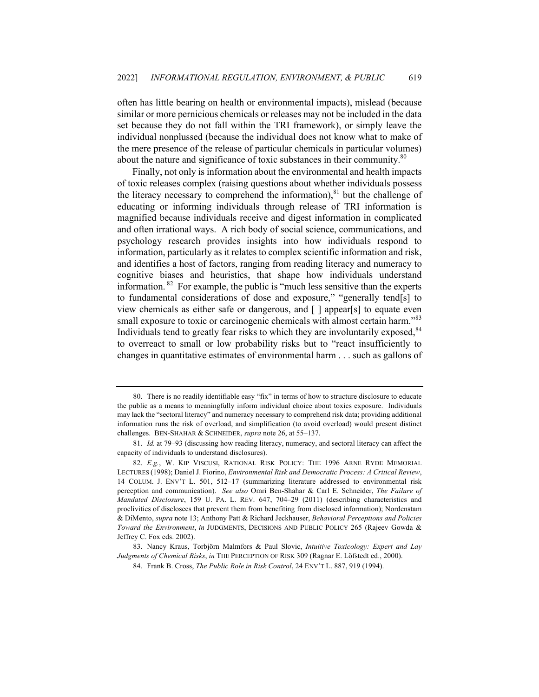often has little bearing on health or environmental impacts), mislead (because similar or more pernicious chemicals or releases may not be included in the data set because they do not fall within the TRI framework), or simply leave the individual nonplussed (because the individual does not know what to make of the mere presence of the release of particular chemicals in particular volumes) about the nature and significance of toxic substances in their community. $80$ 

Finally, not only is information about the environmental and health impacts of toxic releases complex (raising questions about whether individuals possess the literacy necessary to comprehend the information), $81$  but the challenge of educating or informing individuals through release of TRI information is magnified because individuals receive and digest information in complicated and often irrational ways. A rich body of social science, communications, and psychology research provides insights into how individuals respond to information, particularly as it relates to complex scientific information and risk, and identifies a host of factors, ranging from reading literacy and numeracy to cognitive biases and heuristics, that shape how individuals understand information.  $82$  For example, the public is "much less sensitive than the experts to fundamental considerations of dose and exposure," "generally tend[s] to view chemicals as either safe or dangerous, and [ ] appear[s] to equate even small exposure to toxic or carcinogenic chemicals with almost certain harm.<sup>883</sup> Individuals tend to greatly fear risks to which they are involuntarily exposed,<sup>84</sup> to overreact to small or low probability risks but to "react insufficiently to changes in quantitative estimates of environmental harm . . . such as gallons of

<sup>80.</sup> There is no readily identifiable easy "fix" in terms of how to structure disclosure to educate the public as a means to meaningfully inform individual choice about toxics exposure. Individuals may lack the "sectoral literacy" and numeracy necessary to comprehend risk data; providing additional information runs the risk of overload, and simplification (to avoid overload) would present distinct challenges. BEN-SHAHAR & SCHNEIDER, *supra* note 26, at 55–137.

<sup>81.</sup> *Id.* at 79–93 (discussing how reading literacy, numeracy, and sectoral literacy can affect the capacity of individuals to understand disclosures).

<sup>82.</sup> *E.g.*, W. KIP VISCUSI, RATIONAL RISK POLICY: THE 1996 ARNE RYDE MEMORIAL LECTURES (1998); Daniel J. Fiorino, *Environmental Risk and Democratic Process: A Critical Review*, 14 COLUM. J. ENV'T L. 501, 512–17 (summarizing literature addressed to environmental risk perception and communication). *See also* Omri Ben-Shahar & Carl E. Schneider, *The Failure of Mandated Disclosure*, 159 U. PA. L. REV. 647, 704–29 (2011) (describing characteristics and proclivities of disclosees that prevent them from benefiting from disclosed information); Nordenstam & DiMento, *supra* note 13; Anthony Patt & Richard Jeckhauser, *Behavioral Perceptions and Policies Toward the Environment*, *in* JUDGMENTS, DECISIONS AND PUBLIC POLICY 265 (Rajeev Gowda & Jeffrey C. Fox eds. 2002).

<sup>83.</sup> Nancy Kraus, Torbjörn Malmfors & Paul Slovic, *Intuitive Toxicology: Expert and Lay Judgments of Chemical Risks*, *in* THE PERCEPTION OF RISK 309 (Ragnar E. Löfstedt ed., 2000).

<sup>84.</sup> Frank B. Cross, *The Public Role in Risk Control*, 24 ENV'T L. 887, 919 (1994).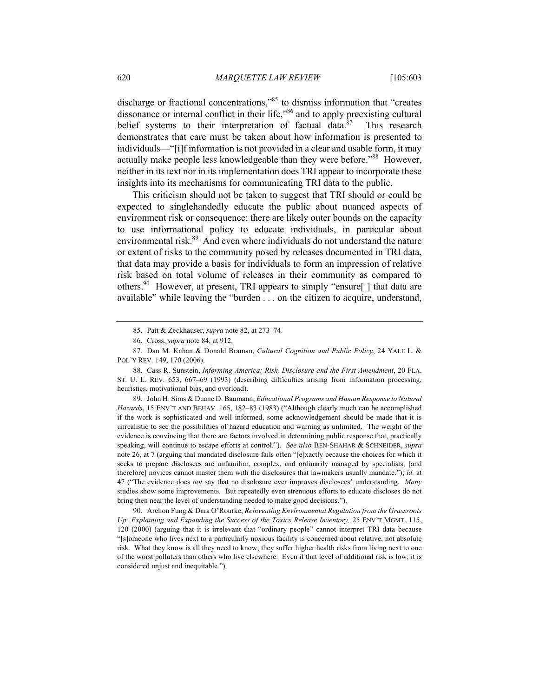discharge or fractional concentrations,"85 to dismiss information that "creates dissonance or internal conflict in their life,"86 and to apply preexisting cultural belief systems to their interpretation of factual data. $87$  This research demonstrates that care must be taken about how information is presented to individuals—"[i]f information is not provided in a clear and usable form, it may actually make people less knowledgeable than they were before."88 However, neither in its text nor in its implementation does TRI appear to incorporate these insights into its mechanisms for communicating TRI data to the public.

This criticism should not be taken to suggest that TRI should or could be expected to singlehandedly educate the public about nuanced aspects of environment risk or consequence; there are likely outer bounds on the capacity to use informational policy to educate individuals, in particular about environmental risk.<sup>89</sup> And even where individuals do not understand the nature or extent of risks to the community posed by releases documented in TRI data, that data may provide a basis for individuals to form an impression of relative risk based on total volume of releases in their community as compared to others.<sup>90</sup> However, at present, TRI appears to simply "ensure  $\lceil \cdot \rceil$  that data are available" while leaving the "burden . . . on the citizen to acquire, understand,

89. John H. Sims & Duane D. Baumann, *Educational Programs and Human Response to Natural Hazards*, 15 ENV'T AND BEHAV. 165, 182–83 (1983) ("Although clearly much can be accomplished if the work is sophisticated and well informed, some acknowledgement should be made that it is unrealistic to see the possibilities of hazard education and warning as unlimited. The weight of the evidence is convincing that there are factors involved in determining public response that, practically speaking, will continue to escape efforts at control."). *See also* BEN-SHAHAR & SCHNEIDER, *supra*  note 26, at 7 (arguing that mandated disclosure fails often "[e]xactly because the choices for which it seeks to prepare disclosees are unfamiliar, complex, and ordinarily managed by specialists, [and therefore] novices cannot master them with the disclosures that lawmakers usually mandate."); *id.* at 47 ("The evidence does *not* say that no disclosure ever improves disclosees' understanding. *Many*  studies show some improvements. But repeatedly even strenuous efforts to educate discloses do not bring then near the level of understanding needed to make good decisions.").

90. Archon Fung & Dara O'Rourke, *Reinventing Environmental Regulation from the Grassroots Up: Explaining and Expanding the Success of the Toxics Release Inventory,* 25 ENV'T MGMT. 115, 120 (2000) (arguing that it is irrelevant that "ordinary people" cannot interpret TRI data because "[s]omeone who lives next to a particularly noxious facility is concerned about relative, not absolute risk. What they know is all they need to know; they suffer higher health risks from living next to one of the worst polluters than others who live elsewhere. Even if that level of additional risk is low, it is considered unjust and inequitable.").

<sup>85.</sup> Patt & Zeckhauser, *supra* note 82, at 273–74.

<sup>86.</sup> Cross, *supra* note 84, at 912.

<sup>87.</sup> Dan M. Kahan & Donald Braman, *Cultural Cognition and Public Policy*, 24 YALE L. & POL'Y REV. 149, 170 (2006).

<sup>88.</sup> Cass R. Sunstein, *Informing America: Risk, Disclosure and the First Amendment*, 20 FLA. ST. U. L. REV. 653, 667–69 (1993) (describing difficulties arising from information processing, heuristics, motivational bias, and overload).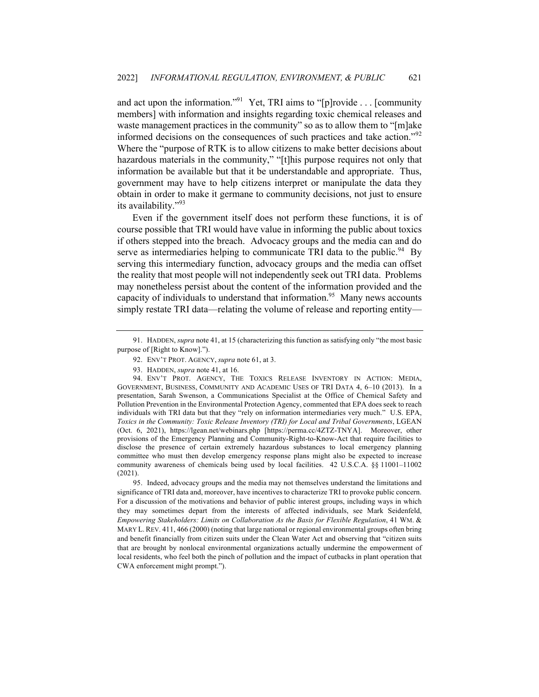and act upon the information."<sup>91</sup> Yet, TRI aims to "[p]rovide . . . [community members] with information and insights regarding toxic chemical releases and waste management practices in the community" so as to allow them to "[m]ake informed decisions on the consequences of such practices and take action."<sup>92</sup> Where the "purpose of RTK is to allow citizens to make better decisions about hazardous materials in the community," "[t]his purpose requires not only that information be available but that it be understandable and appropriate. Thus, government may have to help citizens interpret or manipulate the data they obtain in order to make it germane to community decisions, not just to ensure its availability."<sup>93</sup>

Even if the government itself does not perform these functions, it is of course possible that TRI would have value in informing the public about toxics if others stepped into the breach. Advocacy groups and the media can and do serve as intermediaries helping to communicate TRI data to the public.<sup>94</sup> By serving this intermediary function, advocacy groups and the media can offset the reality that most people will not independently seek out TRI data. Problems may nonetheless persist about the content of the information provided and the capacity of individuals to understand that information.<sup>95</sup> Many news accounts simply restate TRI data—relating the volume of release and reporting entity—

95. Indeed, advocacy groups and the media may not themselves understand the limitations and significance of TRI data and, moreover, have incentives to characterize TRI to provoke public concern. For a discussion of the motivations and behavior of public interest groups, including ways in which they may sometimes depart from the interests of affected individuals, see Mark Seidenfeld, *Empowering Stakeholders: Limits on Collaboration As the Basis for Flexible Regulation*, 41 WM. & MARY L. REV. 411, 466 (2000) (noting that large national or regional environmental groups often bring and benefit financially from citizen suits under the Clean Water Act and observing that "citizen suits that are brought by nonlocal environmental organizations actually undermine the empowerment of local residents, who feel both the pinch of pollution and the impact of cutbacks in plant operation that CWA enforcement might prompt.").

<sup>91.</sup> HADDEN, *supra* note 41, at 15 (characterizing this function as satisfying only "the most basic purpose of [Right to Know].").

<sup>92.</sup> ENV'T PROT. AGENCY, *supra* note 61, at 3.

<sup>93.</sup> HADDEN, *supra* note 41, at 16.

<sup>94.</sup> ENV'T PROT. AGENCY, THE TOXICS RELEASE INVENTORY IN ACTION: MEDIA, GOVERNMENT, BUSINESS, COMMUNITY AND ACADEMIC USES OF TRI DATA 4, 6–10 (2013). In a presentation, Sarah Swenson, a Communications Specialist at the Office of Chemical Safety and Pollution Prevention in the Environmental Protection Agency, commented that EPA does seek to reach individuals with TRI data but that they "rely on information intermediaries very much." U.S. EPA, *Toxics in the Community: Toxic Release Inventory (TRI) for Local and Tribal Governments*, LGEAN (Oct. 6, 2021), https://lgean.net/webinars.php [https://perma.cc/4ZTZ-TNYA]. Moreover, other provisions of the Emergency Planning and Community-Right-to-Know-Act that require facilities to disclose the presence of certain extremely hazardous substances to local emergency planning committee who must then develop emergency response plans might also be expected to increase community awareness of chemicals being used by local facilities. 42 U.S.C.A. §§ 11001–11002 (2021).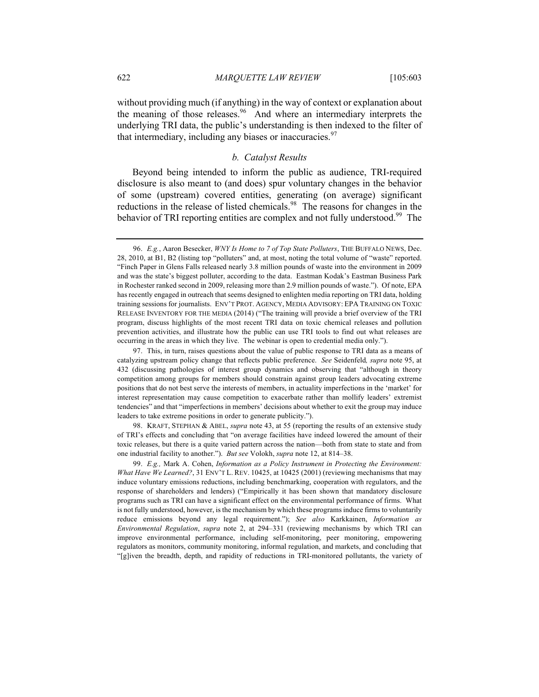without providing much (if anything) in the way of context or explanation about the meaning of those releases.<sup>96</sup> And where an intermediary interprets the underlying TRI data, the public's understanding is then indexed to the filter of that intermediary, including any biases or inaccuracies. $\frac{97}{2}$ 

# *b. Catalyst Results*

Beyond being intended to inform the public as audience, TRI-required disclosure is also meant to (and does) spur voluntary changes in the behavior of some (upstream) covered entities, generating (on average) significant reductions in the release of listed chemicals.<sup>98</sup> The reasons for changes in the behavior of TRI reporting entities are complex and not fully understood.<sup>99</sup> The

98. KRAFT, STEPHAN & ABEL, *supra* note 43, at 55 (reporting the results of an extensive study of TRI's effects and concluding that "on average facilities have indeed lowered the amount of their toxic releases, but there is a quite varied pattern across the nation—both from state to state and from one industrial facility to another."). *But see* Volokh, *supra* note 12, at 814–38.

99. *E.g.,* Mark A. Cohen, *Information as a Policy Instrument in Protecting the Environment: What Have We Learned?*, 31 ENV'T L. REV. 10425, at 10425 (2001) (reviewing mechanisms that may induce voluntary emissions reductions, including benchmarking, cooperation with regulators, and the response of shareholders and lenders) ("Empirically it has been shown that mandatory disclosure programs such as TRI can have a significant effect on the environmental performance of firms. What is not fully understood, however, is the mechanism by which these programs induce firms to voluntarily reduce emissions beyond any legal requirement."); *See also* Karkkainen, *Information as Environmental Regulation*, *supra* note 2, at 294–331 (reviewing mechanisms by which TRI can improve environmental performance, including self-monitoring, peer monitoring, empowering regulators as monitors, community monitoring, informal regulation, and markets, and concluding that "[g]iven the breadth, depth, and rapidity of reductions in TRI-monitored pollutants, the variety of

<sup>96.</sup> *E.g.*, Aaron Besecker, *WNY Is Home to 7 of Top State Polluters*, THE BUFFALO NEWS, Dec. 28, 2010, at B1, B2 (listing top "polluters" and, at most, noting the total volume of "waste" reported. "Finch Paper in Glens Falls released nearly 3.8 million pounds of waste into the environment in 2009 and was the state's biggest polluter, according to the data. Eastman Kodak's Eastman Business Park in Rochester ranked second in 2009, releasing more than 2.9 million pounds of waste."). Of note, EPA has recently engaged in outreach that seems designed to enlighten media reporting on TRI data, holding training sessions for journalists. ENV'T PROT. AGENCY, MEDIA ADVISORY: EPA TRAINING ON TOXIC RELEASE INVENTORY FOR THE MEDIA (2014) ("The training will provide a brief overview of the TRI program, discuss highlights of the most recent TRI data on toxic chemical releases and pollution prevention activities, and illustrate how the public can use TRI tools to find out what releases are occurring in the areas in which they live. The webinar is open to credential media only.").

<sup>97.</sup> This, in turn, raises questions about the value of public response to TRI data as a means of catalyzing upstream policy change that reflects public preference. *See* Seidenfeld*, supra* note 95, at 432 (discussing pathologies of interest group dynamics and observing that "although in theory competition among groups for members should constrain against group leaders advocating extreme positions that do not best serve the interests of members, in actuality imperfections in the 'market' for interest representation may cause competition to exacerbate rather than mollify leaders' extremist tendencies" and that "imperfections in members' decisions about whether to exit the group may induce leaders to take extreme positions in order to generate publicity.").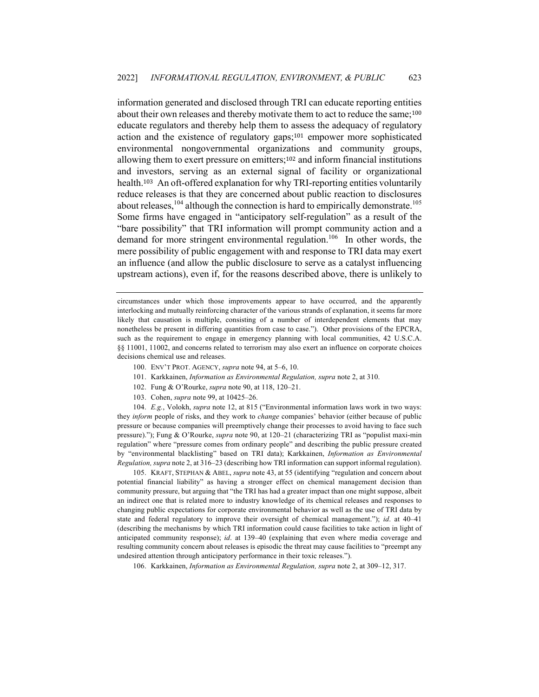information generated and disclosed through TRI can educate reporting entities about their own releases and thereby motivate them to act to reduce the same;<sup>100</sup> educate regulators and thereby help them to assess the adequacy of regulatory action and the existence of regulatory gaps;<sup>101</sup> empower more sophisticated environmental nongovernmental organizations and community groups, allowing them to exert pressure on emitters;<sup>102</sup> and inform financial institutions and investors, serving as an external signal of facility or organizational health.103 An oft-offered explanation for why TRI-reporting entities voluntarily reduce releases is that they are concerned about public reaction to disclosures about releases,  $^{104}$  although the connection is hard to empirically demonstrate.<sup>105</sup> Some firms have engaged in "anticipatory self-regulation" as a result of the "bare possibility" that TRI information will prompt community action and a demand for more stringent environmental regulation.<sup>106</sup> In other words, the mere possibility of public engagement with and response to TRI data may exert an influence (and allow the public disclosure to serve as a catalyst influencing upstream actions), even if, for the reasons described above, there is unlikely to

circumstances under which those improvements appear to have occurred, and the apparently interlocking and mutually reinforcing character of the various strands of explanation, it seems far more likely that causation is multiple, consisting of a number of interdependent elements that may nonetheless be present in differing quantities from case to case."). Other provisions of the EPCRA, such as the requirement to engage in emergency planning with local communities, 42 U.S.C.A. §§ 11001, 11002, and concerns related to terrorism may also exert an influence on corporate choices decisions chemical use and releases.

- 100. ENV'T PROT. AGENCY, *supra* note 94, at 5–6, 10.
- 101. Karkkainen, *Information as Environmental Regulation, supra* note 2, at 310.
- 102. Fung & O'Rourke, *supra* note 90, at 118, 120–21.
- 103. Cohen, *supra* note 99, at 10425–26.

104. *E.g.*, Volokh, *supra* note 12, at 815 ("Environmental information laws work in two ways: they *inform* people of risks, and they work to *change* companies' behavior (either because of public pressure or because companies will preemptively change their processes to avoid having to face such pressure)."); Fung & O'Rourke, *supra* note 90, at 120–21 (characterizing TRI as "populist maxi-min regulation" where "pressure comes from ordinary people" and describing the public pressure created by "environmental blacklisting" based on TRI data); Karkkainen, *Information as Environmental Regulation, supra* note 2, at 316–23 (describing how TRI information can support informal regulation).

105. KRAFT, STEPHAN & ABEL, *supra* note 43, at 55 (identifying "regulation and concern about potential financial liability" as having a stronger effect on chemical management decision than community pressure, but arguing that "the TRI has had a greater impact than one might suppose, albeit an indirect one that is related more to industry knowledge of its chemical releases and responses to changing public expectations for corporate environmental behavior as well as the use of TRI data by state and federal regulatory to improve their oversight of chemical management."); *id*. at 40–41 (describing the mechanisms by which TRI information could cause facilities to take action in light of anticipated community response); *id*. at 139–40 (explaining that even where media coverage and resulting community concern about releases is episodic the threat may cause facilities to "preempt any undesired attention through anticipatory performance in their toxic releases.").

106. Karkkainen, *Information as Environmental Regulation, supra* note 2, at 309–12, 317.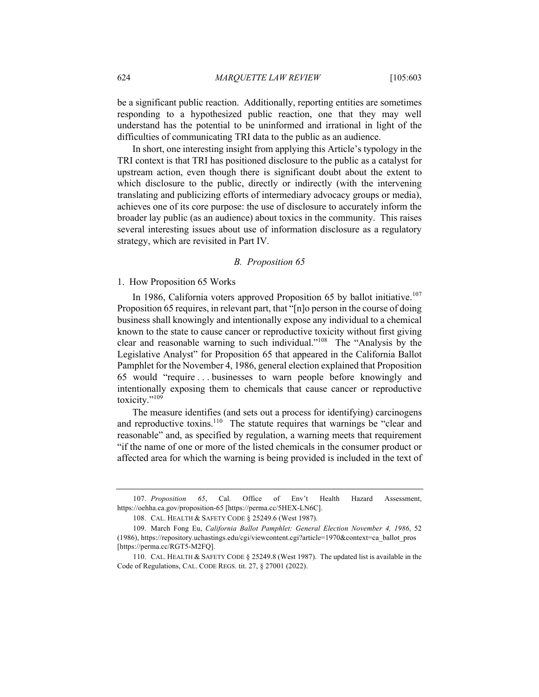be a significant public reaction. Additionally, reporting entities are sometimes responding to a hypothesized public reaction, one that they may well understand has the potential to be uninformed and irrational in light of the difficulties of communicating TRI data to the public as an audience.

In short, one interesting insight from applying this Article's typology in the TRI context is that TRI has positioned disclosure to the public as a catalyst for upstream action, even though there is significant doubt about the extent to which disclosure to the public, directly or indirectly (with the intervening translating and publicizing efforts of intermediary advocacy groups or media), achieves one of its core purpose: the use of disclosure to accurately inform the broader lay public (as an audience) about toxics in the community. This raises several interesting issues about use of information disclosure as a regulatory strategy, which are revisited in Part IV.

## *B. Proposition 65*

1. How Proposition 65 Works

In 1986, California voters approved Proposition 65 by ballot initiative.<sup>107</sup> Proposition 65 requires, in relevant part, that "[n]o person in the course of doing business shall knowingly and intentionally expose any individual to a chemical known to the state to cause cancer or reproductive toxicity without first giving clear and reasonable warning to such individual."108 The "Analysis by the Legislative Analyst" for Proposition 65 that appeared in the California Ballot Pamphlet for the November 4, 1986, general election explained that Proposition 65 would "require . . . businesses to warn people before knowingly and intentionally exposing them to chemicals that cause cancer or reproductive toxicity."<sup>109</sup>

The measure identifies (and sets out a process for identifying) carcinogens and reproductive toxins.<sup>110</sup> The statute requires that warnings be "clear and reasonable" and, as specified by regulation, a warning meets that requirement "if the name of one or more of the listed chemicals in the consumer product or affected area for which the warning is being provided is included in the text of

<sup>107.</sup> *Proposition 65*, Cal. Office of Env't Health Hazard Assessment, https://oehha.ca.gov/proposition-65 [https://perma.cc/5HEX-LN6C].

<sup>108.</sup> CAL. HEALTH & SAFETY CODE § 25249.6 (West 1987).

<sup>109.</sup> March Fong Eu, *California Ballot Pamphlet: General Election November 4, 1986*, 52 (1986), https://repository.uchastings.edu/cgi/viewcontent.cgi?article=1970&context=ca\_ballot\_pros [https://perma.cc/RGT5-M2FQ].

<sup>110.</sup> CAL. HEALTH & SAFETY CODE § 25249.8 (West 1987). The updated list is available in the Code of Regulations, CAL. CODE REGS. tit. 27, § 27001 (2022).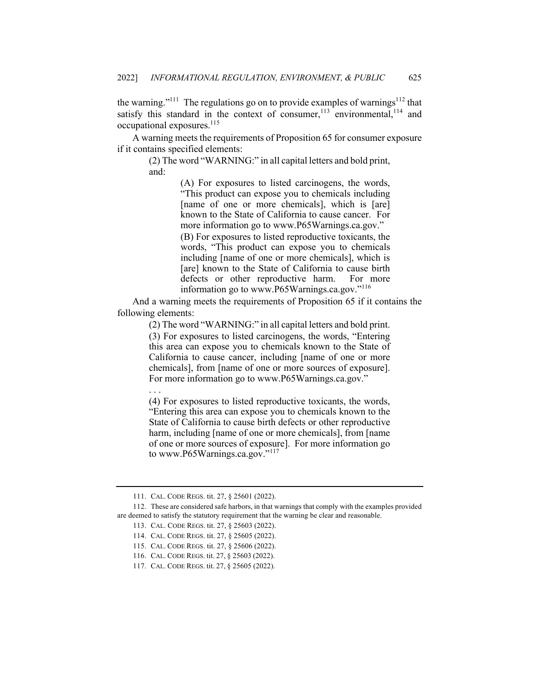the warning."<sup>111</sup> The regulations go on to provide examples of warnings<sup>112</sup> that satisfy this standard in the context of consumer, $113$  environmental, $114$  and occupational exposures.<sup>115</sup>

A warning meets the requirements of Proposition 65 for consumer exposure if it contains specified elements:

(2) The word "WARNING:" in all capital letters and bold print, and:

> (A) For exposures to listed carcinogens, the words, "This product can expose you to chemicals including [name of one or more chemicals], which is [are] known to the State of California to cause cancer. For more information go to www.P65Warnings.ca.gov." (B) For exposures to listed reproductive toxicants, the words, "This product can expose you to chemicals including [name of one or more chemicals], which is [are] known to the State of California to cause birth defects or other reproductive harm. For more information go to www.P65Warnings.ca.gov."<sup>116</sup>

And a warning meets the requirements of Proposition 65 if it contains the following elements:

(2) The word "WARNING:" in all capital letters and bold print.

(3) For exposures to listed carcinogens, the words, "Entering this area can expose you to chemicals known to the State of California to cause cancer, including [name of one or more chemicals], from [name of one or more sources of exposure]. For more information go to www.P65Warnings.ca.gov."

. . .

(4) For exposures to listed reproductive toxicants, the words, "Entering this area can expose you to chemicals known to the State of California to cause birth defects or other reproductive harm, including [name of one or more chemicals], from [name of one or more sources of exposure]. For more information go to www.P65Warnings.ca.gov."117

<sup>111.</sup> CAL. CODE REGS. tit. 27, § 25601 (2022).

<sup>112.</sup> These are considered safe harbors, in that warnings that comply with the examples provided are deemed to satisfy the statutory requirement that the warning be clear and reasonable.

<sup>113.</sup> CAL. CODE REGS. tit. 27, § 25603 (2022).

<sup>114.</sup> CAL. CODE REGS. tit. 27, § 25605 (2022).

<sup>115.</sup> CAL. CODE REGS. tit. 27, § 25606 (2022).

<sup>116.</sup> CAL. CODE REGS. tit. 27, § 25603 (2022).

<sup>117.</sup> CAL. CODE REGS. tit. 27, § 25605 (2022).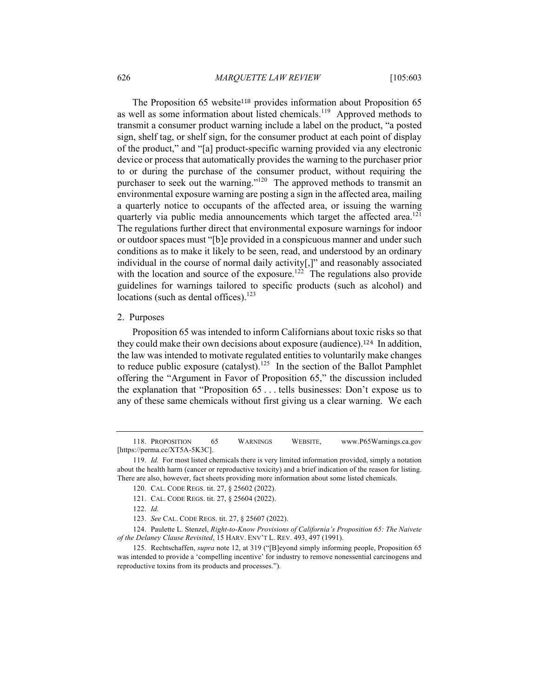The Proposition 65 website<sup>118</sup> provides information about Proposition 65 as well as some information about listed chemicals.<sup>119</sup> Approved methods to transmit a consumer product warning include a label on the product, "a posted sign, shelf tag, or shelf sign, for the consumer product at each point of display of the product," and "[a] product-specific warning provided via any electronic device or process that automatically provides the warning to the purchaser prior to or during the purchase of the consumer product, without requiring the purchaser to seek out the warning."<sup>120</sup> The approved methods to transmit an environmental exposure warning are posting a sign in the affected area, mailing a quarterly notice to occupants of the affected area, or issuing the warning quarterly via public media announcements which target the affected area.<sup>121</sup> The regulations further direct that environmental exposure warnings for indoor or outdoor spaces must "[b]e provided in a conspicuous manner and under such conditions as to make it likely to be seen, read, and understood by an ordinary individual in the course of normal daily activity[,]" and reasonably associated with the location and source of the exposure.<sup>122</sup> The regulations also provide guidelines for warnings tailored to specific products (such as alcohol) and locations (such as dental offices). $123$ 

#### 2. Purposes

Proposition 65 was intended to inform Californians about toxic risks so that they could make their own decisions about exposure (audience).124 In addition, the law was intended to motivate regulated entities to voluntarily make changes to reduce public exposure (catalyst).<sup>125</sup> In the section of the Ballot Pamphlet offering the "Argument in Favor of Proposition 65," the discussion included the explanation that "Proposition 65 . . . tells businesses: Don't expose us to any of these same chemicals without first giving us a clear warning. We each

118. PROPOSITION 65 WARNINGS WEBSITE, www.P65Warnings.ca.gov [https://perma.cc/XT5A-5K3C].

<sup>119.</sup> *Id.* For most listed chemicals there is very limited information provided, simply a notation about the health harm (cancer or reproductive toxicity) and a brief indication of the reason for listing. There are also, however, fact sheets providing more information about some listed chemicals.

<sup>120.</sup> CAL. CODE REGS. tit. 27, § 25602 (2022).

<sup>121.</sup> CAL. CODE REGS. tit. 27, § 25604 (2022).

<sup>122.</sup> *Id.*

<sup>123.</sup> *See* CAL. CODE REGS. tit. 27, § 25607 (2022).

<sup>124.</sup> Paulette L. Stenzel, *Right-to-Know Provisions of California's Proposition 65: The Naivete of the Delaney Clause Revisited*, 15 HARV. ENV'T L. REV. 493, 497 (1991).

<sup>125.</sup> Rechtschaffen, *supra* note 12, at 319 ("[B]eyond simply informing people, Proposition 65 was intended to provide a 'compelling incentive' for industry to remove nonessential carcinogens and reproductive toxins from its products and processes.").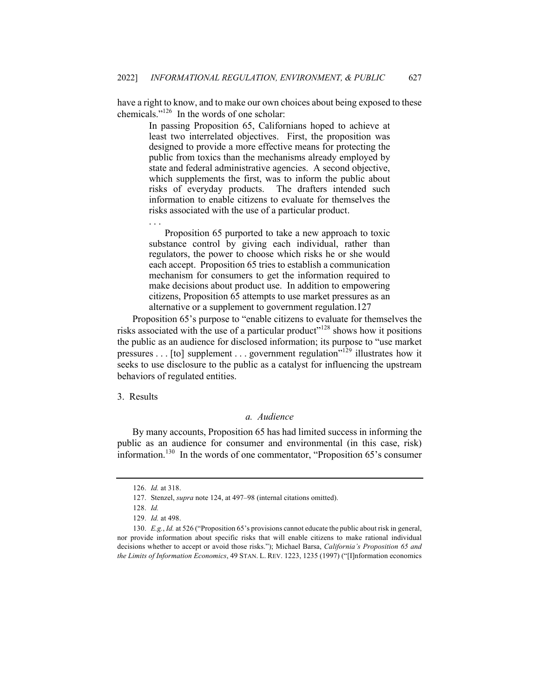have a right to know, and to make our own choices about being exposed to these chemicals."126 In the words of one scholar:

In passing Proposition 65, Californians hoped to achieve at least two interrelated objectives. First, the proposition was designed to provide a more effective means for protecting the public from toxics than the mechanisms already employed by state and federal administrative agencies. A second objective, which supplements the first, was to inform the public about risks of everyday products. The drafters intended such information to enable citizens to evaluate for themselves the risks associated with the use of a particular product.

Proposition 65 purported to take a new approach to toxic substance control by giving each individual, rather than regulators, the power to choose which risks he or she would each accept. Proposition 65 tries to establish a communication mechanism for consumers to get the information required to make decisions about product use. In addition to empowering citizens, Proposition 65 attempts to use market pressures as an alternative or a supplement to government regulation.127

Proposition 65's purpose to "enable citizens to evaluate for themselves the risks associated with the use of a particular product"<sup>128</sup> shows how it positions the public as an audience for disclosed information; its purpose to "use market pressures . . . [to] supplement . . . government regulation"<sup>129</sup> illustrates how it seeks to use disclosure to the public as a catalyst for influencing the upstream behaviors of regulated entities.

3. Results

. . .

## *a. Audience*

By many accounts, Proposition 65 has had limited success in informing the public as an audience for consumer and environmental (in this case, risk) information.130 In the words of one commentator, "Proposition 65's consumer

<sup>126.</sup> *Id.* at 318.

<sup>127.</sup> Stenzel, *supra* note 124, at 497–98 (internal citations omitted).

<sup>128.</sup> *Id.*

<sup>129.</sup> *Id.* at 498.

<sup>130.</sup> *E.g.*, *Id.* at 526 ("Proposition 65's provisions cannot educate the public about risk in general, nor provide information about specific risks that will enable citizens to make rational individual decisions whether to accept or avoid those risks."); Michael Barsa, *California's Proposition 65 and the Limits of Information Economics*, 49 STAN. L. REV. 1223, 1235 (1997) ("[I]nformation economics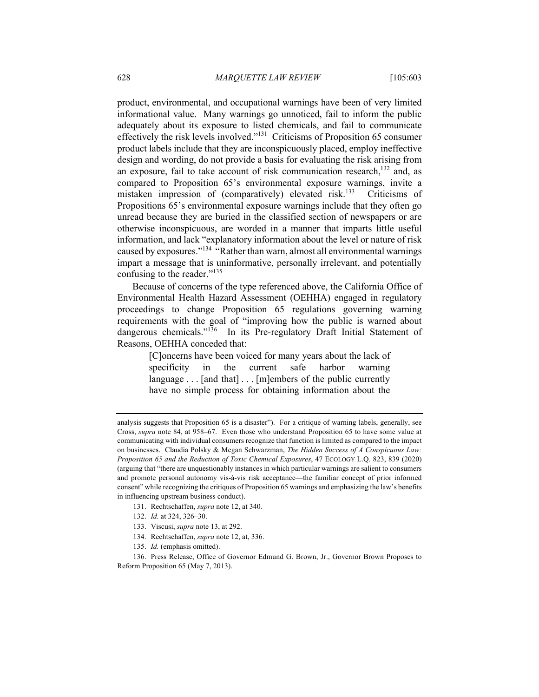product, environmental, and occupational warnings have been of very limited informational value. Many warnings go unnoticed, fail to inform the public adequately about its exposure to listed chemicals, and fail to communicate effectively the risk levels involved."131 Criticisms of Proposition 65 consumer product labels include that they are inconspicuously placed, employ ineffective design and wording, do not provide a basis for evaluating the risk arising from an exposure, fail to take account of risk communication research, $132$  and, as compared to Proposition 65's environmental exposure warnings, invite a mistaken impression of (comparatively) elevated risk.<sup>133</sup> Criticisms of Propositions 65's environmental exposure warnings include that they often go unread because they are buried in the classified section of newspapers or are otherwise inconspicuous, are worded in a manner that imparts little useful information, and lack "explanatory information about the level or nature of risk caused by exposures."<sup>134</sup> "Rather than warn, almost all environmental warnings impart a message that is uninformative, personally irrelevant, and potentially confusing to the reader."<sup>135</sup>

Because of concerns of the type referenced above, the California Office of Environmental Health Hazard Assessment (OEHHA) engaged in regulatory proceedings to change Proposition 65 regulations governing warning requirements with the goal of "improving how the public is warned about dangerous chemicals."<sup>136</sup> In its Pre-regulatory Draft Initial Statement of Reasons, OEHHA conceded that:

> [C]oncerns have been voiced for many years about the lack of specificity in the current safe harbor warning language . . . [and that] . . . [m]embers of the public currently have no simple process for obtaining information about the

- 131. Rechtschaffen, *supra* note 12, at 340.
- 132. *Id.* at 324, 326–30.
- 133. Viscusi, *supra* note 13, at 292.
- 134. Rechtschaffen, *supra* note 12, at, 336.
- 135. *Id.* (emphasis omitted).

136. Press Release, Office of Governor Edmund G. Brown, Jr., Governor Brown Proposes to Reform Proposition 65 (May 7, 2013).

analysis suggests that Proposition 65 is a disaster"). For a critique of warning labels, generally, see Cross, *supra* note 84, at 958–67. Even those who understand Proposition 65 to have some value at communicating with individual consumers recognize that function is limited as compared to the impact on businesses. Claudia Polsky & Megan Schwarzman, *The Hidden Success of A Conspicuous Law: Proposition 65 and the Reduction of Toxic Chemical Exposures*, 47 ECOLOGY L.Q. 823, 839 (2020) (arguing that "there are unquestionably instances in which particular warnings are salient to consumers and promote personal autonomy vis-à-vis risk acceptance—the familiar concept of prior informed consent" while recognizing the critiques of Proposition 65 warnings and emphasizing the law's benefits in influencing upstream business conduct).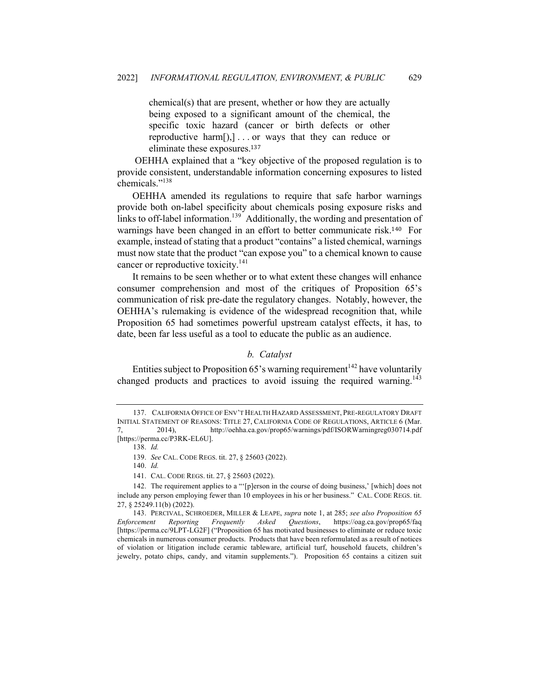chemical(s) that are present, whether or how they are actually being exposed to a significant amount of the chemical, the specific toxic hazard (cancer or birth defects or other reproductive harm[),] . . . or ways that they can reduce or eliminate these exposures.<sup>137</sup>

OEHHA explained that a "key objective of the proposed regulation is to provide consistent, understandable information concerning exposures to listed chemicals."138

OEHHA amended its regulations to require that safe harbor warnings provide both on-label specificity about chemicals posing exposure risks and links to off-label information.<sup>139</sup> Additionally, the wording and presentation of warnings have been changed in an effort to better communicate risk.140 For example, instead of stating that a product "contains" a listed chemical, warnings must now state that the product "can expose you" to a chemical known to cause cancer or reproductive toxicity.<sup>141</sup>

It remains to be seen whether or to what extent these changes will enhance consumer comprehension and most of the critiques of Proposition 65's communication of risk pre-date the regulatory changes. Notably, however, the OEHHA's rulemaking is evidence of the widespread recognition that, while Proposition 65 had sometimes powerful upstream catalyst effects, it has, to date, been far less useful as a tool to educate the public as an audience.

# *b. Catalyst*

Entities subject to Proposition 65's warning requirement<sup>142</sup> have voluntarily changed products and practices to avoid issuing the required warning.<sup>143</sup>

<sup>137.</sup> CALIFORNIA OFFICE OF ENV'T HEALTH HAZARD ASSESSMENT, PRE-REGULATORY DRAFT INITIAL STATEMENT OF REASONS: TITLE 27, CALIFORNIA CODE OF REGULATIONS, ARTICLE 6 (Mar. 7, 2014), http://oehha.ca.gov/prop65/warnings/pdf/ISORWarningreg030714.pdf [https://perma.cc/P3RK-EL6U].

<sup>138.</sup> *Id.*

<sup>139.</sup> *See* CAL. CODE REGS. tit. 27, § 25603 (2022).

<sup>140.</sup> *Id.*

<sup>141.</sup> CAL. CODE REGS. tit. 27, § 25603 (2022).

<sup>142.</sup> The requirement applies to a "'[p]erson in the course of doing business,' [which] does not include any person employing fewer than 10 employees in his or her business." CAL. CODE REGS. tit. 27, § 25249.11(b) (2022).

<sup>143.</sup> PERCIVAL, SCHROEDER, MILLER & LEAPE, *supra* note 1, at 285; *see also Proposition 65 Enforcement Reporting Frequently Asked Questions*, https://oag.ca.gov/prop65/faq [https://perma.cc/9LPT-LG2F] ("Proposition 65 has motivated businesses to eliminate or reduce toxic chemicals in numerous consumer products. Products that have been reformulated as a result of notices of violation or litigation include ceramic tableware, artificial turf, household faucets, children's jewelry, potato chips, candy, and vitamin supplements."). Proposition 65 contains a citizen suit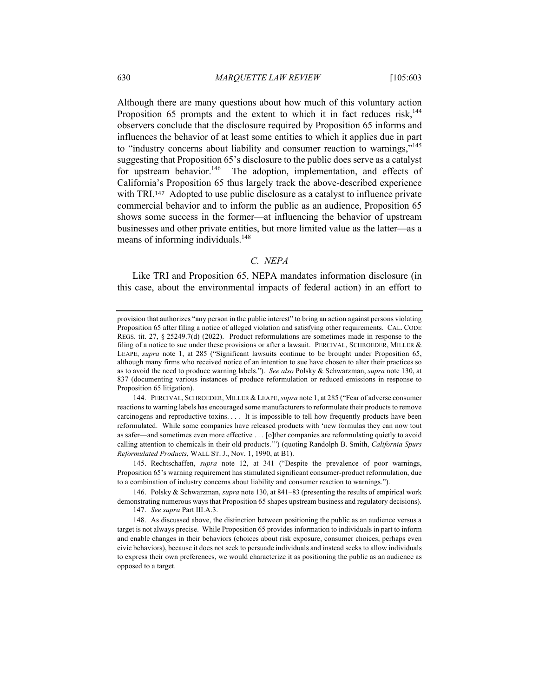Although there are many questions about how much of this voluntary action Proposition 65 prompts and the extent to which it in fact reduces risk,  $144$ observers conclude that the disclosure required by Proposition 65 informs and influences the behavior of at least some entities to which it applies due in part to "industry concerns about liability and consumer reaction to warnings,"<sup>145</sup> suggesting that Proposition 65's disclosure to the public does serve as a catalyst for upstream behavior.<sup>146</sup> The adoption, implementation, and effects of California's Proposition 65 thus largely track the above-described experience with TRI.<sup>147</sup> Adopted to use public disclosure as a catalyst to influence private commercial behavior and to inform the public as an audience, Proposition 65 shows some success in the former—at influencing the behavior of upstream businesses and other private entities, but more limited value as the latter—as a means of informing individuals.<sup>148</sup>

# *C. NEPA*

Like TRI and Proposition 65, NEPA mandates information disclosure (in this case, about the environmental impacts of federal action) in an effort to

144. PERCIVAL, SCHROEDER, MILLER & LEAPE, *supra* note 1, at 285 ("Fear of adverse consumer reactions to warning labels has encouraged some manufacturers to reformulate their products to remove carcinogens and reproductive toxins. . . . It is impossible to tell how frequently products have been reformulated. While some companies have released products with 'new formulas they can now tout as safer—and sometimes even more effective . . . [o]ther companies are reformulating quietly to avoid calling attention to chemicals in their old products.'") (quoting Randolph B. Smith, *California Spurs Reformulated Products*, WALL ST. J., Nov. 1, 1990, at B1).

145. Rechtschaffen, *supra* note 12, at 341 ("Despite the prevalence of poor warnings, Proposition 65's warning requirement has stimulated significant consumer-product reformulation, due to a combination of industry concerns about liability and consumer reaction to warnings.").

146. Polsky & Schwarzman, *supra* note 130, at 841–83 (presenting the results of empirical work demonstrating numerous ways that Proposition 65 shapes upstream business and regulatory decisions).

147. *See supra* Part III.A.3.

148. As discussed above, the distinction between positioning the public as an audience versus a target is not always precise. While Proposition 65 provides information to individuals in part to inform and enable changes in their behaviors (choices about risk exposure, consumer choices, perhaps even civic behaviors), because it does not seek to persuade individuals and instead seeks to allow individuals to express their own preferences, we would characterize it as positioning the public as an audience as opposed to a target.

provision that authorizes "any person in the public interest" to bring an action against persons violating Proposition 65 after filing a notice of alleged violation and satisfying other requirements. CAL. CODE REGS. tit. 27, § 25249.7(d) (2022). Product reformulations are sometimes made in response to the filing of a notice to sue under these provisions or after a lawsuit. PERCIVAL, SCHROEDER, MILLER & LEAPE, *supra* note 1, at 285 ("Significant lawsuits continue to be brought under Proposition 65, although many firms who received notice of an intention to sue have chosen to alter their practices so as to avoid the need to produce warning labels."). *See also* Polsky & Schwarzman, *supra* note 130, at 837 (documenting various instances of produce reformulation or reduced emissions in response to Proposition 65 litigation).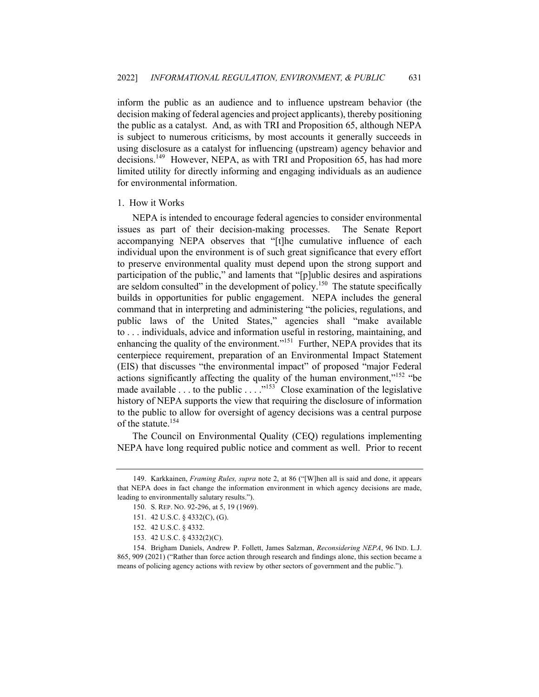inform the public as an audience and to influence upstream behavior (the decision making of federal agencies and project applicants), thereby positioning the public as a catalyst. And, as with TRI and Proposition 65, although NEPA is subject to numerous criticisms, by most accounts it generally succeeds in using disclosure as a catalyst for influencing (upstream) agency behavior and decisions.<sup>149</sup> However, NEPA, as with TRI and Proposition 65, has had more limited utility for directly informing and engaging individuals as an audience for environmental information.

## 1. How it Works

NEPA is intended to encourage federal agencies to consider environmental issues as part of their decision-making processes. The Senate Report accompanying NEPA observes that "[t]he cumulative influence of each individual upon the environment is of such great significance that every effort to preserve environmental quality must depend upon the strong support and participation of the public," and laments that "[p]ublic desires and aspirations are seldom consulted" in the development of policy.<sup>150</sup> The statute specifically builds in opportunities for public engagement. NEPA includes the general command that in interpreting and administering "the policies, regulations, and public laws of the United States," agencies shall "make available to . . . individuals, advice and information useful in restoring, maintaining, and enhancing the quality of the environment."<sup>151</sup> Further, NEPA provides that its centerpiece requirement, preparation of an Environmental Impact Statement (EIS) that discusses "the environmental impact" of proposed "major Federal actions significantly affecting the quality of the human environment,"<sup>152</sup> "be made available . . . to the public  $\dots$ ."<sup>153</sup> Close examination of the legislative history of NEPA supports the view that requiring the disclosure of information to the public to allow for oversight of agency decisions was a central purpose of the statute.<sup>154</sup>

The Council on Environmental Quality (CEQ) regulations implementing NEPA have long required public notice and comment as well. Prior to recent

<sup>149.</sup> Karkkainen, *Framing Rules, supra* note 2, at 86 ("[W]hen all is said and done, it appears that NEPA does in fact change the information environment in which agency decisions are made, leading to environmentally salutary results.").

<sup>150.</sup> S. REP. NO. 92-296, at 5, 19 (1969).

<sup>151.</sup> 42 U.S.C. § 4332(C), (G).

<sup>152.</sup> 42 U.S.C. § 4332.

<sup>153.</sup> 42 U.S.C. § 4332(2)(C).

<sup>154.</sup> Brigham Daniels, Andrew P. Follett, James Salzman, *Reconsidering NEPA*, 96 IND. L.J. 865, 909 (2021) ("Rather than force action through research and findings alone, this section became a means of policing agency actions with review by other sectors of government and the public.").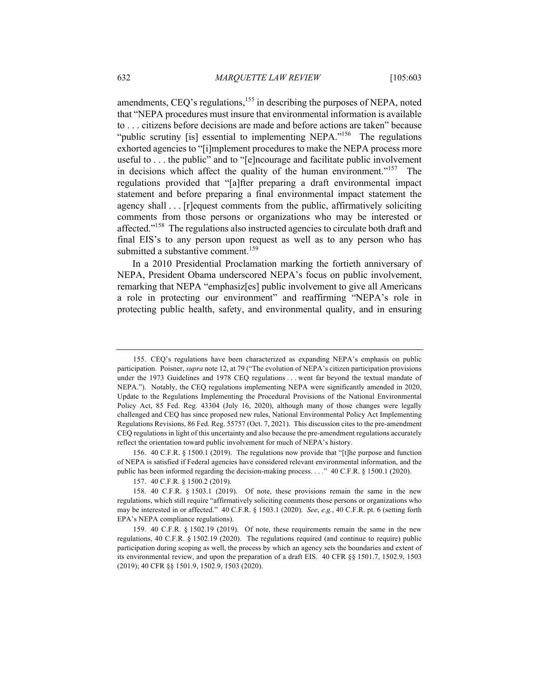amendments, CEQ's regulations, $155$  in describing the purposes of NEPA, noted that "NEPA procedures must insure that environmental information is available to . . . citizens before decisions are made and before actions are taken" because "public scrutiny [is] essential to implementing NEPA."<sup>156</sup> The regulations exhorted agencies to "[i]mplement procedures to make the NEPA process more useful to . . . the public" and to "[e]ncourage and facilitate public involvement in decisions which affect the quality of the human environment."<sup>157</sup> The regulations provided that "[a]fter preparing a draft environmental impact statement and before preparing a final environmental impact statement the agency shall . . . [r]equest comments from the public, affirmatively soliciting comments from those persons or organizations who may be interested or affected."<sup>158</sup> The regulations also instructed agencies to circulate both draft and final EIS's to any person upon request as well as to any person who has submitted a substantive comment.<sup>159</sup>

In a 2010 Presidential Proclamation marking the fortieth anniversary of NEPA, President Obama underscored NEPA's focus on public involvement, remarking that NEPA "emphasiz[es] public involvement to give all Americans a role in protecting our environment" and reaffirming "NEPA's role in protecting public health, safety, and environmental quality, and in ensuring

156. 40 C.F.R. § 1500.1 (2019). The regulations now provide that "[t]he purpose and function of NEPA is satisfied if Federal agencies have considered relevant environmental information, and the public has been informed regarding the decision-making process. . . ." 40 C.F.R. § 1500.1 (2020).

<sup>155.</sup> CEQ's regulations have been characterized as expanding NEPA's emphasis on public participation. Poisner, *supra* note 12, at 79 ("The evolution of NEPA's citizen participation provisions under the 1973 Guidelines and 1978 CEQ regulations . . . went far beyond the textual mandate of NEPA."). Notably, the CEQ regulations implementing NEPA were significantly amended in 2020, Update to the Regulations Implementing the Procedural Provisions of the National Environmental Policy Act, 85 Fed. Reg. 43304 (July 16, 2020), although many of those changes were legally challenged and CEQ has since proposed new rules, National Environmental Policy Act Implementing Regulations Revisions, 86 Fed. Reg. 55757 (Oct. 7, 2021). This discussion cites to the pre-amendment CEQ regulations in light of this uncertainty and also because the pre-amendment regulations accurately reflect the orientation toward public involvement for much of NEPA's history.

<sup>157.</sup> 40 C.F.R. § 1500.2 (2019).

<sup>158.</sup> 40 C.F.R. § 1503.1 (2019). Of note, these provisions remain the same in the new regulations, which still require "affirmatively soliciting comments those persons or organizations who may be interested in or affected." 40 C.F.R. § 1503.1 (2020). *See*, *e.g.*, 40 C.F.R. pt. 6 (setting forth EPA's NEPA compliance regulations).

<sup>159.</sup> 40 C.F.R. § 1502.19 (2019). Of note, these requirements remain the same in the new regulations, 40 C.F.R. § 1502.19 (2020). The regulations required (and continue to require) public participation during scoping as well, the process by which an agency sets the boundaries and extent of its environmental review, and upon the preparation of a draft EIS. 40 CFR §§ 1501.7, 1502.9, 1503 (2019); 40 CFR §§ 1501.9, 1502.9, 1503 (2020).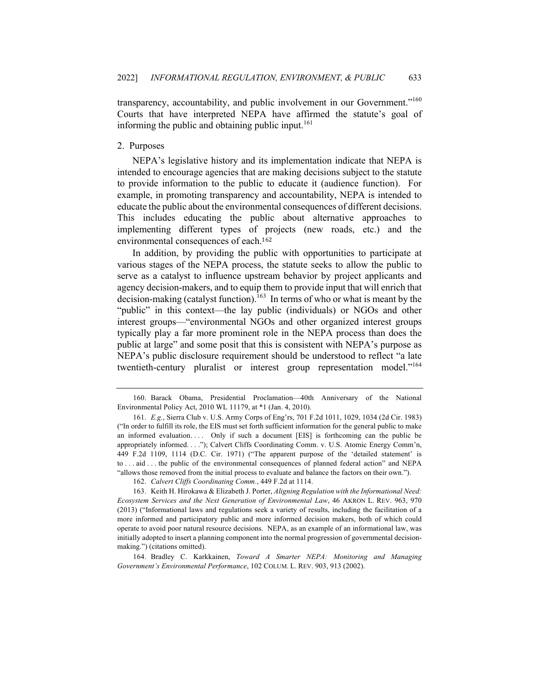transparency, accountability, and public involvement in our Government."<sup>160</sup> Courts that have interpreted NEPA have affirmed the statute's goal of informing the public and obtaining public input. $161$ 

## 2. Purposes

NEPA's legislative history and its implementation indicate that NEPA is intended to encourage agencies that are making decisions subject to the statute to provide information to the public to educate it (audience function). For example, in promoting transparency and accountability, NEPA is intended to educate the public about the environmental consequences of different decisions. This includes educating the public about alternative approaches to implementing different types of projects (new roads, etc.) and the environmental consequences of each.<sup>162</sup>

In addition, by providing the public with opportunities to participate at various stages of the NEPA process, the statute seeks to allow the public to serve as a catalyst to influence upstream behavior by project applicants and agency decision-makers, and to equip them to provide input that will enrich that decision-making (catalyst function).<sup>163</sup> In terms of who or what is meant by the "public" in this context—the lay public (individuals) or NGOs and other interest groups—"environmental NGOs and other organized interest groups typically play a far more prominent role in the NEPA process than does the public at large" and some posit that this is consistent with NEPA's purpose as NEPA's public disclosure requirement should be understood to reflect "a late twentieth-century pluralist or interest group representation model."<sup>164</sup>

<sup>160.</sup> Barack Obama, Presidential Proclamation—40th Anniversary of the National Environmental Policy Act, 2010 WL 11179, at \*1 (Jan. 4, 2010).

<sup>161.</sup> *E.g.*, Sierra Club v. U.S. Army Corps of Eng'rs, 701 F.2d 1011, 1029, 1034 (2d Cir. 1983) ("In order to fulfill its role, the EIS must set forth sufficient information for the general public to make an informed evaluation.... Only if such a document [EIS] is forthcoming can the public be appropriately informed. . . ."); Calvert Cliffs Coordinating Comm. v. U.S. Atomic Energy Comm'n, 449 F.2d 1109, 1114 (D.C. Cir. 1971) ("The apparent purpose of the 'detailed statement' is to . . . aid . . . the public of the environmental consequences of planned federal action" and NEPA "allows those removed from the initial process to evaluate and balance the factors on their own.").

<sup>162.</sup> *Calvert Cliffs Coordinating Comm.*, 449 F.2d at 1114.

<sup>163.</sup> Keith H. Hirokawa & Elizabeth J. Porter, *Aligning Regulation with the Informational Need: Ecosystem Services and the Next Generation of Environmental Law*, 46 AKRON L. REV. 963, 970 (2013) ("Informational laws and regulations seek a variety of results, including the facilitation of a more informed and participatory public and more informed decision makers, both of which could operate to avoid poor natural resource decisions. NEPA, as an example of an informational law, was initially adopted to insert a planning component into the normal progression of governmental decisionmaking.") (citations omitted).

<sup>164.</sup> Bradley C. Karkkainen, *Toward A Smarter NEPA: Monitoring and Managing Government's Environmental Performance*, 102 COLUM. L. REV. 903, 913 (2002).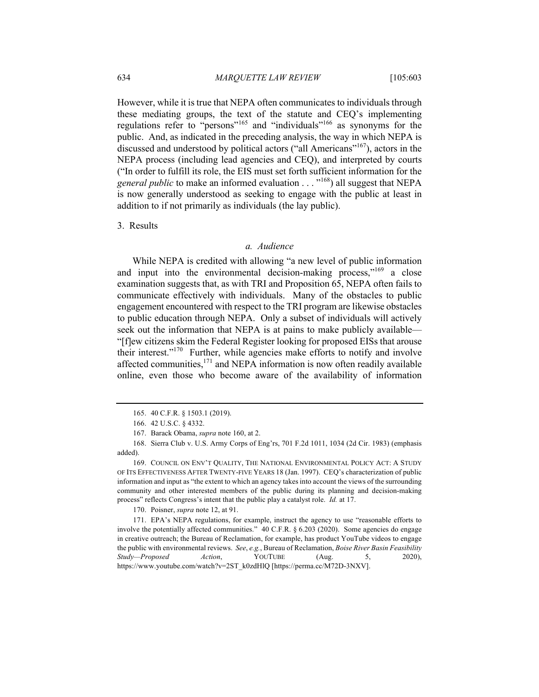However, while it is true that NEPA often communicates to individuals through these mediating groups, the text of the statute and CEQ's implementing regulations refer to "persons"<sup>165</sup> and "individuals"<sup>166</sup> as synonyms for the public. And, as indicated in the preceding analysis, the way in which NEPA is discussed and understood by political actors ("all Americans"<sup>167</sup>), actors in the NEPA process (including lead agencies and CEQ), and interpreted by courts ("In order to fulfill its role, the EIS must set forth sufficient information for the *general public* to make an informed evaluation . . . "<sup>168</sup>) all suggest that NEPA is now generally understood as seeking to engage with the public at least in addition to if not primarily as individuals (the lay public).

3. Results

## *a. Audience*

While NEPA is credited with allowing "a new level of public information and input into the environmental decision-making process," $169$  a close examination suggests that, as with TRI and Proposition 65, NEPA often fails to communicate effectively with individuals. Many of the obstacles to public engagement encountered with respect to the TRI program are likewise obstacles to public education through NEPA. Only a subset of individuals will actively seek out the information that NEPA is at pains to make publicly available— "[f]ew citizens skim the Federal Register looking for proposed EISs that arouse their interest."170 Further, while agencies make efforts to notify and involve affected communities, $171$  and NEPA information is now often readily available online, even those who become aware of the availability of information

170. Poisner, *supra* note 12, at 91.

171. EPA's NEPA regulations, for example, instruct the agency to use "reasonable efforts to involve the potentially affected communities." 40 C.F.R. § 6.203 (2020). Some agencies do engage in creative outreach; the Bureau of Reclamation, for example, has product YouTube videos to engage the public with environmental reviews. *See*, *e.g.*, Bureau of Reclamation, *Boise River Basin Feasibility Study—Proposed Action*, YOUTUBE (Aug. 5, 2020), https://www.youtube.com/watch?v=2ST\_k0zdHlQ [https://perma.cc/M72D-3NXV].

<sup>165.</sup> 40 C.F.R. § 1503.1 (2019).

<sup>166.</sup> 42 U.S.C. § 4332.

<sup>167.</sup> Barack Obama, *supra* note 160, at 2.

<sup>168.</sup> Sierra Club v. U.S. Army Corps of Eng'rs, 701 F.2d 1011, 1034 (2d Cir. 1983) (emphasis added).

<sup>169.</sup> COUNCIL ON ENV'T QUALITY, THE NATIONAL ENVIRONMENTAL POLICY ACT: A STUDY OF ITS EFFECTIVENESS AFTER TWENTY-FIVE YEARS 18 (Jan. 1997). CEQ's characterization of public information and input as "the extent to which an agency takes into account the views of the surrounding community and other interested members of the public during its planning and decision-making process" reflects Congress's intent that the public play a catalyst role. *Id.* at 17.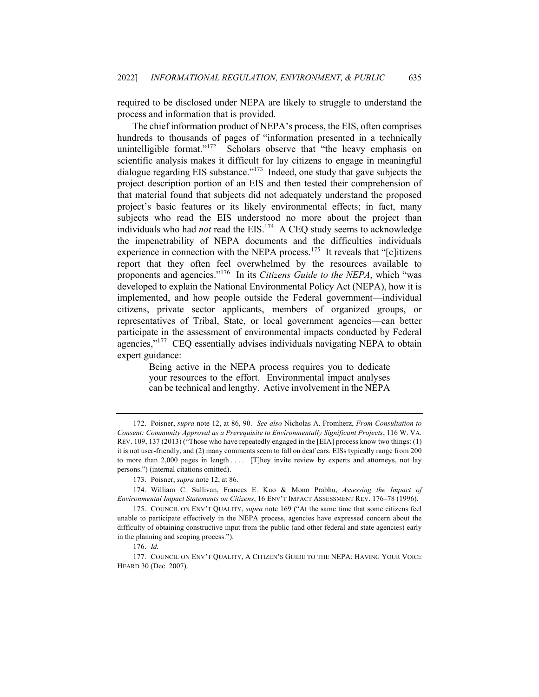required to be disclosed under NEPA are likely to struggle to understand the process and information that is provided.

The chief information product of NEPA's process, the EIS, often comprises hundreds to thousands of pages of "information presented in a technically unintelligible format." $172$  Scholars observe that "the heavy emphasis on scientific analysis makes it difficult for lay citizens to engage in meaningful dialogue regarding EIS substance."<sup>173</sup> Indeed, one study that gave subjects the project description portion of an EIS and then tested their comprehension of that material found that subjects did not adequately understand the proposed project's basic features or its likely environmental effects; in fact, many subjects who read the EIS understood no more about the project than individuals who had *not* read the EIS.<sup>174</sup> A CEQ study seems to acknowledge the impenetrability of NEPA documents and the difficulties individuals experience in connection with the NEPA process.<sup>175</sup> It reveals that "[c]itizens report that they often feel overwhelmed by the resources available to proponents and agencies."<sup>176</sup> In its *Citizens Guide to the NEPA*, which "was developed to explain the National Environmental Policy Act (NEPA), how it is implemented, and how people outside the Federal government—individual citizens, private sector applicants, members of organized groups, or representatives of Tribal, State, or local government agencies—can better participate in the assessment of environmental impacts conducted by Federal agencies,"<sup>177</sup> CEQ essentially advises individuals navigating NEPA to obtain expert guidance:

Being active in the NEPA process requires you to dedicate your resources to the effort. Environmental impact analyses can be technical and lengthy. Active involvement in the NEPA

<sup>172.</sup> Poisner, *supra* note 12, at 86, 90. *See also* Nicholas A. Fromherz, *From Consultation to Consent: Community Approval as a Prerequisite to Environmentally Significant Projects*, 116 W. VA. REV. 109, 137 (2013) ("Those who have repeatedly engaged in the [EIA] process know two things: (1) it is not user-friendly, and (2) many comments seem to fall on deaf ears. EISs typically range from 200 to more than 2,000 pages in length . . . . [T]hey invite review by experts and attorneys, not lay persons.") (internal citations omitted).

<sup>173.</sup> Poisner, *supra* note 12, at 86.

<sup>174.</sup> William C. Sullivan, Frances E. Kuo & Mono Prabhu, *Assessing the Impact of Environmental Impact Statements on Citizens*, 16 ENV'T IMPACT ASSESSMENT REV. 176–78 (1996).

<sup>175.</sup> COUNCIL ON ENV'T QUALITY, *supra* note 169 ("At the same time that some citizens feel unable to participate effectively in the NEPA process, agencies have expressed concern about the difficulty of obtaining constructive input from the public (and other federal and state agencies) early in the planning and scoping process.").

<sup>176.</sup> *Id.*

<sup>177.</sup> COUNCIL ON ENV'T QUALITY, A CITIZEN'S GUIDE TO THE NEPA: HAVING YOUR VOICE HEARD 30 (Dec. 2007).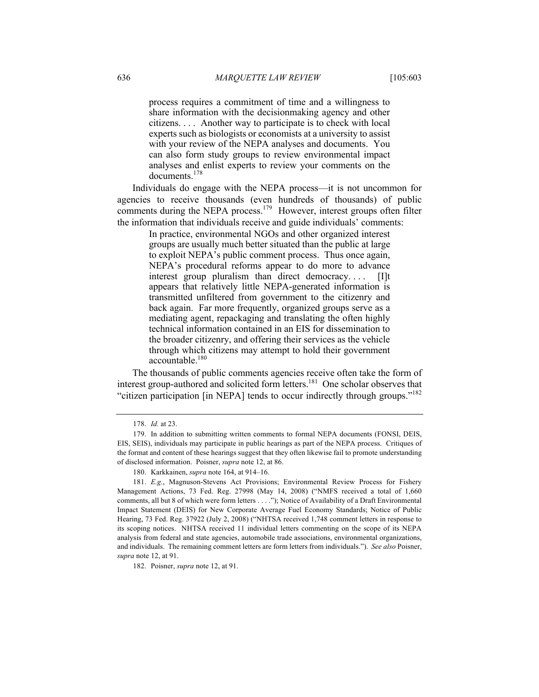process requires a commitment of time and a willingness to share information with the decisionmaking agency and other citizens. . . . Another way to participate is to check with local experts such as biologists or economists at a university to assist with your review of the NEPA analyses and documents. You can also form study groups to review environmental impact analyses and enlist experts to review your comments on the documents.178

Individuals do engage with the NEPA process—it is not uncommon for agencies to receive thousands (even hundreds of thousands) of public comments during the NEPA process.<sup>179</sup> However, interest groups often filter the information that individuals receive and guide individuals' comments:

> In practice, environmental NGOs and other organized interest groups are usually much better situated than the public at large to exploit NEPA's public comment process. Thus once again, NEPA's procedural reforms appear to do more to advance interest group pluralism than direct democracy. . . . [I]t appears that relatively little NEPA-generated information is transmitted unfiltered from government to the citizenry and back again. Far more frequently, organized groups serve as a mediating agent, repackaging and translating the often highly technical information contained in an EIS for dissemination to the broader citizenry, and offering their services as the vehicle through which citizens may attempt to hold their government  $\arccos$  accountable.<sup>180</sup>

The thousands of public comments agencies receive often take the form of interest group-authored and solicited form letters.<sup>181</sup> One scholar observes that "citizen participation [in NEPA] tends to occur indirectly through groups."<sup>182</sup>

182. Poisner, *supra* note 12, at 91.

<sup>178.</sup> *Id.* at 23.

<sup>179.</sup> In addition to submitting written comments to formal NEPA documents (FONSI, DEIS, EIS, SEIS), individuals may participate in public hearings as part of the NEPA process. Critiques of the format and content of these hearings suggest that they often likewise fail to promote understanding of disclosed information. Poisner, *supra* note 12, at 86.

<sup>180.</sup> Karkkainen, *supra* note 164, at 914–16.

<sup>181.</sup> *E.g.*, Magnuson-Stevens Act Provisions; Environmental Review Process for Fishery Management Actions, 73 Fed. Reg. 27998 (May 14, 2008) ("NMFS received a total of 1,660 comments, all but 8 of which were form letters . . . ."); Notice of Availability of a Draft Environmental Impact Statement (DEIS) for New Corporate Average Fuel Economy Standards; Notice of Public Hearing, 73 Fed. Reg. 37922 (July 2, 2008) ("NHTSA received 1,748 comment letters in response to its scoping notices. NHTSA received 11 individual letters commenting on the scope of its NEPA analysis from federal and state agencies, automobile trade associations, environmental organizations, and individuals. The remaining comment letters are form letters from individuals."). *See also* Poisner, *supra* note 12, at 91.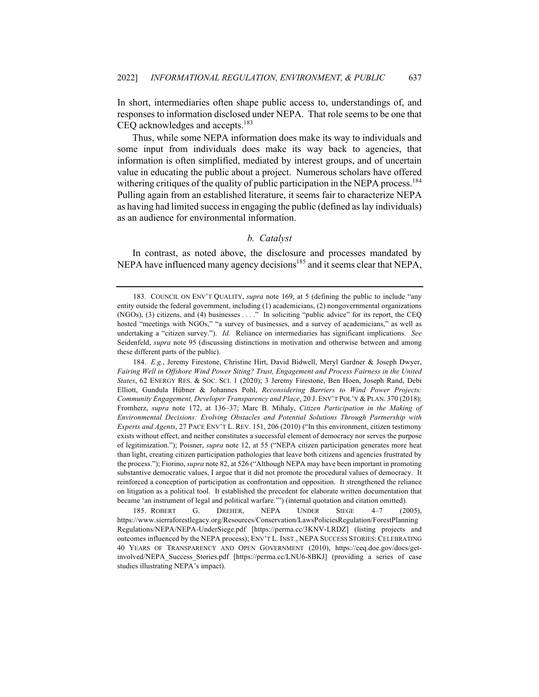In short, intermediaries often shape public access to, understandings of, and responses to information disclosed under NEPA. That role seems to be one that CEQ acknowledges and accepts.<sup>183</sup>

Thus, while some NEPA information does make its way to individuals and some input from individuals does make its way back to agencies, that information is often simplified, mediated by interest groups, and of uncertain value in educating the public about a project. Numerous scholars have offered withering critiques of the quality of public participation in the NEPA process.<sup>184</sup> Pulling again from an established literature, it seems fair to characterize NEPA as having had limited success in engaging the public (defined as lay individuals) as an audience for environmental information.

# *b. Catalyst*

In contrast, as noted above, the disclosure and processes mandated by NEPA have influenced many agency decisions<sup>185</sup> and it seems clear that NEPA,

<sup>183.</sup> COUNCIL ON ENV'T QUALITY, *supra* note 169, at 5 (defining the public to include "any entity outside the federal government, including (1) academicians, (2) nongovernmental organizations (NGOs), (3) citizens, and (4) businesses . . . ." In soliciting "public advice" for its report, the CEQ hosted "meetings with NGOs," "a survey of businesses, and a survey of academicians," as well as undertaking a "citizen survey."). *Id.* Reliance on intermediaries has significant implications. *See*  Seidenfeld, *supra* note 95 (discussing distinctions in motivation and otherwise between and among these different parts of the public).

<sup>184.</sup> *E.g.*, Jeremy Firestone, Christine Hirt, David Bidwell, Meryl Gardner & Joseph Dwyer, *Fairing Well in Offshore Wind Power Siting? Trust, Engagement and Process Fairness in the United States*, 62 ENERGY RES. & SOC. SCI. 1 (2020); 3 Jeremy Firestone, Ben Hoen, Joseph Rand, Debi Elliott, Gundula Hübner & Johannes Pohl, *Reconsidering Barriers to Wind Power Projects: Community Engagement, Developer Transparency and Place*, 20 J. ENV'T POL'Y & PLAN. 370 (2018); Fromherz, *supra* note 172, at 136–37; Marc B. Mihaly, *Citizen Participation in the Making of Environmental Decisions: Evolving Obstacles and Potential Solutions Through Partnership with Experts and Agents*, 27 PACE ENV'T L. REV. 151, 206 (2010) ("In this environment, citizen testimony exists without effect, and neither constitutes a successful element of democracy nor serves the purpose of legitimization."); Poisner, *supra* note 12, at 55 ("NEPA citizen participation generates more heat than light, creating citizen participation pathologies that leave both citizens and agencies frustrated by the process."); Fiorino, *supra* note 82, at 526 ("Although NEPA may have been important in promoting substantive democratic values, I argue that it did not promote the procedural values of democracy. It reinforced a conception of participation as confrontation and opposition. It strengthened the reliance on litigation as a political tool. It established the precedent for elaborate written documentation that became 'an instrument of legal and political warfare.'") (internal quotation and citation omitted).

<sup>185.</sup> ROBERT G. DREHER, NEPA UNDER SIEGE 4–7 (2005), https://www.sierraforestlegacy.org/Resources/Conservation/LawsPoliciesRegulation/ForestPlanning Regulations/NEPA/NEPA-UnderSiege.pdf [https://perma.cc/3KNV-LRDZ] (listing projects and outcomes influenced by the NEPA process); ENV'T L. INST., NEPA SUCCESS STORIES: CELEBRATING 40 YEARS OF TRANSPARENCY AND OPEN GOVERNMENT (2010), https://ceq.doe.gov/docs/getinvolved/NEPA\_Success\_Stories.pdf [https://perma.cc/LNU6-8BKJ] (providing a series of case studies illustrating NEPA's impact).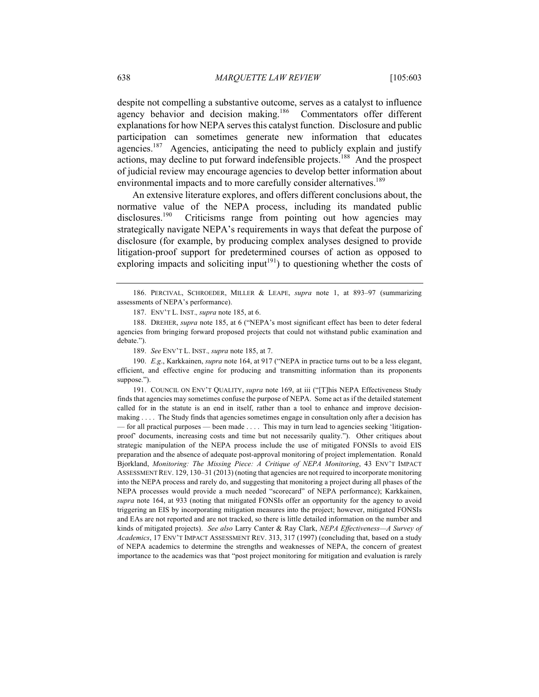despite not compelling a substantive outcome, serves as a catalyst to influence agency behavior and decision making.<sup>186</sup> Commentators offer different explanations for how NEPA serves this catalyst function. Disclosure and public participation can sometimes generate new information that educates agencies.<sup>187</sup> Agencies, anticipating the need to publicly explain and justify actions, may decline to put forward indefensible projects.188 And the prospect of judicial review may encourage agencies to develop better information about environmental impacts and to more carefully consider alternatives.<sup>189</sup>

An extensive literature explores, and offers different conclusions about, the normative value of the NEPA process, including its mandated public disclosures.<sup>190</sup> Criticisms range from pointing out how agencies may strategically navigate NEPA's requirements in ways that defeat the purpose of disclosure (for example, by producing complex analyses designed to provide litigation-proof support for predetermined courses of action as opposed to exploring impacts and soliciting input<sup>191</sup>) to questioning whether the costs of

189. *See* ENV'T L. INST.*, supra* note 185, at 7.

190. *E.g*., Karkkainen, *supra* note 164, at 917 ("NEPA in practice turns out to be a less elegant, efficient, and effective engine for producing and transmitting information than its proponents suppose.").

191. COUNCIL ON ENV'T QUALITY, *supra* note 169, at iii ("[T]his NEPA Effectiveness Study finds that agencies may sometimes confuse the purpose of NEPA. Some act as if the detailed statement called for in the statute is an end in itself, rather than a tool to enhance and improve decisionmaking . . . . The Study finds that agencies sometimes engage in consultation only after a decision has — for all practical purposes — been made . . . . This may in turn lead to agencies seeking 'litigationproof' documents, increasing costs and time but not necessarily quality."). Other critiques about strategic manipulation of the NEPA process include the use of mitigated FONSIs to avoid EIS preparation and the absence of adequate post-approval monitoring of project implementation. Ronald Bjorkland, *Monitoring: The Missing Piece: A Critique of NEPA Monitoring*, 43 ENV'T IMPACT ASSESSMENT REV. 129, 130–31 (2013) (noting that agencies are not required to incorporate monitoring into the NEPA process and rarely do, and suggesting that monitoring a project during all phases of the NEPA processes would provide a much needed "scorecard" of NEPA performance); Karkkainen, *supra* note 164, at 933 (noting that mitigated FONSIs offer an opportunity for the agency to avoid triggering an EIS by incorporating mitigation measures into the project; however, mitigated FONSIs and EAs are not reported and are not tracked, so there is little detailed information on the number and kinds of mitigated projects). *See also* Larry Canter & Ray Clark, *NEPA Effectiveness—A Survey of Academics*, 17 ENV'T IMPACT ASSESSMENT REV. 313, 317 (1997) (concluding that, based on a study of NEPA academics to determine the strengths and weaknesses of NEPA, the concern of greatest importance to the academics was that "post project monitoring for mitigation and evaluation is rarely

<sup>186.</sup> PERCIVAL, SCHROEDER, MILLER & LEAPE, *supra* note 1, at 893–97 (summarizing assessments of NEPA's performance).

<sup>187.</sup> ENV'T L. INST.*, supra* note 185, at 6.

<sup>188.</sup> DREHER, *supra* note 185, at 6 ("NEPA's most significant effect has been to deter federal agencies from bringing forward proposed projects that could not withstand public examination and debate.").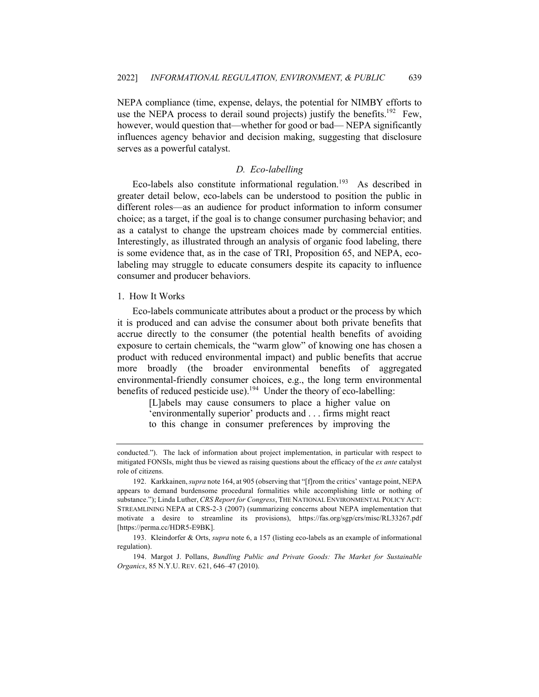NEPA compliance (time, expense, delays, the potential for NIMBY efforts to use the NEPA process to derail sound projects) justify the benefits.<sup>192</sup> Few, however, would question that—whether for good or bad— NEPA significantly influences agency behavior and decision making, suggesting that disclosure serves as a powerful catalyst.

# *D. Eco-labelling*

Eco-labels also constitute informational regulation.<sup>193</sup> As described in greater detail below, eco-labels can be understood to position the public in different roles—as an audience for product information to inform consumer choice; as a target, if the goal is to change consumer purchasing behavior; and as a catalyst to change the upstream choices made by commercial entities. Interestingly, as illustrated through an analysis of organic food labeling, there is some evidence that, as in the case of TRI, Proposition 65, and NEPA, ecolabeling may struggle to educate consumers despite its capacity to influence consumer and producer behaviors.

### 1. How It Works

Eco-labels communicate attributes about a product or the process by which it is produced and can advise the consumer about both private benefits that accrue directly to the consumer (the potential health benefits of avoiding exposure to certain chemicals, the "warm glow" of knowing one has chosen a product with reduced environmental impact) and public benefits that accrue more broadly (the broader environmental benefits of aggregated environmental-friendly consumer choices, e.g., the long term environmental benefits of reduced pesticide use).<sup>194</sup> Under the theory of eco-labelling:

> [L]abels may cause consumers to place a higher value on 'environmentally superior' products and . . . firms might react to this change in consumer preferences by improving the

conducted."). The lack of information about project implementation, in particular with respect to mitigated FONSIs, might thus be viewed as raising questions about the efficacy of the *ex ante* catalyst role of citizens.

<sup>192.</sup> Karkkainen, *supra* note 164, at 905 (observing that "[f]rom the critics' vantage point, NEPA appears to demand burdensome procedural formalities while accomplishing little or nothing of substance."); Linda Luther, *CRS Report for Congress*, THE NATIONAL ENVIRONMENTAL POLICY ACT: STREAMLINING NEPA at CRS-2-3 (2007) (summarizing concerns about NEPA implementation that motivate a desire to streamline its provisions), https://fas.org/sgp/crs/misc/RL33267.pdf [https://perma.cc/HDR5-E9BK].

<sup>193.</sup> Kleindorfer & Orts, *supra* note 6, a 157 (listing eco-labels as an example of informational regulation).

<sup>194.</sup> Margot J. Pollans, *Bundling Public and Private Goods: The Market for Sustainable Organics*, 85 N.Y.U. REV. 621, 646–47 (2010).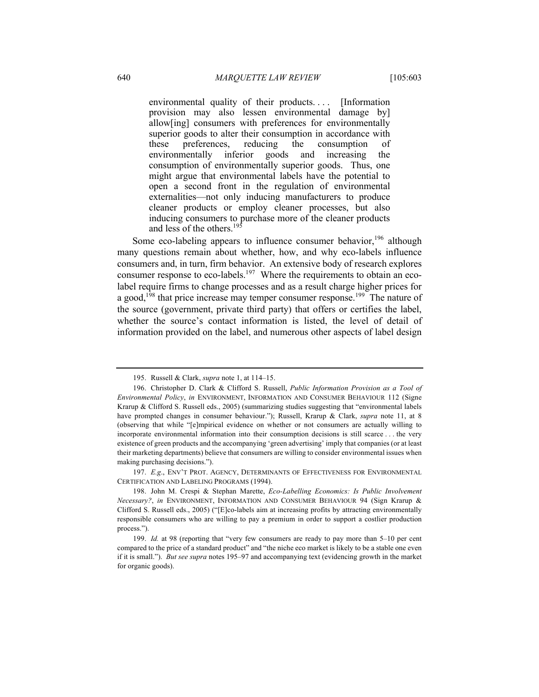environmental quality of their products.... [Information provision may also lessen environmental damage by] allow[ing] consumers with preferences for environmentally superior goods to alter their consumption in accordance with these preferences, reducing the consumption of environmentally inferior goods and increasing the consumption of environmentally superior goods. Thus, one might argue that environmental labels have the potential to open a second front in the regulation of environmental externalities—not only inducing manufacturers to produce cleaner products or employ cleaner processes, but also inducing consumers to purchase more of the cleaner products and less of the others. 195

Some eco-labeling appears to influence consumer behavior,  $196$  although many questions remain about whether, how, and why eco-labels influence consumers and, in turn, firm behavior. An extensive body of research explores consumer response to eco-labels.<sup>197</sup> Where the requirements to obtain an ecolabel require firms to change processes and as a result charge higher prices for a good,<sup>198</sup> that price increase may temper consumer response.<sup>199</sup> The nature of the source (government, private third party) that offers or certifies the label, whether the source's contact information is listed, the level of detail of information provided on the label, and numerous other aspects of label design

197. *E.g*., ENV'T PROT. AGENCY, DETERMINANTS OF EFFECTIVENESS FOR ENVIRONMENTAL CERTIFICATION AND LABELING PROGRAMS (1994).

<sup>195.</sup> Russell & Clark, *supra* note 1, at 114–15.

<sup>196.</sup> Christopher D. Clark & Clifford S. Russell, *Public Information Provision as a Tool of Environmental Policy*, *in* ENVIRONMENT, INFORMATION AND CONSUMER BEHAVIOUR 112 (Signe Krarup & Clifford S. Russell eds., 2005) (summarizing studies suggesting that "environmental labels have prompted changes in consumer behaviour."); Russell, Krarup & Clark, *supra* note 11, at 8 (observing that while "[e]mpirical evidence on whether or not consumers are actually willing to incorporate environmental information into their consumption decisions is still scarce . . . the very existence of green products and the accompanying 'green advertising' imply that companies (or at least their marketing departments) believe that consumers are willing to consider environmental issues when making purchasing decisions.").

<sup>198.</sup> John M. Crespi & Stephan Marette, *Eco-Labelling Economics: Is Public Involvement Necessary?*, *in* ENVIRONMENT, INFORMATION AND CONSUMER BEHAVIOUR 94 (Sign Krarup & Clifford S. Russell eds., 2005) ("[E]co-labels aim at increasing profits by attracting environmentally responsible consumers who are willing to pay a premium in order to support a costlier production process.").

<sup>199.</sup> *Id.* at 98 (reporting that "very few consumers are ready to pay more than 5–10 per cent compared to the price of a standard product" and "the niche eco market is likely to be a stable one even if it is small."). *But see supra* notes 195–97 and accompanying text (evidencing growth in the market for organic goods).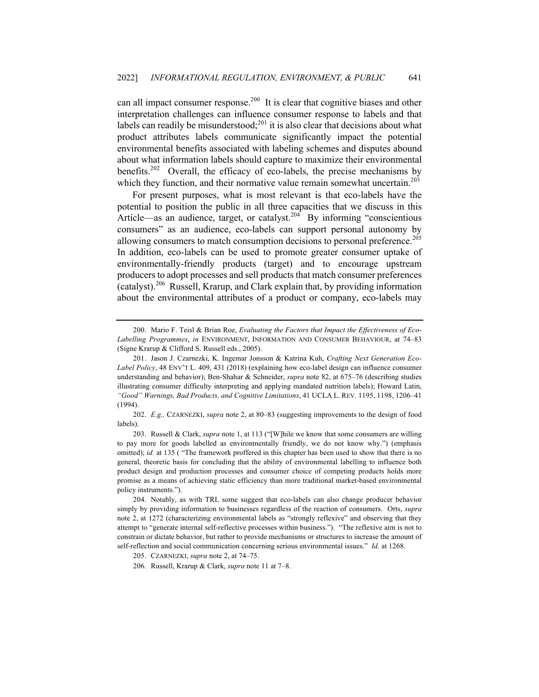can all impact consumer response.<sup>200</sup> It is clear that cognitive biases and other interpretation challenges can influence consumer response to labels and that labels can readily be misunderstood;<sup>201</sup> it is also clear that decisions about what product attributes labels communicate significantly impact the potential environmental benefits associated with labeling schemes and disputes abound about what information labels should capture to maximize their environmental benefits.<sup>202</sup> Overall, the efficacy of eco-labels, the precise mechanisms by which they function, and their normative value remain somewhat uncertain.<sup>203</sup>

For present purposes, what is most relevant is that eco-labels have the potential to position the public in all three capacities that we discuss in this Article—as an audience, target, or catalyst.<sup>204</sup> By informing "conscientious consumers" as an audience, eco-labels can support personal autonomy by allowing consumers to match consumption decisions to personal preference.<sup>205</sup> In addition, eco-labels can be used to promote greater consumer uptake of environmentally-friendly products (target) and to encourage upstream producers to adopt processes and sell products that match consumer preferences  $(catalyst)$ <sup>206</sup> Russell, Krarup, and Clark explain that, by providing information about the environmental attributes of a product or company, eco-labels may

<sup>200.</sup> Mario F. Teisl & Brian Roe, *Evaluating the Factors that Impact the Effectiveness of Eco-Labelling Programmes*, *in* ENVIRONMENT, INFORMATION AND CONSUMER BEHAVIOUR, at 74–83 (Signe Krarup & Clifford S. Russell eds., 2005).

<sup>201.</sup> Jason J. Czarnezki, K. Ingemar Jonsson & Katrina Kuh, *Crafting Next Generation Eco-Label Policy*, 48 ENV'T L. 409, 431 (2018) (explaining how eco-label design can influence consumer understanding and behavior); Ben-Shahar & Schneider, *supra* note 82, at 675–76 (describing studies illustrating consumer difficulty interpreting and applying mandated nutrition labels); Howard Latin, *"Good" Warnings, Bad Products, and Cognitive Limitations*, 41 UCLA L. REV. 1195, 1198, 1206–41 (1994).

<sup>202.</sup> *E.g.,* CZARNEZKI, *supra* note 2, at 80–83 (suggesting improvements to the design of food labels).

<sup>203.</sup> Russell & Clark, *supra* note 1, at 113 ("[W]hile we know that some consumers are willing to pay more for goods labelled as environmentally friendly, we do not know why.") (emphasis omitted); *id.* at 135 ( "The framework proffered in this chapter has been used to show that there is no general, theoretic basis for concluding that the ability of environmental labelling to influence both product design and production processes and consumer choice of competing products holds more promise as a means of achieving static efficiency than more traditional market-based environmental policy instruments.").

<sup>204.</sup> Notably, as with TRI, some suggest that eco-labels can also change producer behavior simply by providing information to businesses regardless of the reaction of consumers. Orts, *supra*  note 2, at 1272 (characterizing environmental labels as "strongly reflexive" and observing that they attempt to "generate internal self-reflective processes within business."). "The reflexive aim is not to constrain or dictate behavior, but rather to provide mechanisms or structures to increase the amount of self-reflection and social communication concerning serious environmental issues." *Id.* at 1268.

<sup>205.</sup> CZARNEZKI, *supra* note 2, at 74–75.

<sup>206.</sup> Russell, Krarup & Clark, *supra* note 11 at 7–8.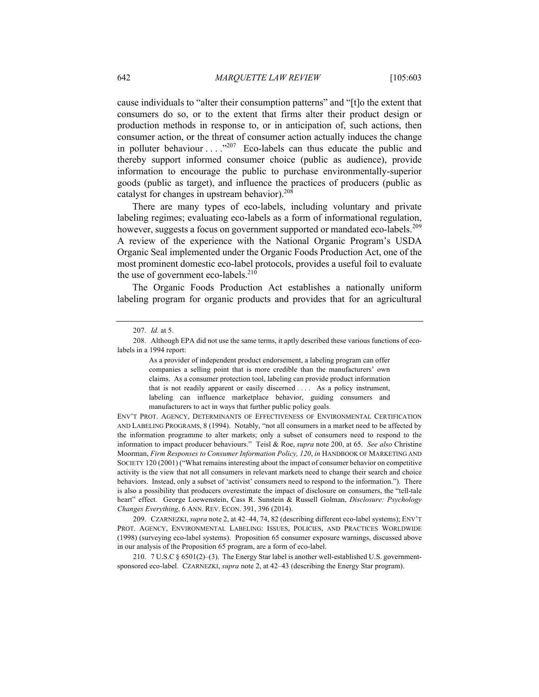cause individuals to "alter their consumption patterns" and "[t]o the extent that consumers do so, or to the extent that firms alter their product design or production methods in response to, or in anticipation of, such actions, then consumer action, or the threat of consumer action actually induces the change in polluter behaviour  $\dots$  ."207 Eco-labels can thus educate the public and thereby support informed consumer choice (public as audience), provide information to encourage the public to purchase environmentally-superior goods (public as target), and influence the practices of producers (public as catalyst for changes in upstream behavior).<sup>208</sup>

There are many types of eco-labels, including voluntary and private labeling regimes; evaluating eco-labels as a form of informational regulation, however, suggests a focus on government supported or mandated eco-labels.<sup>209</sup> A review of the experience with the National Organic Program's USDA Organic Seal implemented under the Organic Foods Production Act, one of the most prominent domestic eco-label protocols, provides a useful foil to evaluate the use of government eco-labels.<sup>210</sup>

The Organic Foods Production Act establishes a nationally uniform labeling program for organic products and provides that for an agricultural

As a provider of independent product endorsement, a labeling program can offer companies a selling point that is more credible than the manufacturers' own claims. As a consumer protection tool, labeling can provide product information that is not readily apparent or easily discerned . . . . As a policy instrument, labeling can influence marketplace behavior, guiding consumers and manufacturers to act in ways that further public policy goals.

ENV'T PROT. AGENCY, DETERMINANTS OF EFFECTIVENESS OF ENVIRONMENTAL CERTIFICATION AND LABELING PROGRAMS, 8 (1994). Notably, "not all consumers in a market need to be affected by the information programme to alter markets; only a subset of consumers need to respond to the information to impact producer behaviours." Teisl & Roe, *supra* note 200, at 65. *See also* Christine Moorman, *Firm Responses to Consumer Information Policy, 120*, *in* HANDBOOK OF MARKETING AND SOCIETY 120 (2001) ("What remains interesting about the impact of consumer behavior on competitive activity is the view that not all consumers in relevant markets need to change their search and choice behaviors. Instead, only a subset of 'activist' consumers need to respond to the information."). There is also a possibility that producers overestimate the impact of disclosure on consumers, the "tell-tale heart" effect. George Loewenstein, Cass R. Sunstein & Russell Golman, *Disclosure: Psychology Changes Everything*, 6 ANN. REV. ECON. 391, 396 (2014).

209. CZARNEZKI, *supra* note 2, at 42–44, 74, 82 (describing different eco-label systems); ENV'T PROT. AGENCY, ENVIRONMENTAL LABELING: ISSUES, POLICIES, AND PRACTICES WORLDWIDE (1998) (surveying eco-label systems). Proposition 65 consumer exposure warnings, discussed above in our analysis of the Proposition 65 program, are a form of eco-label.

210. 7 U.S.C § 6501(2)–(3). The Energy Star label is another well-established U.S. governmentsponsored eco-label. CZARNEZKI, *supra* note 2, at 42–43 (describing the Energy Star program).

<sup>207.</sup> *Id.* at 5.

<sup>208.</sup> Although EPA did not use the same terms, it aptly described these various functions of ecolabels in a 1994 report: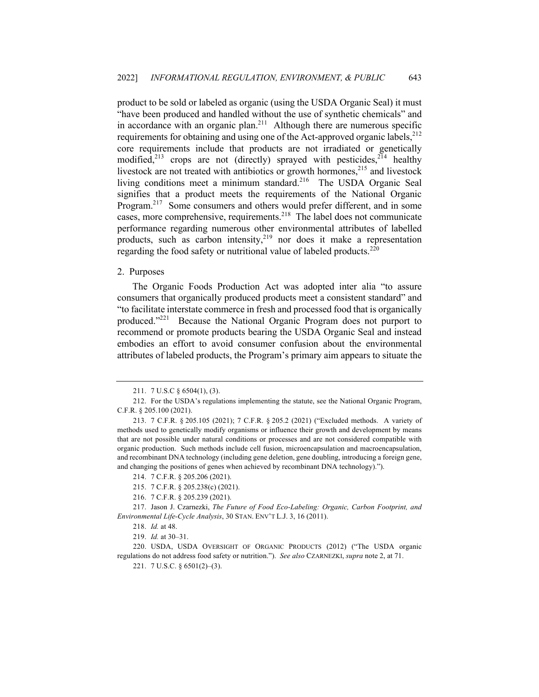product to be sold or labeled as organic (using the USDA Organic Seal) it must "have been produced and handled without the use of synthetic chemicals" and in accordance with an organic plan.<sup>211</sup> Although there are numerous specific requirements for obtaining and using one of the Act-approved organic labels,  $^{212}$ core requirements include that products are not irradiated or genetically modified,<sup>213</sup> crops are not (directly) sprayed with pesticides,<sup>214</sup> healthy livestock are not treated with antibiotics or growth hormones, $215$  and livestock living conditions meet a minimum standard.<sup>216</sup> The USDA Organic Seal signifies that a product meets the requirements of the National Organic Program.<sup>217</sup> Some consumers and others would prefer different, and in some cases, more comprehensive, requirements.<sup>218</sup> The label does not communicate performance regarding numerous other environmental attributes of labelled products, such as carbon intensity, $2^{19}$  nor does it make a representation regarding the food safety or nutritional value of labeled products.<sup>220</sup>

#### 2. Purposes

The Organic Foods Production Act was adopted inter alia "to assure consumers that organically produced products meet a consistent standard" and "to facilitate interstate commerce in fresh and processed food that is organically produced."221 Because the National Organic Program does not purport to recommend or promote products bearing the USDA Organic Seal and instead embodies an effort to avoid consumer confusion about the environmental attributes of labeled products, the Program's primary aim appears to situate the

<sup>211.</sup> 7 U.S.C § 6504(1), (3).

<sup>212.</sup> For the USDA's regulations implementing the statute, see the National Organic Program, C.F.R. § 205.100 (2021).

<sup>213.</sup> 7 C.F.R. § 205.105 (2021); 7 C.F.R. § 205.2 (2021) ("Excluded methods. A variety of methods used to genetically modify organisms or influence their growth and development by means that are not possible under natural conditions or processes and are not considered compatible with organic production. Such methods include cell fusion, microencapsulation and macroencapsulation, and recombinant DNA technology (including gene deletion, gene doubling, introducing a foreign gene, and changing the positions of genes when achieved by recombinant DNA technology).").

<sup>214.</sup> 7 C.F.R. § 205.206 (2021).

<sup>215.</sup> 7 C.F.R. § 205.238(c) (2021).

<sup>216.</sup> 7 C.F.R. § 205.239 (2021).

<sup>217.</sup> Jason J. Czarnezki, *The Future of Food Eco-Labeling: Organic, Carbon Footprint, and Environmental Life-Cycle Analysis*, 30 STAN. ENV'T L.J. 3, 16 (2011).

<sup>218.</sup> *Id.* at 48.

<sup>219.</sup> *Id.* at 30–31.

<sup>220.</sup> USDA, USDA OVERSIGHT OF ORGANIC PRODUCTS (2012) ("The USDA organic regulations do not address food safety or nutrition."). *See also* CZARNEZKI, *supra* note 2, at 71.

<sup>221.</sup> 7 U.S.C. § 6501(2)–(3).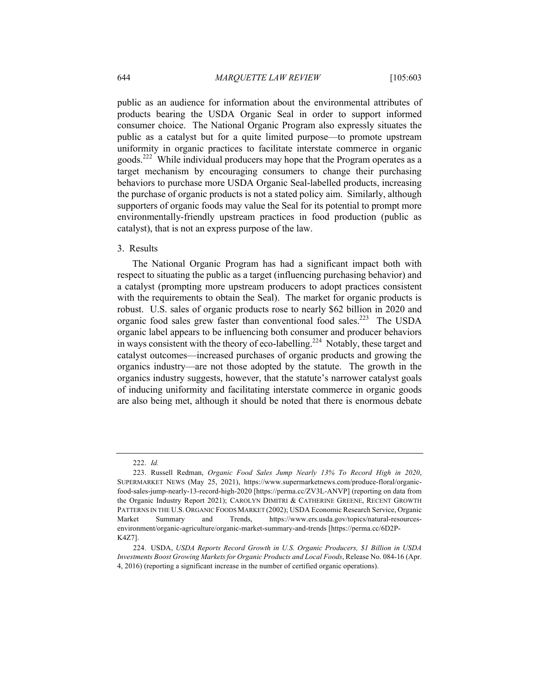public as an audience for information about the environmental attributes of products bearing the USDA Organic Seal in order to support informed consumer choice. The National Organic Program also expressly situates the public as a catalyst but for a quite limited purpose—to promote upstream uniformity in organic practices to facilitate interstate commerce in organic goods.<sup>222</sup> While individual producers may hope that the Program operates as a target mechanism by encouraging consumers to change their purchasing behaviors to purchase more USDA Organic Seal-labelled products, increasing the purchase of organic products is not a stated policy aim. Similarly, although supporters of organic foods may value the Seal for its potential to prompt more environmentally-friendly upstream practices in food production (public as catalyst), that is not an express purpose of the law.

## 3. Results

The National Organic Program has had a significant impact both with respect to situating the public as a target (influencing purchasing behavior) and a catalyst (prompting more upstream producers to adopt practices consistent with the requirements to obtain the Seal). The market for organic products is robust. U.S. sales of organic products rose to nearly \$62 billion in 2020 and organic food sales grew faster than conventional food sales.<sup>223</sup> The USDA organic label appears to be influencing both consumer and producer behaviors in ways consistent with the theory of eco-labelling.<sup>224</sup> Notably, these target and catalyst outcomes—increased purchases of organic products and growing the organics industry—are not those adopted by the statute. The growth in the organics industry suggests, however, that the statute's narrower catalyst goals of inducing uniformity and facilitating interstate commerce in organic goods are also being met, although it should be noted that there is enormous debate

<sup>222.</sup> *Id.*

<sup>223.</sup> Russell Redman, *Organic Food Sales Jump Nearly 13% To Record High in 2020*, SUPERMARKET NEWS (May 25, 2021), https://www.supermarketnews.com/produce-floral/organicfood-sales-jump-nearly-13-record-high-2020 [https://perma.cc/ZV3L-ANVP] (reporting on data from the Organic Industry Report 2021); CAROLYN DIMITRI & CATHERINE GREENE, RECENT GROWTH PATTERNS IN THE U.S. ORGANIC FOODS MARKET (2002); USDA Economic Research Service, Organic Market Summary and Trends, https://www.ers.usda.gov/topics/natural-resourcesenvironment/organic-agriculture/organic-market-summary-and-trends [https://perma.cc/6D2P-K4Z7].

<sup>224.</sup> USDA, *USDA Reports Record Growth in U.S. Organic Producers, \$1 Billion in USDA Investments Boost Growing Markets for Organic Products and Local Foods*, Release No. 084-16 (Apr. 4, 2016) (reporting a significant increase in the number of certified organic operations).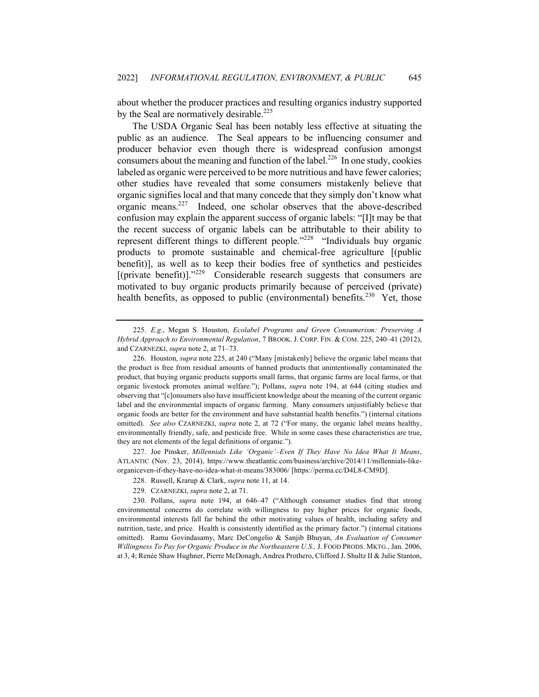about whether the producer practices and resulting organics industry supported by the Seal are normatively desirable.<sup>225</sup>

The USDA Organic Seal has been notably less effective at situating the public as an audience. The Seal appears to be influencing consumer and producer behavior even though there is widespread confusion amongst consumers about the meaning and function of the label.<sup>226</sup> In one study, cookies labeled as organic were perceived to be more nutritious and have fewer calories; other studies have revealed that some consumers mistakenly believe that organic signifies local and that many concede that they simply don't know what organic means.<sup>227</sup> Indeed, one scholar observes that the above-described confusion may explain the apparent success of organic labels: "[I]t may be that the recent success of organic labels can be attributable to their ability to represent different things to different people."<sup>228</sup> "Individuals buy organic products to promote sustainable and chemical-free agriculture [(public benefit)], as well as to keep their bodies free of synthetics and pesticides  $[$ (private benefit)]."<sup>229</sup> Considerable research suggests that consumers are motivated to buy organic products primarily because of perceived (private) health benefits, as opposed to public (environmental) benefits.<sup>230</sup> Yet, those

227. Joe Pinsker, *Millennials Like 'Organic'–Even If They Have No Idea What It Means*, ATLANTIC (Nov. 23, 2014), https://www.theatlantic.com/business/archive/2014/11/millennials-likeorganiceven-if-they-have-no-idea-what-it-means/383006/ [https://perma.cc/D4L8-CM9D].

<sup>225.</sup> *E.g.*, Megan S. Houston, *Ecolabel Programs and Green Consumerism: Preserving A Hybrid Approach to Environmental Regulation*, 7 BROOK. J. CORP. FIN. & COM. 225, 240–41 (2012), and CZARNEZKI, *supra* note 2, at 71–73.

<sup>226.</sup> Houston, *supra* note 225, at 240 ("Many [mistakenly] believe the organic label means that the product is free from residual amounts of banned products that unintentionally contaminated the product, that buying organic products supports small farms, that organic farms are local farms, or that organic livestock promotes animal welfare."); Pollans, *supra* note 194, at 644 (citing studies and observing that "[c]onsumers also have insufficient knowledge about the meaning of the current organic label and the environmental impacts of organic farming. Many consumers unjustifiably believe that organic foods are better for the environment and have substantial health benefits.") (internal citations omitted). *See also* CZARNEZKI, *supra* note 2, at 72 ("For many, the organic label means healthy, environmentally friendly, safe, and pesticide free. While in some cases these characteristics are true, they are not elements of the legal definitions of organic.").

<sup>228.</sup> Russell, Krarup & Clark, *supra* note 11, at 14.

<sup>229.</sup> CZARNEZKI, *supra* note 2, at 71.

<sup>230.</sup> Pollans, *supra* note 194, at 646–47 ("Although consumer studies find that strong environmental concerns do correlate with willingness to pay higher prices for organic foods, environmental interests fall far behind the other motivating values of health, including safety and nutrition, taste, and price. Health is consistently identified as the primary factor.") (internal citations omitted). Ramu Govindasamy, Marc DeCongelio & Sanjib Bhuyan, *An Evaluation of Consumer Willingness To Pay for Organic Produce in the Northeastern U.S.,* J. FOOD PRODS. MKTG., Jan. 2006, at 3, 4; Renée Shaw Hughner, Pierre McDonagh, Andrea Prothero, Clifford J. Shultz II & Julie Stanton,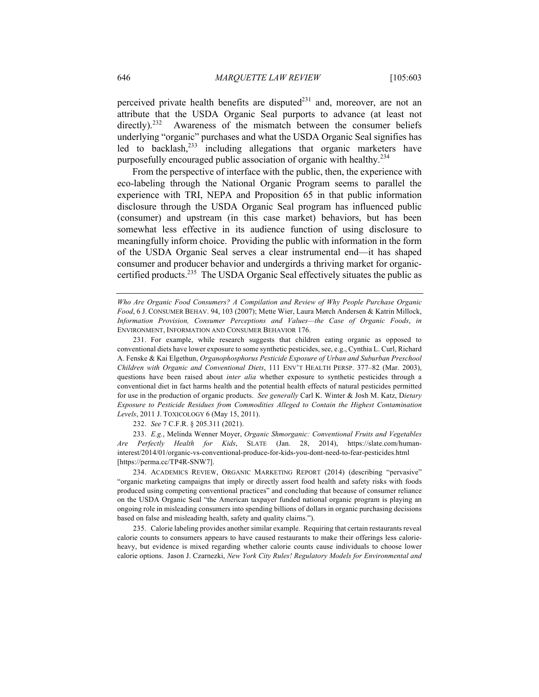perceived private health benefits are disputed $^{231}$  and, moreover, are not an attribute that the USDA Organic Seal purports to advance (at least not directly).<sup>232</sup> Awareness of the mismatch between the consumer beliefs underlying "organic" purchases and what the USDA Organic Seal signifies has led to backlash,<sup>233</sup> including allegations that organic marketers have purposefully encouraged public association of organic with healthy.<sup>234</sup>

From the perspective of interface with the public, then, the experience with eco-labeling through the National Organic Program seems to parallel the experience with TRI, NEPA and Proposition 65 in that public information disclosure through the USDA Organic Seal program has influenced public (consumer) and upstream (in this case market) behaviors, but has been somewhat less effective in its audience function of using disclosure to meaningfully inform choice. Providing the public with information in the form of the USDA Organic Seal serves a clear instrumental end—it has shaped consumer and producer behavior and undergirds a thriving market for organiccertified products.<sup>235</sup> The USDA Organic Seal effectively situates the public as

*Who Are Organic Food Consumers? A Compilation and Review of Why People Purchase Organic Food*, 6 J. CONSUMER BEHAV. 94, 103 (2007); Mette Wier, Laura Mørch Andersen & Katrin Millock, *Information Provision, Consumer Perceptions and Values—the Case of Organic Foods*, *in*  ENVIRONMENT, INFORMATION AND CONSUMER BEHAVIOR 176.

231. For example, while research suggests that children eating organic as opposed to conventional diets have lower exposure to some synthetic pesticides, see, e.g., Cynthia L. Curl, Richard A. Fenske & Kai Elgethun, *Organophosphorus Pesticide Exposure of Urban and Suburban Preschool Children with Organic and Conventional Diets*, 111 ENV'T HEALTH PERSP. 377–82 (Mar. 2003), questions have been raised about *inter alia* whether exposure to synthetic pesticides through a conventional diet in fact harms health and the potential health effects of natural pesticides permitted for use in the production of organic products. *See generally* Carl K. Winter & Josh M. Katz, D*ietary Exposure to Pesticide Residues from Commodities Alleged to Contain the Highest Contamination Levels*, 2011 J. TOXICOLOGY 6 (May 15, 2011).

232. *See* 7 C.F.R. § 205.311 (2021).

233. *E.g.*, Melinda Wenner Moyer, *Organic Shmorganic: Conventional Fruits and Vegetables Are Perfectly Health for Kids*, SLATE (Jan. 28, 2014), https://slate.com/humaninterest/2014/01/organic-vs-conventional-produce-for-kids-you-dont-need-to-fear-pesticides.html [https://perma.cc/TP4R-SNW7].

234. ACADEMICS REVIEW, ORGANIC MARKETING REPORT (2014) (describing "pervasive" "organic marketing campaigns that imply or directly assert food health and safety risks with foods produced using competing conventional practices" and concluding that because of consumer reliance on the USDA Organic Seal "the American taxpayer funded national organic program is playing an ongoing role in misleading consumers into spending billions of dollars in organic purchasing decisions based on false and misleading health, safety and quality claims.").

235. Calorie labeling provides another similar example. Requiring that certain restaurants reveal calorie counts to consumers appears to have caused restaurants to make their offerings less calorieheavy, but evidence is mixed regarding whether calorie counts cause individuals to choose lower calorie options. Jason J. Czarnezki, *New York City Rules! Regulatory Models for Environmental and*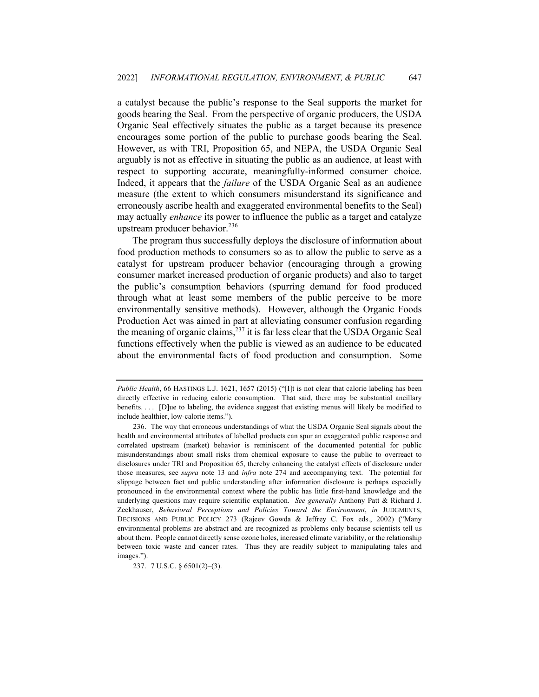a catalyst because the public's response to the Seal supports the market for goods bearing the Seal. From the perspective of organic producers, the USDA Organic Seal effectively situates the public as a target because its presence encourages some portion of the public to purchase goods bearing the Seal. However, as with TRI, Proposition 65, and NEPA, the USDA Organic Seal arguably is not as effective in situating the public as an audience, at least with respect to supporting accurate, meaningfully-informed consumer choice. Indeed, it appears that the *failure* of the USDA Organic Seal as an audience measure (the extent to which consumers misunderstand its significance and erroneously ascribe health and exaggerated environmental benefits to the Seal) may actually *enhance* its power to influence the public as a target and catalyze upstream producer behavior.  $236$ 

The program thus successfully deploys the disclosure of information about food production methods to consumers so as to allow the public to serve as a catalyst for upstream producer behavior (encouraging through a growing consumer market increased production of organic products) and also to target the public's consumption behaviors (spurring demand for food produced through what at least some members of the public perceive to be more environmentally sensitive methods). However, although the Organic Foods Production Act was aimed in part at alleviating consumer confusion regarding the meaning of organic claims, $237$  it is far less clear that the USDA Organic Seal functions effectively when the public is viewed as an audience to be educated about the environmental facts of food production and consumption. Some

237. 7 U.S.C. § 6501(2)–(3).

*Public Health*, 66 HASTINGS L.J. 1621, 1657 (2015) ("[I]t is not clear that calorie labeling has been directly effective in reducing calorie consumption. That said, there may be substantial ancillary benefits. . . . [D]ue to labeling, the evidence suggest that existing menus will likely be modified to include healthier, low-calorie items.").

<sup>236.</sup> The way that erroneous understandings of what the USDA Organic Seal signals about the health and environmental attributes of labelled products can spur an exaggerated public response and correlated upstream (market) behavior is reminiscent of the documented potential for public misunderstandings about small risks from chemical exposure to cause the public to overreact to disclosures under TRI and Proposition 65, thereby enhancing the catalyst effects of disclosure under those measures, see *supra* note 13 and *infra* note 274 and accompanying text. The potential for slippage between fact and public understanding after information disclosure is perhaps especially pronounced in the environmental context where the public has little first-hand knowledge and the underlying questions may require scientific explanation. *See generally* Anthony Patt & Richard J. Zeckhauser, *Behavioral Perceptions and Policies Toward the Environment*, *in* JUDGMENTS, DECISIONS AND PUBLIC POLICY 273 (Rajeev Gowda & Jeffrey C. Fox eds., 2002) ("Many environmental problems are abstract and are recognized as problems only because scientists tell us about them. People cannot directly sense ozone holes, increased climate variability, or the relationship between toxic waste and cancer rates. Thus they are readily subject to manipulating tales and images.").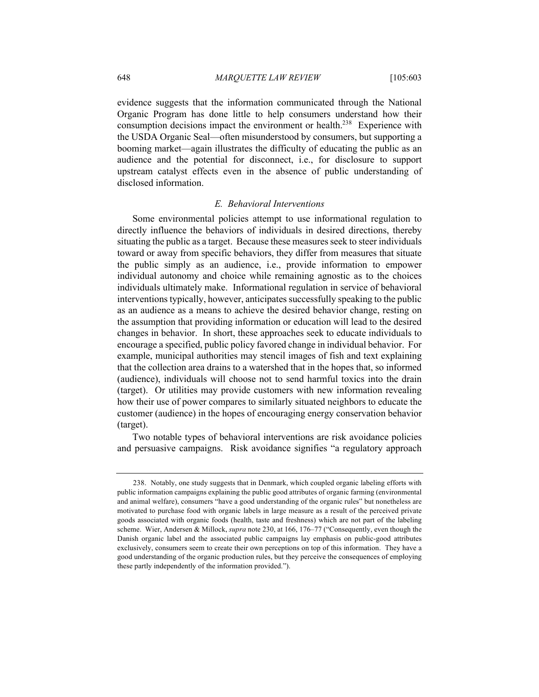evidence suggests that the information communicated through the National Organic Program has done little to help consumers understand how their consumption decisions impact the environment or health.<sup>238</sup> Experience with the USDA Organic Seal—often misunderstood by consumers, but supporting a booming market—again illustrates the difficulty of educating the public as an audience and the potential for disconnect, i.e., for disclosure to support upstream catalyst effects even in the absence of public understanding of disclosed information.

## *E. Behavioral Interventions*

Some environmental policies attempt to use informational regulation to directly influence the behaviors of individuals in desired directions, thereby situating the public as a target. Because these measures seek to steer individuals toward or away from specific behaviors, they differ from measures that situate the public simply as an audience, i.e., provide information to empower individual autonomy and choice while remaining agnostic as to the choices individuals ultimately make. Informational regulation in service of behavioral interventions typically, however, anticipates successfully speaking to the public as an audience as a means to achieve the desired behavior change, resting on the assumption that providing information or education will lead to the desired changes in behavior. In short, these approaches seek to educate individuals to encourage a specified, public policy favored change in individual behavior. For example, municipal authorities may stencil images of fish and text explaining that the collection area drains to a watershed that in the hopes that, so informed (audience), individuals will choose not to send harmful toxics into the drain (target). Or utilities may provide customers with new information revealing how their use of power compares to similarly situated neighbors to educate the customer (audience) in the hopes of encouraging energy conservation behavior (target).

Two notable types of behavioral interventions are risk avoidance policies and persuasive campaigns. Risk avoidance signifies "a regulatory approach

<sup>238.</sup> Notably, one study suggests that in Denmark, which coupled organic labeling efforts with public information campaigns explaining the public good attributes of organic farming (environmental and animal welfare), consumers "have a good understanding of the organic rules" but nonetheless are motivated to purchase food with organic labels in large measure as a result of the perceived private goods associated with organic foods (health, taste and freshness) which are not part of the labeling scheme. Wier, Andersen & Millock, *supra* note 230, at 166, 176–77 ("Consequently, even though the Danish organic label and the associated public campaigns lay emphasis on public-good attributes exclusively, consumers seem to create their own perceptions on top of this information. They have a good understanding of the organic production rules, but they perceive the consequences of employing these partly independently of the information provided.").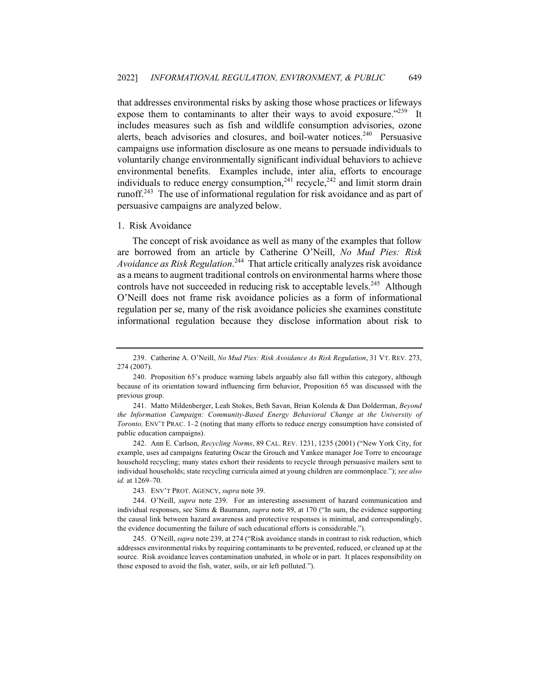that addresses environmental risks by asking those whose practices or lifeways expose them to contaminants to alter their ways to avoid exposure."<sup>239</sup> It includes measures such as fish and wildlife consumption advisories, ozone alerts, beach advisories and closures, and boil-water notices.<sup>240</sup> Persuasive campaigns use information disclosure as one means to persuade individuals to voluntarily change environmentally significant individual behaviors to achieve environmental benefits. Examples include, inter alia, efforts to encourage individuals to reduce energy consumption,  $241$  recycle,  $242$  and limit storm drain runoff.<sup>243</sup> The use of informational regulation for risk avoidance and as part of persuasive campaigns are analyzed below.

#### 1. Risk Avoidance

The concept of risk avoidance as well as many of the examples that follow are borrowed from an article by Catherine O'Neill, *No Mud Pies: Risk Avoidance as Risk Regulation*. 244 That article critically analyzes risk avoidance as a means to augment traditional controls on environmental harms where those controls have not succeeded in reducing risk to acceptable levels.<sup>245</sup> Although O'Neill does not frame risk avoidance policies as a form of informational regulation per se, many of the risk avoidance policies she examines constitute informational regulation because they disclose information about risk to

242. Ann E. Carlson, *Recycling Norms*, 89 CAL. REV. 1231, 1235 (2001) ("New York City, for example, uses ad campaigns featuring Oscar the Grouch and Yankee manager Joe Torre to encourage household recycling; many states exhort their residents to recycle through persuasive mailers sent to individual households; state recycling curricula aimed at young children are commonplace."); *see also id.* at 1269–70.

243. ENV'T PROT. AGENCY, *supra* note 39.

<sup>239.</sup> Catherine A. O'Neill, *No Mud Pies: Risk Avoidance As Risk Regulation*, 31 VT. REV. 273, 274 (2007).

<sup>240.</sup> Proposition 65's produce warning labels arguably also fall within this category, although because of its orientation toward influencing firm behavior, Proposition 65 was discussed with the previous group.

<sup>241.</sup> Matto Mildenberger, Leah Stokes, Beth Savan, Brian Kolenda & Dan Dolderman, *Beyond the Information Campaign: Community-Based Energy Behavioral Change at the University of Toronto,* ENV'T PRAC. 1–2 (noting that many efforts to reduce energy consumption have consisted of public education campaigns).

<sup>244.</sup> O'Neill, *supra* note 239. For an interesting assessment of hazard communication and individual responses, see Sims & Baumann, *supra* note 89, at 170 ("In sum, the evidence supporting the causal link between hazard awareness and protective responses is minimal, and correspondingly, the evidence documenting the failure of such educational efforts is considerable.").

<sup>245.</sup> O'Neill, *supra* note 239, at 274 ("Risk avoidance stands in contrast to risk reduction, which addresses environmental risks by requiring contaminants to be prevented, reduced, or cleaned up at the source. Risk avoidance leaves contamination unabated, in whole or in part. It places responsibility on those exposed to avoid the fish, water, soils, or air left polluted.").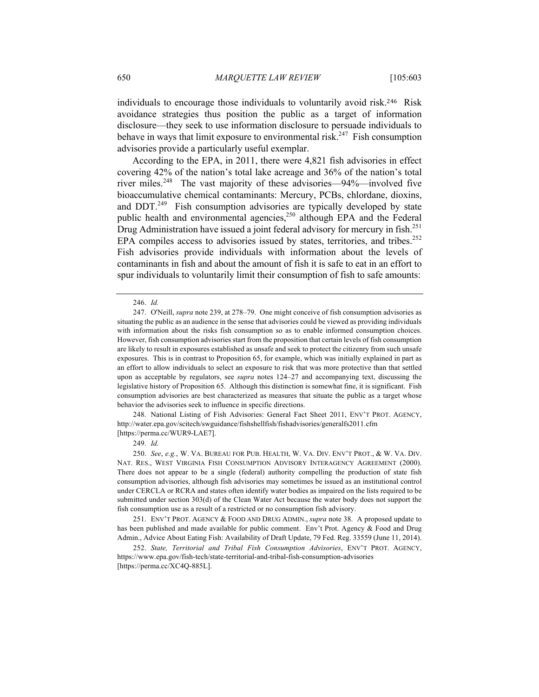individuals to encourage those individuals to voluntarily avoid risk.246 Risk avoidance strategies thus position the public as a target of information disclosure—they seek to use information disclosure to persuade individuals to behave in ways that limit exposure to environmental risk.<sup>247</sup> Fish consumption advisories provide a particularly useful exemplar.

According to the EPA, in 2011, there were 4,821 fish advisories in effect covering 42% of the nation's total lake acreage and 36% of the nation's total river miles.<sup>248</sup> The vast majority of these advisories—94%—involved five bioaccumulative chemical contaminants: Mercury, PCBs, chlordane, dioxins, and DDT.<sup>249</sup> Fish consumption advisories are typically developed by state public health and environmental agencies,<sup>250</sup> although EPA and the Federal Drug Administration have issued a joint federal advisory for mercury in fish.<sup>251</sup> EPA compiles access to advisories issued by states, territories, and tribes.<sup>252</sup> Fish advisories provide individuals with information about the levels of contaminants in fish and about the amount of fish it is safe to eat in an effort to spur individuals to voluntarily limit their consumption of fish to safe amounts:

248. National Listing of Fish Advisories: General Fact Sheet 2011, ENV'T PROT. AGENCY, http://water.epa.gov/scitech/swguidance/fishshellfish/fishadvisories/generalfs2011.cfm [https://perma.cc/WUR9-LAE7].

249. *Id.*

250. *See*, *e.g.*, W. VA. BUREAU FOR PUB. HEALTH, W. VA. DIV. ENV'T PROT., & W. VA. DIV. NAT. RES., WEST VIRGINIA FISH CONSUMPTION ADVISORY INTERAGENCY AGREEMENT (2000). There does not appear to be a single (federal) authority compelling the production of state fish consumption advisories, although fish advisories may sometimes be issued as an institutional control under CERCLA or RCRA and states often identify water bodies as impaired on the lists required to be submitted under section 303(d) of the Clean Water Act because the water body does not support the fish consumption use as a result of a restricted or no consumption fish advisory.

251. ENV'T PROT. AGENCY & FOOD AND DRUG ADMIN., *supra* note 38. A proposed update to has been published and made available for public comment. Env't Prot. Agency & Food and Drug Admin., Advice About Eating Fish: Availability of Draft Update, 79 Fed. Reg. 33559 (June 11, 2014).

252. *State, Territorial and Tribal Fish Consumption Advisories*, ENV'T PROT. AGENCY, https://www.epa.gov/fish-tech/state-territorial-and-tribal-fish-consumption-advisories [https://perma.cc/XC4Q-885L].

<sup>246.</sup> *Id.*

<sup>247.</sup> O'Neill, *supra* note 239, at 278–79. One might conceive of fish consumption advisories as situating the public as an audience in the sense that advisories could be viewed as providing individuals with information about the risks fish consumption so as to enable informed consumption choices. However, fish consumption advisories start from the proposition that certain levels of fish consumption are likely to result in exposures established as unsafe and seek to protect the citizenry from such unsafe exposures. This is in contrast to Proposition 65, for example, which was initially explained in part as an effort to allow individuals to select an exposure to risk that was more protective than that settled upon as acceptable by regulators, see *supra* notes 124–27 and accompanying text, discussing the legislative history of Proposition 65. Although this distinction is somewhat fine, it is significant. Fish consumption advisories are best characterized as measures that situate the public as a target whose behavior the advisories seek to influence in specific directions.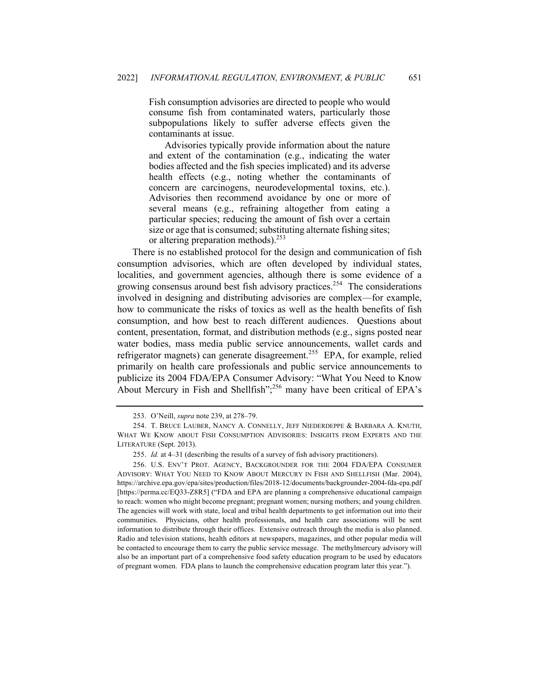Fish consumption advisories are directed to people who would consume fish from contaminated waters, particularly those subpopulations likely to suffer adverse effects given the contaminants at issue.

Advisories typically provide information about the nature and extent of the contamination (e.g., indicating the water bodies affected and the fish species implicated) and its adverse health effects (e.g., noting whether the contaminants of concern are carcinogens, neurodevelopmental toxins, etc.). Advisories then recommend avoidance by one or more of several means (e.g., refraining altogether from eating a particular species; reducing the amount of fish over a certain size or age that is consumed; substituting alternate fishing sites; or altering preparation methods).<sup>253</sup>

There is no established protocol for the design and communication of fish consumption advisories, which are often developed by individual states, localities, and government agencies, although there is some evidence of a growing consensus around best fish advisory practices.<sup>254</sup> The considerations involved in designing and distributing advisories are complex—for example, how to communicate the risks of toxics as well as the health benefits of fish consumption, and how best to reach different audiences. Questions about content, presentation, format, and distribution methods (e.g., signs posted near water bodies, mass media public service announcements, wallet cards and refrigerator magnets) can generate disagreement.<sup>255</sup> EPA, for example, relied primarily on health care professionals and public service announcements to publicize its 2004 FDA/EPA Consumer Advisory: "What You Need to Know About Mercury in Fish and Shellfish";<sup>256</sup> many have been critical of EPA's

<sup>253.</sup> O'Neill, *supra* note 239, at 278–79.

<sup>254.</sup> T. BRUCE LAUBER, NANCY A. CONNELLY, JEFF NIEDERDEPPE & BARBARA A. KNUTH, WHAT WE KNOW ABOUT FISH CONSUMPTION ADVISORIES: INSIGHTS FROM EXPERTS AND THE LITERATURE (Sept. 2013).

<sup>255.</sup> *Id.* at 4–31 (describing the results of a survey of fish advisory practitioners).

<sup>256.</sup> U.S. ENV'T PROT. AGENCY, BACKGROUNDER FOR THE 2004 FDA/EPA CONSUMER ADVISORY: WHAT YOU NEED TO KNOW ABOUT MERCURY IN FISH AND SHELLFISH (Mar. 2004), https://archive.epa.gov/epa/sites/production/files/2018-12/documents/backgrounder-2004-fda-epa.pdf [https://perma.cc/EQ33-Z8R5] ("FDA and EPA are planning a comprehensive educational campaign to reach: women who might become pregnant; pregnant women; nursing mothers; and young children. The agencies will work with state, local and tribal health departments to get information out into their communities. Physicians, other health professionals, and health care associations will be sent information to distribute through their offices. Extensive outreach through the media is also planned. Radio and television stations, health editors at newspapers, magazines, and other popular media will be contacted to encourage them to carry the public service message. The methylmercury advisory will also be an important part of a comprehensive food safety education program to be used by educators of pregnant women. FDA plans to launch the comprehensive education program later this year.").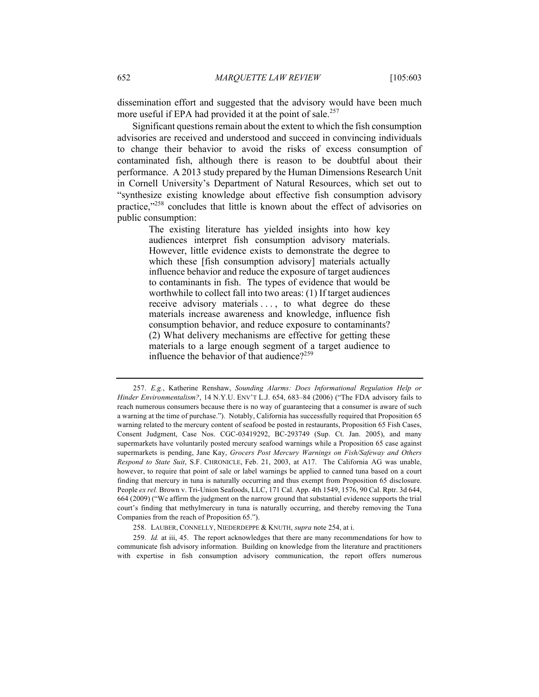dissemination effort and suggested that the advisory would have been much more useful if EPA had provided it at the point of sale.<sup>257</sup>

Significant questions remain about the extent to which the fish consumption advisories are received and understood and succeed in convincing individuals to change their behavior to avoid the risks of excess consumption of contaminated fish, although there is reason to be doubtful about their performance. A 2013 study prepared by the Human Dimensions Research Unit in Cornell University's Department of Natural Resources, which set out to "synthesize existing knowledge about effective fish consumption advisory practice,"<sup>258</sup> concludes that little is known about the effect of advisories on public consumption:

> The existing literature has yielded insights into how key audiences interpret fish consumption advisory materials. However, little evidence exists to demonstrate the degree to which these [fish consumption advisory] materials actually influence behavior and reduce the exposure of target audiences to contaminants in fish. The types of evidence that would be worthwhile to collect fall into two areas: (1) If target audiences receive advisory materials . . . , to what degree do these materials increase awareness and knowledge, influence fish consumption behavior, and reduce exposure to contaminants? (2) What delivery mechanisms are effective for getting these materials to a large enough segment of a target audience to influence the behavior of that audience? $259$

<sup>257.</sup> *E.g.*, Katherine Renshaw, *Sounding Alarms: Does Informational Regulation Help or Hinder Environmentalism?*, 14 N.Y.U. ENV'T L.J. 654, 683–84 (2006) ("The FDA advisory fails to reach numerous consumers because there is no way of guaranteeing that a consumer is aware of such a warning at the time of purchase."). Notably, California has successfully required that Proposition 65 warning related to the mercury content of seafood be posted in restaurants, Proposition 65 Fish Cases, Consent Judgment, Case Nos. CGC-03419292, BC-293749 (Sup. Ct. Jan. 2005), and many supermarkets have voluntarily posted mercury seafood warnings while a Proposition 65 case against supermarkets is pending, Jane Kay, *Grocers Post Mercury Warnings on Fish/Safeway and Others Respond to State Suit*, S.F. CHRONICLE, Feb. 21, 2003, at A17. The California AG was unable, however, to require that point of sale or label warnings be applied to canned tuna based on a court finding that mercury in tuna is naturally occurring and thus exempt from Proposition 65 disclosure. People *ex rel.* Brown v. Tri-Union Seafoods, LLC, 171 Cal. App. 4th 1549, 1576, 90 Cal. Rptr. 3d 644, 664 (2009) ("We affirm the judgment on the narrow ground that substantial evidence supports the trial court's finding that methylmercury in tuna is naturally occurring, and thereby removing the Tuna Companies from the reach of Proposition 65.").

<sup>258.</sup> LAUBER, CONNELLY, NIEDERDEPPE & KNUTH, *supra* note 254, at i.

<sup>259.</sup> *Id.* at iii, 45. The report acknowledges that there are many recommendations for how to communicate fish advisory information. Building on knowledge from the literature and practitioners with expertise in fish consumption advisory communication, the report offers numerous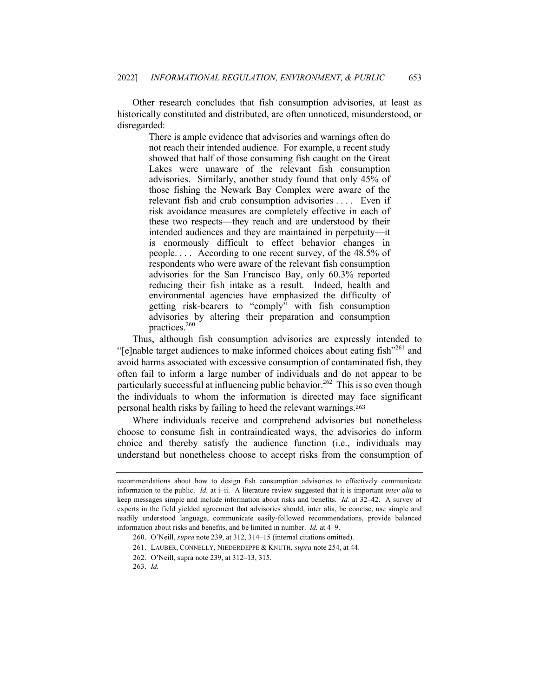Other research concludes that fish consumption advisories, at least as historically constituted and distributed, are often unnoticed, misunderstood, or disregarded:

> There is ample evidence that advisories and warnings often do not reach their intended audience. For example, a recent study showed that half of those consuming fish caught on the Great Lakes were unaware of the relevant fish consumption advisories. Similarly, another study found that only 45% of those fishing the Newark Bay Complex were aware of the relevant fish and crab consumption advisories . . . . Even if risk avoidance measures are completely effective in each of these two respects—they reach and are understood by their intended audiences and they are maintained in perpetuity—it is enormously difficult to effect behavior changes in people. . . . According to one recent survey, of the 48.5% of respondents who were aware of the relevant fish consumption advisories for the San Francisco Bay, only 60.3% reported reducing their fish intake as a result. Indeed, health and environmental agencies have emphasized the difficulty of getting risk-bearers to "comply" with fish consumption advisories by altering their preparation and consumption practices.260

Thus, although fish consumption advisories are expressly intended to "[e]nable target audiences to make informed choices about eating fish"<sup>261</sup> and avoid harms associated with excessive consumption of contaminated fish, they often fail to inform a large number of individuals and do not appear to be particularly successful at influencing public behavior.<sup>262</sup> This is so even though the individuals to whom the information is directed may face significant personal health risks by failing to heed the relevant warnings.<sup>263</sup>

Where individuals receive and comprehend advisories but nonetheless choose to consume fish in contraindicated ways, the advisories do inform choice and thereby satisfy the audience function (i.e., individuals may understand but nonetheless choose to accept risks from the consumption of

recommendations about how to design fish consumption advisories to effectively communicate information to the public. *Id.* at i–ii. A literature review suggested that it is important *inter alia* to keep messages simple and include information about risks and benefits. *Id.* at 32–42. A survey of experts in the field yielded agreement that advisories should, inter alia, be concise, use simple and readily understood language, communicate easily-followed recommendations, provide balanced information about risks and benefits, and be limited in number. *Id.* at 4–9.

<sup>260.</sup> O'Neill, *supra* note 239, at 312, 314–15 (internal citations omitted).

<sup>261.</sup> LAUBER, CONNELLY, NIEDERDEPPE & KNUTH, *supra* note 254, at 44.

<sup>262.</sup> O'Neill, supra note 239, at 312–13, 315.

<sup>263.</sup> *Id.*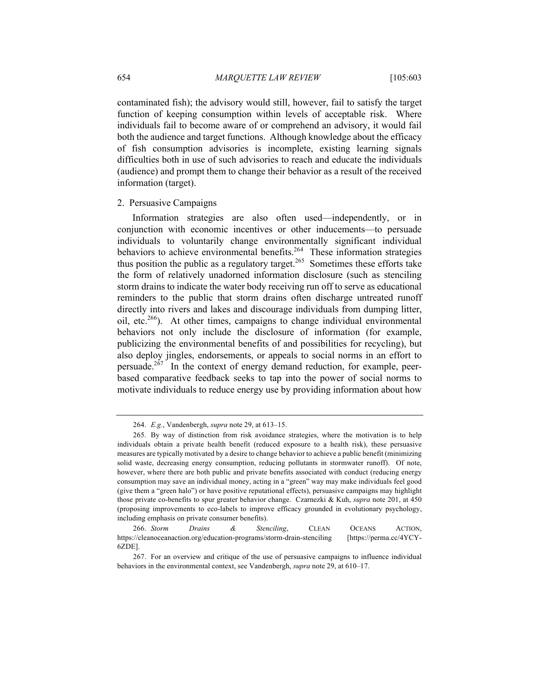contaminated fish); the advisory would still, however, fail to satisfy the target function of keeping consumption within levels of acceptable risk. Where individuals fail to become aware of or comprehend an advisory, it would fail both the audience and target functions. Although knowledge about the efficacy of fish consumption advisories is incomplete, existing learning signals difficulties both in use of such advisories to reach and educate the individuals (audience) and prompt them to change their behavior as a result of the received information (target).

## 2. Persuasive Campaigns

Information strategies are also often used—independently, or in conjunction with economic incentives or other inducements—to persuade individuals to voluntarily change environmentally significant individual behaviors to achieve environmental benefits.<sup>264</sup> These information strategies thus position the public as a regulatory target.<sup>265</sup> Sometimes these efforts take the form of relatively unadorned information disclosure (such as stenciling storm drains to indicate the water body receiving run off to serve as educational reminders to the public that storm drains often discharge untreated runoff directly into rivers and lakes and discourage individuals from dumping litter, oil, etc.266). At other times, campaigns to change individual environmental behaviors not only include the disclosure of information (for example, publicizing the environmental benefits of and possibilities for recycling), but also deploy jingles, endorsements, or appeals to social norms in an effort to persuade.<sup>267</sup> In the context of energy demand reduction, for example, peerbased comparative feedback seeks to tap into the power of social norms to motivate individuals to reduce energy use by providing information about how

<sup>264.</sup> *E.g.*, Vandenbergh, *supra* note 29, at 613–15.

<sup>265.</sup> By way of distinction from risk avoidance strategies, where the motivation is to help individuals obtain a private health benefit (reduced exposure to a health risk), these persuasive measures are typically motivated by a desire to change behavior to achieve a public benefit (minimizing solid waste, decreasing energy consumption, reducing pollutants in stormwater runoff). Of note, however, where there are both public and private benefits associated with conduct (reducing energy consumption may save an individual money, acting in a "green" way may make individuals feel good (give them a "green halo") or have positive reputational effects), persuasive campaigns may highlight those private co-benefits to spur greater behavior change. Czarnezki & Kuh, *supra* note 201, at 450 (proposing improvements to eco-labels to improve efficacy grounded in evolutionary psychology, including emphasis on private consumer benefits).

<sup>266.</sup> *Storm Drains & Stenciling*, CLEAN OCEANS ACTION, https://cleanoceanaction.org/education-programs/storm-drain-stenciling [https://perma.cc/4YCY-6ZDE].

<sup>267.</sup> For an overview and critique of the use of persuasive campaigns to influence individual behaviors in the environmental context, see Vandenbergh, *supra* note 29, at 610–17.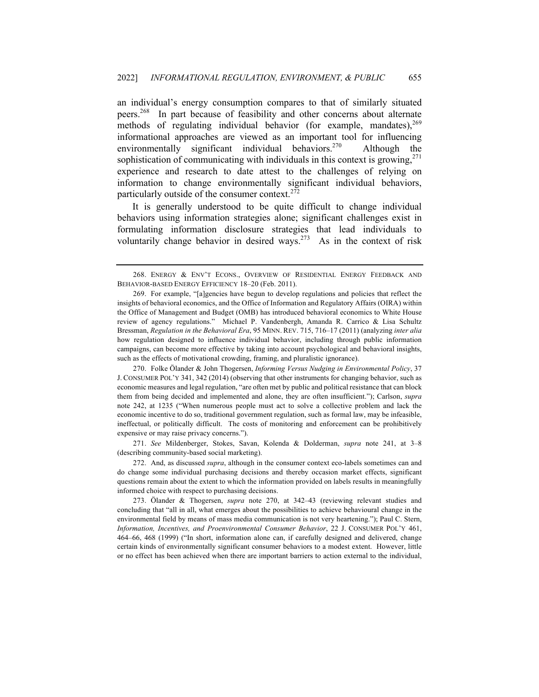an individual's energy consumption compares to that of similarly situated peers.268 In part because of feasibility and other concerns about alternate methods of regulating individual behavior (for example, mandates),  $269$ informational approaches are viewed as an important tool for influencing environmentally significant individual behaviors.<sup>270</sup> Although the sophistication of communicating with individuals in this context is growing,  $271$ experience and research to date attest to the challenges of relying on information to change environmentally significant individual behaviors, particularly outside of the consumer context.<sup>272</sup>

It is generally understood to be quite difficult to change individual behaviors using information strategies alone; significant challenges exist in formulating information disclosure strategies that lead individuals to voluntarily change behavior in desired ways.<sup>273</sup> As in the context of risk

270. Folke Ölander & John Thogersen, *Informing Versus Nudging in Environmental Policy*, 37 J. CONSUMER POL'Y 341, 342 (2014) (observing that other instruments for changing behavior, such as economic measures and legal regulation, "are often met by public and political resistance that can block them from being decided and implemented and alone, they are often insufficient."); Carlson, *supra*  note 242, at 1235 ("When numerous people must act to solve a collective problem and lack the economic incentive to do so, traditional government regulation, such as formal law, may be infeasible, ineffectual, or politically difficult. The costs of monitoring and enforcement can be prohibitively expensive or may raise privacy concerns.").

271. *See* Mildenberger, Stokes, Savan, Kolenda & Dolderman, *supra* note 241, at 3–8 (describing community-based social marketing).

273. Ölander & Thogersen, *supra* note 270, at 342–43 (reviewing relevant studies and concluding that "all in all, what emerges about the possibilities to achieve behavioural change in the environmental field by means of mass media communication is not very heartening."); Paul C. Stern, *Information, Incentives, and Proenvironmental Consumer Behavior*, 22 J. CONSUMER POL'Y 461, 464–66, 468 (1999) ("In short, information alone can, if carefully designed and delivered, change certain kinds of environmentally significant consumer behaviors to a modest extent. However, little or no effect has been achieved when there are important barriers to action external to the individual,

<sup>268.</sup> ENERGY & ENV'T ECONS., OVERVIEW OF RESIDENTIAL ENERGY FEEDBACK AND BEHAVIOR-BASED ENERGY EFFICIENCY 18–20 (Feb. 2011).

<sup>269.</sup> For example, "[a]gencies have begun to develop regulations and policies that reflect the insights of behavioral economics, and the Office of Information and Regulatory Affairs (OIRA) within the Office of Management and Budget (OMB) has introduced behavioral economics to White House review of agency regulations." Michael P. Vandenbergh, Amanda R. Carrico & Lisa Schultz Bressman, *Regulation in the Behavioral Era*, 95 MINN. REV. 715, 716–17 (2011) (analyzing *inter alia* how regulation designed to influence individual behavior, including through public information campaigns, can become more effective by taking into account psychological and behavioral insights, such as the effects of motivational crowding, framing, and pluralistic ignorance).

<sup>272.</sup> And, as discussed *supra*, although in the consumer context eco-labels sometimes can and do change some individual purchasing decisions and thereby occasion market effects, significant questions remain about the extent to which the information provided on labels results in meaningfully informed choice with respect to purchasing decisions.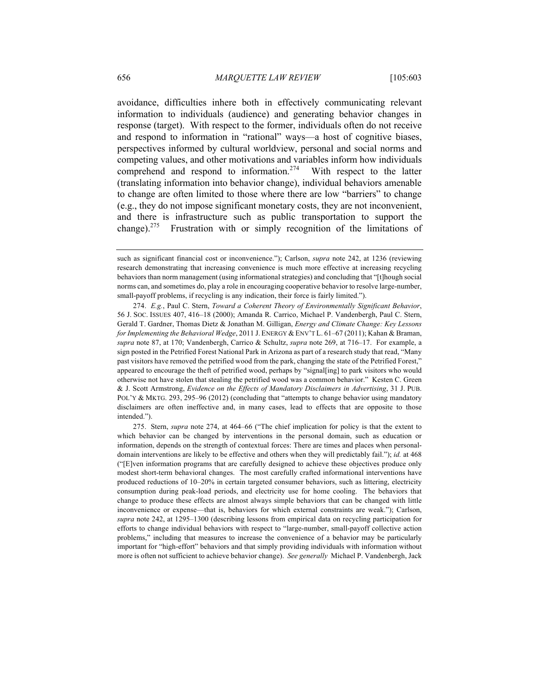avoidance, difficulties inhere both in effectively communicating relevant information to individuals (audience) and generating behavior changes in response (target). With respect to the former, individuals often do not receive and respond to information in "rational" ways—a host of cognitive biases, perspectives informed by cultural worldview, personal and social norms and competing values, and other motivations and variables inform how individuals comprehend and respond to information.<sup>274</sup> With respect to the latter (translating information into behavior change), individual behaviors amenable to change are often limited to those where there are low "barriers" to change (e.g., they do not impose significant monetary costs, they are not inconvenient, and there is infrastructure such as public transportation to support the change).275 Frustration with or simply recognition of the limitations of

such as significant financial cost or inconvenience."); Carlson, *supra* note 242, at 1236 (reviewing research demonstrating that increasing convenience is much more effective at increasing recycling behaviors than norm management (using informational strategies) and concluding that "[t]hough social norms can, and sometimes do, play a role in encouraging cooperative behavior to resolve large-number, small-payoff problems, if recycling is any indication, their force is fairly limited.").

<sup>274.</sup> *E.g.*, Paul C. Stern, *Toward a Coherent Theory of Environmentally Significant Behavior*, 56 J. SOC. ISSUES 407, 416–18 (2000); Amanda R. Carrico, Michael P. Vandenbergh, Paul C. Stern, Gerald T. Gardner, Thomas Dietz & Jonathan M. Gilligan, *Energy and Climate Change: Key Lessons for Implementing the Behavioral Wedge*, 2011 J. ENERGY & ENV'T L. 61–67 (2011); Kahan & Braman, *supra* note 87, at 170; Vandenbergh, Carrico & Schultz, *supra* note 269, at 716–17. For example, a sign posted in the Petrified Forest National Park in Arizona as part of a research study that read, "Many past visitors have removed the petrified wood from the park, changing the state of the Petrified Forest," appeared to encourage the theft of petrified wood, perhaps by "signal[ing] to park visitors who would otherwise not have stolen that stealing the petrified wood was a common behavior." Kesten C. Green & J. Scott Armstrong, *Evidence on the Effects of Mandatory Disclaimers in Advertising*, 31 J. PUB. POL'Y & MKTG. 293, 295–96 (2012) (concluding that "attempts to change behavior using mandatory disclaimers are often ineffective and, in many cases, lead to effects that are opposite to those intended.").

<sup>275.</sup> Stern, *supra* note 274, at 464–66 ("The chief implication for policy is that the extent to which behavior can be changed by interventions in the personal domain, such as education or information, depends on the strength of contextual forces: There are times and places when personaldomain interventions are likely to be effective and others when they will predictably fail."); *id.* at 468 ("[E]ven information programs that are carefully designed to achieve these objectives produce only modest short-term behavioral changes. The most carefully crafted informational interventions have produced reductions of 10–20% in certain targeted consumer behaviors, such as littering, electricity consumption during peak-load periods, and electricity use for home cooling. The behaviors that change to produce these effects are almost always simple behaviors that can be changed with little inconvenience or expense—that is, behaviors for which external constraints are weak."); Carlson, *supra* note 242, at 1295–1300 (describing lessons from empirical data on recycling participation for efforts to change individual behaviors with respect to "large-number, small-payoff collective action problems," including that measures to increase the convenience of a behavior may be particularly important for "high-effort" behaviors and that simply providing individuals with information without more is often not sufficient to achieve behavior change). *See generally* Michael P. Vandenbergh, Jack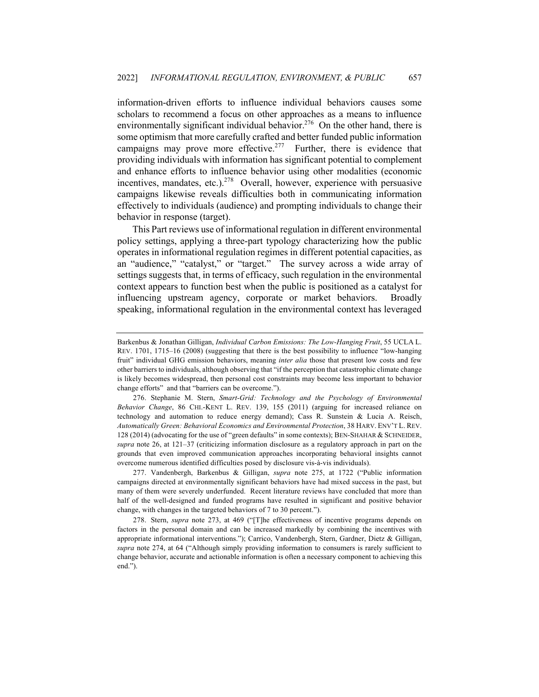information-driven efforts to influence individual behaviors causes some scholars to recommend a focus on other approaches as a means to influence environmentally significant individual behavior.<sup>276</sup> On the other hand, there is some optimism that more carefully crafted and better funded public information campaigns may prove more effective.<sup>277</sup> Further, there is evidence that providing individuals with information has significant potential to complement and enhance efforts to influence behavior using other modalities (economic incentives, mandates, etc.).<sup>278</sup> Overall, however, experience with persuasive campaigns likewise reveals difficulties both in communicating information effectively to individuals (audience) and prompting individuals to change their behavior in response (target).

This Part reviews use of informational regulation in different environmental policy settings, applying a three-part typology characterizing how the public operates in informational regulation regimes in different potential capacities, as an "audience," "catalyst," or "target." The survey across a wide array of settings suggests that, in terms of efficacy, such regulation in the environmental context appears to function best when the public is positioned as a catalyst for influencing upstream agency, corporate or market behaviors. Broadly speaking, informational regulation in the environmental context has leveraged

277. Vandenbergh, Barkenbus & Gilligan, *supra* note 275, at 1722 ("Public information campaigns directed at environmentally significant behaviors have had mixed success in the past, but many of them were severely underfunded. Recent literature reviews have concluded that more than half of the well-designed and funded programs have resulted in significant and positive behavior change, with changes in the targeted behaviors of 7 to 30 percent.").

278. Stern, *supra* note 273, at 469 ("[T]he effectiveness of incentive programs depends on factors in the personal domain and can be increased markedly by combining the incentives with appropriate informational interventions."); Carrico, Vandenbergh, Stern, Gardner, Dietz & Gilligan, *supra* note 274, at 64 ("Although simply providing information to consumers is rarely sufficient to change behavior, accurate and actionable information is often a necessary component to achieving this end.").

Barkenbus & Jonathan Gilligan, *Individual Carbon Emissions: The Low-Hanging Fruit*, 55 UCLA L. REV. 1701, 1715–16 (2008) (suggesting that there is the best possibility to influence "low-hanging fruit" individual GHG emission behaviors, meaning *inter alia* those that present low costs and few other barriers to individuals, although observing that "if the perception that catastrophic climate change is likely becomes widespread, then personal cost constraints may become less important to behavior change efforts" and that "barriers can be overcome.").

<sup>276.</sup> Stephanie M. Stern, *Smart-Grid: Technology and the Psychology of Environmental Behavior Change*, 86 CHI.-KENT L. REV. 139, 155 (2011) (arguing for increased reliance on technology and automation to reduce energy demand); Cass R. Sunstein & Lucia A. Reisch, *Automatically Green: Behavioral Economics and Environmental Protection*, 38 HARV. ENV'T L. REV. 128 (2014) (advocating for the use of "green defaults" in some contexts); BEN-SHAHAR & SCHNEIDER, *supra* note 26, at 121–37 (criticizing information disclosure as a regulatory approach in part on the grounds that even improved communication approaches incorporating behavioral insights cannot overcome numerous identified difficulties posed by disclosure vis-à-vis individuals).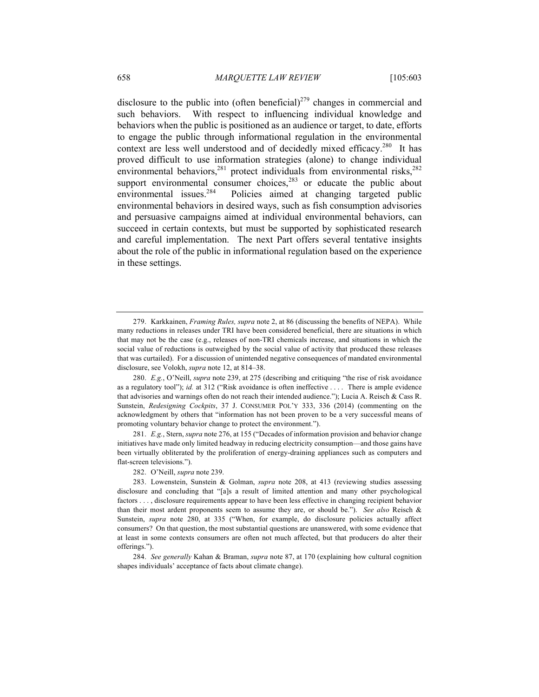disclosure to the public into (often beneficial)<sup>279</sup> changes in commercial and such behaviors. With respect to influencing individual knowledge and behaviors when the public is positioned as an audience or target, to date, efforts to engage the public through informational regulation in the environmental context are less well understood and of decidedly mixed efficacy.<sup>280</sup> It has proved difficult to use information strategies (alone) to change individual environmental behaviors,<sup>281</sup> protect individuals from environmental risks,<sup>282</sup> support environmental consumer choices, $283$  or educate the public about environmental issues.<sup>284</sup> Policies aimed at changing targeted public environmental behaviors in desired ways, such as fish consumption advisories and persuasive campaigns aimed at individual environmental behaviors, can succeed in certain contexts, but must be supported by sophisticated research and careful implementation. The next Part offers several tentative insights about the role of the public in informational regulation based on the experience in these settings.

281. *E.g.*, Stern, *supra* note 276, at 155 ("Decades of information provision and behavior change initiatives have made only limited headway in reducing electricity consumption—and those gains have been virtually obliterated by the proliferation of energy-draining appliances such as computers and flat-screen televisions.").

282. O'Neill, *supra* note 239.

<sup>279.</sup> Karkkainen, *Framing Rules, supra* note 2, at 86 (discussing the benefits of NEPA). While many reductions in releases under TRI have been considered beneficial, there are situations in which that may not be the case (e.g., releases of non-TRI chemicals increase, and situations in which the social value of reductions is outweighed by the social value of activity that produced these releases that was curtailed). For a discussion of unintended negative consequences of mandated environmental disclosure, see Volokh, *supra* note 12, at 814–38.

<sup>280.</sup> *E.g.*, O'Neill, *supra* note 239, at 275 (describing and critiquing "the rise of risk avoidance as a regulatory tool"); *id.* at 312 ("Risk avoidance is often ineffective . . . . There is ample evidence that advisories and warnings often do not reach their intended audience."); Lucia A. Reisch & Cass R. Sunstein, *Redesigning Cockpits*, 37 J. CONSUMER POL'Y 333, 336 (2014) (commenting on the acknowledgment by others that "information has not been proven to be a very successful means of promoting voluntary behavior change to protect the environment.").

<sup>283.</sup> Lowenstein, Sunstein & Golman, *supra* note 208, at 413 (reviewing studies assessing disclosure and concluding that "[a]s a result of limited attention and many other psychological factors . . . , disclosure requirements appear to have been less effective in changing recipient behavior than their most ardent proponents seem to assume they are, or should be."). *See also* Reisch & Sunstein, *supra* note 280, at 335 ("When, for example, do disclosure policies actually affect consumers? On that question, the most substantial questions are unanswered, with some evidence that at least in some contexts consumers are often not much affected, but that producers do alter their offerings.").

<sup>284.</sup> *See generally* Kahan & Braman, *supra* note 87, at 170 (explaining how cultural cognition shapes individuals' acceptance of facts about climate change).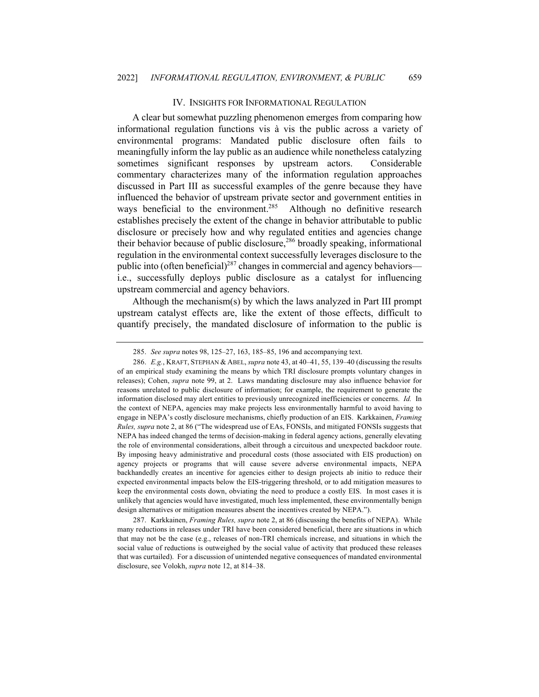### IV. INSIGHTS FOR INFORMATIONAL REGULATION

A clear but somewhat puzzling phenomenon emerges from comparing how informational regulation functions vis à vis the public across a variety of environmental programs: Mandated public disclosure often fails to meaningfully inform the lay public as an audience while nonetheless catalyzing sometimes significant responses by upstream actors. Considerable commentary characterizes many of the information regulation approaches discussed in Part III as successful examples of the genre because they have influenced the behavior of upstream private sector and government entities in ways beneficial to the environment.<sup>285</sup> Although no definitive research establishes precisely the extent of the change in behavior attributable to public disclosure or precisely how and why regulated entities and agencies change their behavior because of public disclosure,<sup>286</sup> broadly speaking, informational regulation in the environmental context successfully leverages disclosure to the public into (often beneficial)<sup>287</sup> changes in commercial and agency behaviors i.e., successfully deploys public disclosure as a catalyst for influencing upstream commercial and agency behaviors.

Although the mechanism(s) by which the laws analyzed in Part III prompt upstream catalyst effects are, like the extent of those effects, difficult to quantify precisely, the mandated disclosure of information to the public is

287. Karkkainen, *Framing Rules, supra* note 2, at 86 (discussing the benefits of NEPA). While many reductions in releases under TRI have been considered beneficial, there are situations in which that may not be the case (e.g., releases of non-TRI chemicals increase, and situations in which the social value of reductions is outweighed by the social value of activity that produced these releases that was curtailed). For a discussion of unintended negative consequences of mandated environmental disclosure, see Volokh, *supra* note 12, at 814–38.

<sup>285.</sup> *See supra* notes 98, 125–27, 163, 185–85, 196 and accompanying text.

<sup>286.</sup> *E.g.*, KRAFT, STEPHAN & ABEL, *supra* note 43, at 40–41, 55, 139–40 (discussing the results of an empirical study examining the means by which TRI disclosure prompts voluntary changes in releases); Cohen, *supra* note 99, at 2. Laws mandating disclosure may also influence behavior for reasons unrelated to public disclosure of information; for example, the requirement to generate the information disclosed may alert entities to previously unrecognized inefficiencies or concerns. *Id.* In the context of NEPA, agencies may make projects less environmentally harmful to avoid having to engage in NEPA's costly disclosure mechanisms, chiefly production of an EIS. Karkkainen, *Framing Rules, supra* note 2, at 86 ("The widespread use of EAs, FONSIs, and mitigated FONSIs suggests that NEPA has indeed changed the terms of decision-making in federal agency actions, generally elevating the role of environmental considerations, albeit through a circuitous and unexpected backdoor route. By imposing heavy administrative and procedural costs (those associated with EIS production) on agency projects or programs that will cause severe adverse environmental impacts, NEPA backhandedly creates an incentive for agencies either to design projects ab initio to reduce their expected environmental impacts below the EIS-triggering threshold, or to add mitigation measures to keep the environmental costs down, obviating the need to produce a costly EIS. In most cases it is unlikely that agencies would have investigated, much less implemented, these environmentally benign design alternatives or mitigation measures absent the incentives created by NEPA.").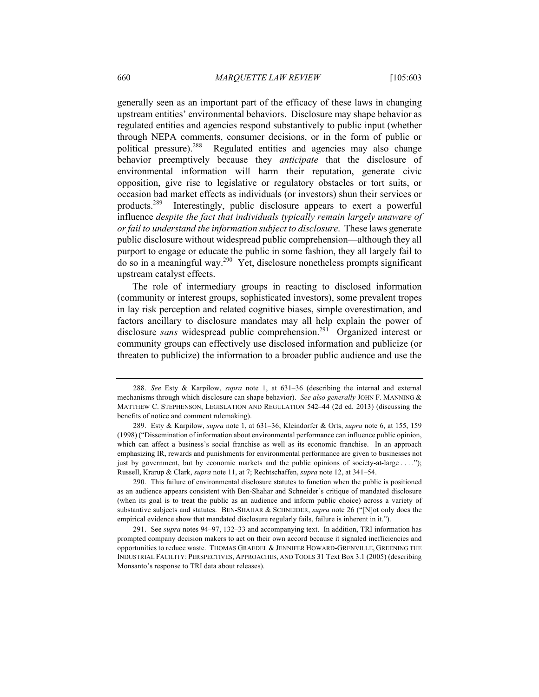generally seen as an important part of the efficacy of these laws in changing upstream entities' environmental behaviors. Disclosure may shape behavior as regulated entities and agencies respond substantively to public input (whether through NEPA comments, consumer decisions, or in the form of public or political pressure).288 Regulated entities and agencies may also change behavior preemptively because they *anticipate* that the disclosure of environmental information will harm their reputation, generate civic opposition, give rise to legislative or regulatory obstacles or tort suits, or occasion bad market effects as individuals (or investors) shun their services or products.289 Interestingly, public disclosure appears to exert a powerful influence *despite the fact that individuals typically remain largely unaware of or fail to understand the information subject to disclosure*. These laws generate public disclosure without widespread public comprehension—although they all purport to engage or educate the public in some fashion, they all largely fail to do so in a meaningful way.290 Yet, disclosure nonetheless prompts significant upstream catalyst effects.

The role of intermediary groups in reacting to disclosed information (community or interest groups, sophisticated investors), some prevalent tropes in lay risk perception and related cognitive biases, simple overestimation, and factors ancillary to disclosure mandates may all help explain the power of disclosure *sans* widespread public comprehension.<sup>291</sup> Organized interest or community groups can effectively use disclosed information and publicize (or threaten to publicize) the information to a broader public audience and use the

290. This failure of environmental disclosure statutes to function when the public is positioned as an audience appears consistent with Ben-Shahar and Schneider's critique of mandated disclosure (when its goal is to treat the public as an audience and inform public choice) across a variety of substantive subjects and statutes. BEN-SHAHAR & SCHNEIDER, *supra* note 26 ("[N]ot only does the empirical evidence show that mandated disclosure regularly fails, failure is inherent in it.").

291. See *supra* notes 94–97, 132–33 and accompanying text. In addition, TRI information has prompted company decision makers to act on their own accord because it signaled inefficiencies and opportunities to reduce waste. THOMAS GRAEDEL & JENNIFER HOWARD-GRENVILLE, GREENING THE INDUSTRIAL FACILITY: PERSPECTIVES, APPROACHES, AND TOOLS 31 Text Box 3.1 (2005) (describing Monsanto's response to TRI data about releases).

<sup>288.</sup> *See* Esty & Karpilow, *supra* note 1, at 631–36 (describing the internal and external mechanisms through which disclosure can shape behavior). *See also generally* JOHN F. MANNING & MATTHEW C. STEPHENSON, LEGISLATION AND REGULATION 542–44 (2d ed. 2013) (discussing the benefits of notice and comment rulemaking).

<sup>289.</sup> Esty & Karpilow, *supra* note 1, at 631–36; Kleindorfer & Orts, *supra* note 6, at 155, 159 (1998) ("Dissemination of information about environmental performance can influence public opinion, which can affect a business's social franchise as well as its economic franchise. In an approach emphasizing IR, rewards and punishments for environmental performance are given to businesses not just by government, but by economic markets and the public opinions of society-at-large . . . ."); Russell, Krarup & Clark, *supra* note 11, at 7; Rechtschaffen, *supra* note 12, at 341–54.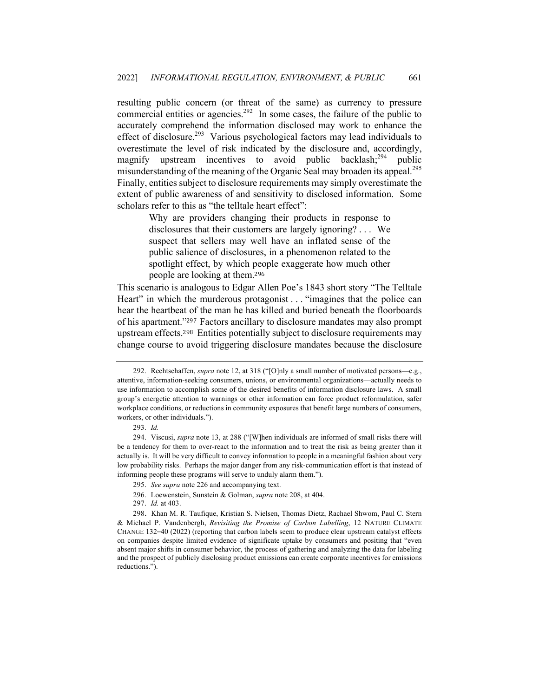resulting public concern (or threat of the same) as currency to pressure commercial entities or agencies.<sup>292</sup> In some cases, the failure of the public to accurately comprehend the information disclosed may work to enhance the effect of disclosure.<sup>293</sup> Various psychological factors may lead individuals to overestimate the level of risk indicated by the disclosure and, accordingly, magnify upstream incentives to avoid public backlash;<sup>294</sup> public misunderstanding of the meaning of the Organic Seal may broaden its appeal.<sup>295</sup> Finally, entities subject to disclosure requirements may simply overestimate the extent of public awareness of and sensitivity to disclosed information. Some scholars refer to this as "the telltale heart effect":

> Why are providers changing their products in response to disclosures that their customers are largely ignoring? . . . We suspect that sellers may well have an inflated sense of the public salience of disclosures, in a phenomenon related to the spotlight effect, by which people exaggerate how much other people are looking at them.<sup>296</sup>

This scenario is analogous to Edgar Allen Poe's 1843 short story "The Telltale Heart" in which the murderous protagonist . . . "imagines that the police can hear the heartbeat of the man he has killed and buried beneath the floorboards of his apartment."<sup>297</sup> Factors ancillary to disclosure mandates may also prompt upstream effects.298 Entities potentially subject to disclosure requirements may change course to avoid triggering disclosure mandates because the disclosure

<sup>292.</sup> Rechtschaffen, *supra* note 12, at 318 ("[O]nly a small number of motivated persons—e.g., attentive, information-seeking consumers, unions, or environmental organizations—actually needs to use information to accomplish some of the desired benefits of information disclosure laws. A small group's energetic attention to warnings or other information can force product reformulation, safer workplace conditions, or reductions in community exposures that benefit large numbers of consumers, workers, or other individuals.").

<sup>293.</sup> *Id.*

<sup>294.</sup> Viscusi, *supra* note 13, at 288 ("[W]hen individuals are informed of small risks there will be a tendency for them to over-react to the information and to treat the risk as being greater than it actually is. It will be very difficult to convey information to people in a meaningful fashion about very low probability risks. Perhaps the major danger from any risk-communication effort is that instead of informing people these programs will serve to unduly alarm them.").

<sup>295.</sup> *See supra* note 226 and accompanying text.

<sup>296.</sup> Loewenstein, Sunstein & Golman, *supra* note 208, at 404.

<sup>297.</sup> *Id.* at 403.

<sup>298</sup>. Khan M. R. Taufique, Kristian S. Nielsen, Thomas Dietz, Rachael Shwom, Paul C. Stern & Michael P. Vandenbergh, *Revisiting the Promise of Carbon Labelling*, 12 NATURE CLIMATE CHANGE 132–40 (2022) (reporting that carbon labels seem to produce clear upstream catalyst effects on companies despite limited evidence of significate uptake by consumers and positing that "even absent major shifts in consumer behavior, the process of gathering and analyzing the data for labeling and the prospect of publicly disclosing product emissions can create corporate incentives for emissions reductions.").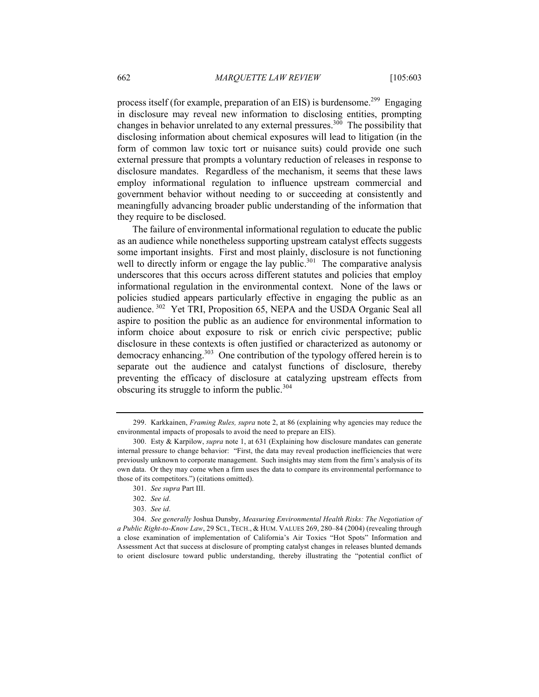process itself (for example, preparation of an EIS) is burdensome.<sup>299</sup> Engaging in disclosure may reveal new information to disclosing entities, prompting changes in behavior unrelated to any external pressures.<sup>300</sup> The possibility that disclosing information about chemical exposures will lead to litigation (in the form of common law toxic tort or nuisance suits) could provide one such external pressure that prompts a voluntary reduction of releases in response to disclosure mandates. Regardless of the mechanism, it seems that these laws employ informational regulation to influence upstream commercial and government behavior without needing to or succeeding at consistently and meaningfully advancing broader public understanding of the information that they require to be disclosed.

The failure of environmental informational regulation to educate the public as an audience while nonetheless supporting upstream catalyst effects suggests some important insights. First and most plainly, disclosure is not functioning well to directly inform or engage the lay public.<sup>301</sup> The comparative analysis underscores that this occurs across different statutes and policies that employ informational regulation in the environmental context. None of the laws or policies studied appears particularly effective in engaging the public as an audience.<sup>302</sup> Yet TRI, Proposition 65, NEPA and the USDA Organic Seal all aspire to position the public as an audience for environmental information to inform choice about exposure to risk or enrich civic perspective; public disclosure in these contexts is often justified or characterized as autonomy or democracy enhancing.<sup>303</sup> One contribution of the typology offered herein is to separate out the audience and catalyst functions of disclosure, thereby preventing the efficacy of disclosure at catalyzing upstream effects from obscuring its struggle to inform the public.<sup>304</sup>

<sup>299.</sup> Karkkainen, *Framing Rules, supra* note 2, at 86 (explaining why agencies may reduce the environmental impacts of proposals to avoid the need to prepare an EIS).

<sup>300.</sup> Esty & Karpilow, *supra* note 1, at 631 (Explaining how disclosure mandates can generate internal pressure to change behavior: "First, the data may reveal production inefficiencies that were previously unknown to corporate management. Such insights may stem from the firm's analysis of its own data. Or they may come when a firm uses the data to compare its environmental performance to those of its competitors.") (citations omitted).

<sup>301.</sup> *See supra* Part III.

<sup>302.</sup> *See id*.

<sup>303.</sup> *See id*.

<sup>304.</sup> *See generally* Joshua Dunsby, *Measuring Environmental Health Risks: The Negotiation of a Public Right-to-Know Law*, 29 SCI., TECH., & HUM. VALUES 269, 280–84 (2004) (revealing through a close examination of implementation of California's Air Toxics "Hot Spots" Information and Assessment Act that success at disclosure of prompting catalyst changes in releases blunted demands to orient disclosure toward public understanding, thereby illustrating the "potential conflict of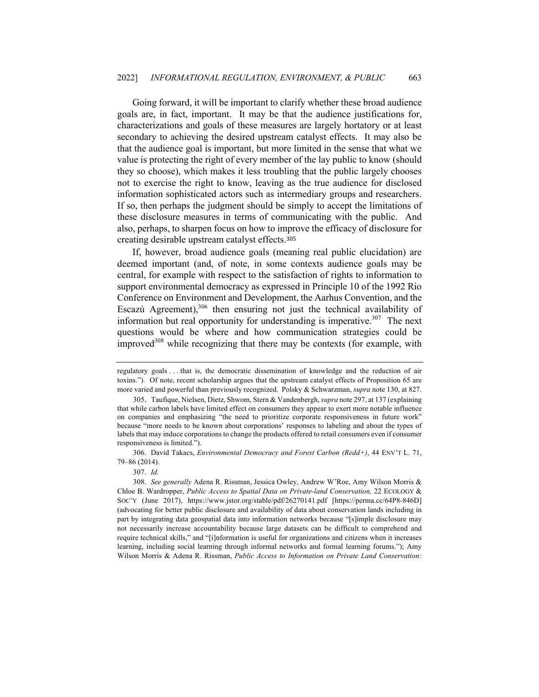Going forward, it will be important to clarify whether these broad audience goals are, in fact, important. It may be that the audience justifications for, characterizations and goals of these measures are largely hortatory or at least secondary to achieving the desired upstream catalyst effects. It may also be that the audience goal is important, but more limited in the sense that what we value is protecting the right of every member of the lay public to know (should they so choose), which makes it less troubling that the public largely chooses not to exercise the right to know, leaving as the true audience for disclosed information sophisticated actors such as intermediary groups and researchers. If so, then perhaps the judgment should be simply to accept the limitations of these disclosure measures in terms of communicating with the public. And also, perhaps, to sharpen focus on how to improve the efficacy of disclosure for creating desirable upstream catalyst effects.<sup>305</sup>

If, however, broad audience goals (meaning real public elucidation) are deemed important (and, of note, in some contexts audience goals may be central, for example with respect to the satisfaction of rights to information to support environmental democracy as expressed in Principle 10 of the 1992 Rio Conference on Environment and Development, the Aarhus Convention, and the Escazú Agreement),<sup>306</sup> then ensuring not just the technical availability of information but real opportunity for understanding is imperative.<sup>307</sup> The next questions would be where and how communication strategies could be improved<sup>308</sup> while recognizing that there may be contexts (for example, with

regulatory goals . . . that is, the democratic dissemination of knowledge and the reduction of air toxins."). Of note, recent scholarship argues that the upstream catalyst effects of Proposition 65 are more varied and powerful than previously recognized. Polsky & Schwarzman, *supra* note 130, at 827.

<sup>305.</sup> Taufique, Nielsen, Dietz, Shwom, Stern & Vandenbergh, *supra* note 297, at 137 (explaining that while carbon labels have limited effect on consumers they appear to exert more notable influence on companies and emphasizing "the need to prioritize corporate responsiveness in future work" because "more needs to be known about corporations' responses to labeling and about the types of labels that may induce corporations to change the products offered to retail consumers even if consumer responsiveness is limited.").

<sup>306.</sup> David Takacs, *Environmental Democracy and Forest Carbon (Redd+)*, 44 ENV'T L. 71, 79–86 (2014).

<sup>307.</sup> *Id.*

<sup>308.</sup> *See generally* Adena R. Rissman, Jessica Owley, Andrew W'Roe, Amy Wilson Morris & Chloe B. Wardropper, *Public Access to Spatial Data on Private-land Conservation,* 22 ECOLOGY & SOC'Y (June 2017), https://www.jstor.org/stable/pdf/26270141.pdf [https://perma.cc/64P8-846D] (advocating for better public disclosure and availability of data about conservation lands including in part by integrating data geospatial data into information networks because "[s]imple disclosure may not necessarily increase accountability because large datasets can be difficult to comprehend and require technical skills," and "[i]nformation is useful for organizations and citizens when it increases learning, including social learning through informal networks and formal learning forums."); Amy Wilson Morris & Adena R. Rissman, *Public Access to Information on Private Land Conservation:*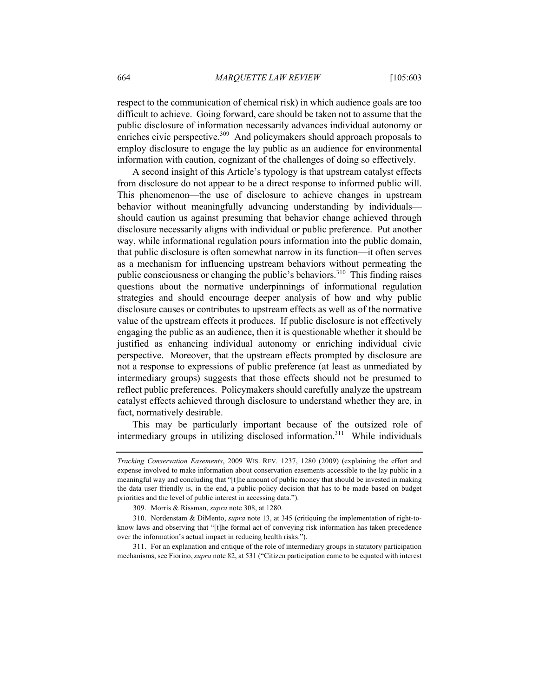respect to the communication of chemical risk) in which audience goals are too difficult to achieve. Going forward, care should be taken not to assume that the public disclosure of information necessarily advances individual autonomy or enriches civic perspective.<sup>309</sup> And policymakers should approach proposals to employ disclosure to engage the lay public as an audience for environmental information with caution, cognizant of the challenges of doing so effectively.

A second insight of this Article's typology is that upstream catalyst effects from disclosure do not appear to be a direct response to informed public will. This phenomenon—the use of disclosure to achieve changes in upstream behavior without meaningfully advancing understanding by individuals should caution us against presuming that behavior change achieved through disclosure necessarily aligns with individual or public preference. Put another way, while informational regulation pours information into the public domain, that public disclosure is often somewhat narrow in its function—it often serves as a mechanism for influencing upstream behaviors without permeating the public consciousness or changing the public's behaviors.<sup>310</sup> This finding raises questions about the normative underpinnings of informational regulation strategies and should encourage deeper analysis of how and why public disclosure causes or contributes to upstream effects as well as of the normative value of the upstream effects it produces. If public disclosure is not effectively engaging the public as an audience, then it is questionable whether it should be justified as enhancing individual autonomy or enriching individual civic perspective. Moreover, that the upstream effects prompted by disclosure are not a response to expressions of public preference (at least as unmediated by intermediary groups) suggests that those effects should not be presumed to reflect public preferences. Policymakers should carefully analyze the upstream catalyst effects achieved through disclosure to understand whether they are, in fact, normatively desirable.

This may be particularly important because of the outsized role of intermediary groups in utilizing disclosed information.<sup>311</sup> While individuals

311. For an explanation and critique of the role of intermediary groups in statutory participation mechanisms, see Fiorino, *supra* note 82, at 531 ("Citizen participation came to be equated with interest

*Tracking Conservation Easements*, 2009 WIS. REV. 1237, 1280 (2009) (explaining the effort and expense involved to make information about conservation easements accessible to the lay public in a meaningful way and concluding that "[t]he amount of public money that should be invested in making the data user friendly is, in the end, a public-policy decision that has to be made based on budget priorities and the level of public interest in accessing data.").

<sup>309.</sup> Morris & Rissman, *supra* note 308, at 1280.

<sup>310.</sup> Nordenstam & DiMento, *supra* note 13, at 345 (critiquing the implementation of right-toknow laws and observing that "[t]he formal act of conveying risk information has taken precedence over the information's actual impact in reducing health risks.").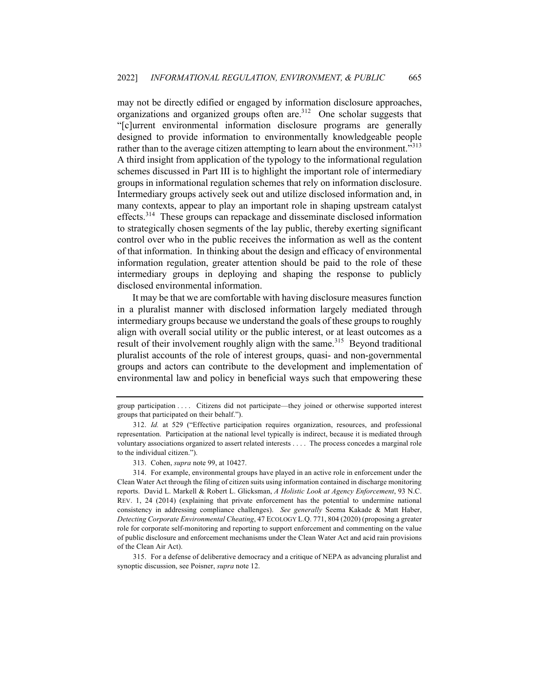may not be directly edified or engaged by information disclosure approaches, organizations and organized groups often are.<sup>312</sup> One scholar suggests that "[c]urrent environmental information disclosure programs are generally designed to provide information to environmentally knowledgeable people rather than to the average citizen attempting to learn about the environment."<sup>313</sup> A third insight from application of the typology to the informational regulation schemes discussed in Part III is to highlight the important role of intermediary groups in informational regulation schemes that rely on information disclosure. Intermediary groups actively seek out and utilize disclosed information and, in many contexts, appear to play an important role in shaping upstream catalyst effects.<sup>314</sup> These groups can repackage and disseminate disclosed information to strategically chosen segments of the lay public, thereby exerting significant control over who in the public receives the information as well as the content of that information. In thinking about the design and efficacy of environmental information regulation, greater attention should be paid to the role of these intermediary groups in deploying and shaping the response to publicly disclosed environmental information.

It may be that we are comfortable with having disclosure measures function in a pluralist manner with disclosed information largely mediated through intermediary groups because we understand the goals of these groups to roughly align with overall social utility or the public interest, or at least outcomes as a result of their involvement roughly align with the same.<sup>315</sup> Beyond traditional pluralist accounts of the role of interest groups, quasi- and non-governmental groups and actors can contribute to the development and implementation of environmental law and policy in beneficial ways such that empowering these

313. Cohen, *supra* note 99, at 10427.

group participation . . . . Citizens did not participate—they joined or otherwise supported interest groups that participated on their behalf.").

<sup>312.</sup> *Id.* at 529 ("Effective participation requires organization, resources, and professional representation. Participation at the national level typically is indirect, because it is mediated through voluntary associations organized to assert related interests . . . . The process concedes a marginal role to the individual citizen.").

<sup>314.</sup> For example, environmental groups have played in an active role in enforcement under the Clean Water Act through the filing of citizen suits using information contained in discharge monitoring reports. David L. Markell & Robert L. Glicksman, *A Holistic Look at Agency Enforcement*, 93 N.C. REV. 1, 24 (2014) (explaining that private enforcement has the potential to undermine national consistency in addressing compliance challenges). *See generally* Seema Kakade & Matt Haber, *Detecting Corporate Environmental Cheating*, 47 ECOLOGY L.Q. 771, 804 (2020) (proposing a greater role for corporate self-monitoring and reporting to support enforcement and commenting on the value of public disclosure and enforcement mechanisms under the Clean Water Act and acid rain provisions of the Clean Air Act).

<sup>315.</sup> For a defense of deliberative democracy and a critique of NEPA as advancing pluralist and synoptic discussion, see Poisner, *supra* note 12.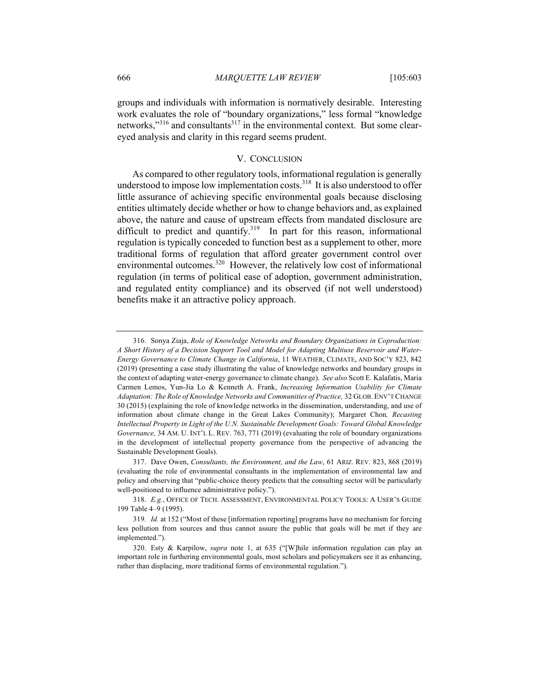groups and individuals with information is normatively desirable. Interesting work evaluates the role of "boundary organizations," less formal "knowledge networks,"<sup>316</sup> and consultants<sup>317</sup> in the environmental context. But some cleareyed analysis and clarity in this regard seems prudent.

## V. CONCLUSION

As compared to other regulatory tools, informational regulation is generally understood to impose low implementation costs.<sup>318</sup> It is also understood to offer little assurance of achieving specific environmental goals because disclosing entities ultimately decide whether or how to change behaviors and, as explained above, the nature and cause of upstream effects from mandated disclosure are difficult to predict and quantify.<sup>319</sup> In part for this reason, informational regulation is typically conceded to function best as a supplement to other, more traditional forms of regulation that afford greater government control over environmental outcomes. $320$  However, the relatively low cost of informational regulation (in terms of political ease of adoption, government administration, and regulated entity compliance) and its observed (if not well understood) benefits make it an attractive policy approach.

<sup>316.</sup> Sonya Ziaja, *Role of Knowledge Networks and Boundary Organizations in Coproduction: A Short History of a Decision Support Tool and Model for Adapting Multiuse Reservoir and Water-Energy Governance to Climate Change in California*, 11 WEATHER, CLIMATE, AND SOC'Y 823, 842 (2019) (presenting a case study illustrating the value of knowledge networks and boundary groups in the context of adapting water-energy governance to climate change). *See also* Scott E. Kalafatis, Maria Carmen Lemos, Yun-Jia Lo & Kenneth A. Frank, *Increasing Information Usability for Climate Adaptation: The Role of Knowledge Networks and Communities of Practice,* 32 GLOB. ENV'T CHANGE 30 (2015) (explaining the role of knowledge networks in the dissemination, understanding, and use of information about climate change in the Great Lakes Community); Margaret Chon*, Recasting Intellectual Property in Light of the U.N. Sustainable Development Goals: Toward Global Knowledge Governance,* 34 AM. U. INT'L L. REV. 763, 771 (2019) (evaluating the role of boundary organizations in the development of intellectual property governance from the perspective of advancing the Sustainable Development Goals).

<sup>317.</sup> Dave Owen, *Consultants, the Environment, and the Law*, 61 ARIZ. REV. 823, 868 (2019) (evaluating the role of environmental consultants in the implementation of environmental law and policy and observing that "public-choice theory predicts that the consulting sector will be particularly well-positioned to influence administrative policy.").

<sup>318.</sup> *E.g.*, OFFICE OF TECH. ASSESSMENT, ENVIRONMENTAL POLICY TOOLS: A USER'S GUIDE 199 Table 4–9 (1995).

<sup>319</sup>*. Id.* at 152 ("Most of these [information reporting] programs have no mechanism for forcing less pollution from sources and thus cannot assure the public that goals will be met if they are implemented.").

<sup>320.</sup> Esty & Karpilow, *supra* note 1, at 635 ("[W]hile information regulation can play an important role in furthering environmental goals, most scholars and policymakers see it as enhancing, rather than displacing, more traditional forms of environmental regulation.").